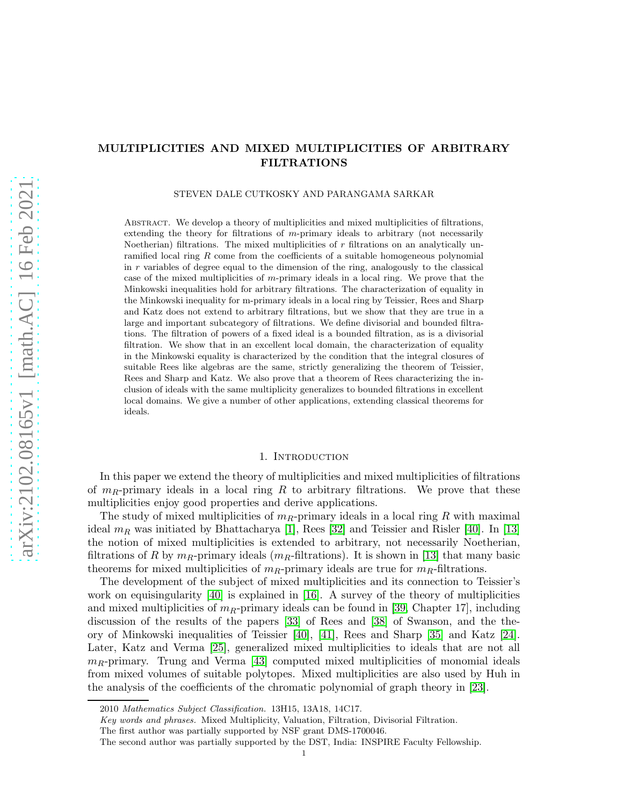# MULTIPLICITIES AND MIXED MULTIPLICITIES OF ARBITRARY FILTRATIONS

#### STEVEN DALE CUTKOSKY AND PARANGAMA SARKAR

Abstract. We develop a theory of multiplicities and mixed multiplicities of filtrations, extending the theory for filtrations of m-primary ideals to arbitrary (not necessarily Noetherian) filtrations. The mixed multiplicities of  $r$  filtrations on an analytically unramified local ring  $R$  come from the coefficients of a suitable homogeneous polynomial in  $r$  variables of degree equal to the dimension of the ring, analogously to the classical case of the mixed multiplicities of m-primary ideals in a local ring. We prove that the Minkowski inequalities hold for arbitrary filtrations. The characterization of equality in the Minkowski inequality for m-primary ideals in a local ring by Teissier, Rees and Sharp and Katz does not extend to arbitrary filtrations, but we show that they are true in a large and important subcategory of filtrations. We define divisorial and bounded filtrations. The filtration of powers of a fixed ideal is a bounded filtration, as is a divisorial filtration. We show that in an excellent local domain, the characterization of equality in the Minkowski equality is characterized by the condition that the integral closures of suitable Rees like algebras are the same, strictly generalizing the theorem of Teissier, Rees and Sharp and Katz. We also prove that a theorem of Rees characterizing the inclusion of ideals with the same multiplicity generalizes to bounded filtrations in excellent local domains. We give a number of other applications, extending classical theorems for ideals.

### 1. INTRODUCTION

In this paper we extend the theory of multiplicities and mixed multiplicities of filtrations of  $m_R$ -primary ideals in a local ring R to arbitrary filtrations. We prove that these multiplicities enjoy good properties and derive applications.

The study of mixed multiplicities of  $m_R$ -primary ideals in a local ring R with maximal ideal  $m_R$  was initiated by Bhattacharya [\[1\]](#page-30-0), Rees [\[32\]](#page-31-0) and Teissier and Risler [\[40\]](#page-31-1). In [\[13\]](#page-30-1) the notion of mixed multiplicities is extended to arbitrary, not necessarily Noetherian, filtrations of R by  $m_R$ -primary ideals ( $m_R$ -filtrations). It is shown in [\[13\]](#page-30-1) that many basic theorems for mixed multiplicities of  $m_R$ -primary ideals are true for  $m_R$ -filtrations.

The development of the subject of mixed multiplicities and its connection to Teissier's work on equisingularity [\[40\]](#page-31-1) is explained in [\[16\]](#page-30-2). A survey of the theory of multiplicities and mixed multiplicities of  $m_R$ -primary ideals can be found in [\[39,](#page-31-2) Chapter 17], including discussion of the results of the papers [\[33\]](#page-31-3) of Rees and [\[38\]](#page-31-4) of Swanson, and the theory of Minkowski inequalities of Teissier [\[40\]](#page-31-1), [\[41\]](#page-31-5), Rees and Sharp [\[35\]](#page-31-6) and Katz [\[24\]](#page-31-7). Later, Katz and Verma [\[25\]](#page-31-8), generalized mixed multiplicities to ideals that are not all  $m_B$ -primary. Trung and Verma [\[43\]](#page-31-9) computed mixed multiplicities of monomial ideals from mixed volumes of suitable polytopes. Mixed multiplicities are also used by Huh in the analysis of the coefficients of the chromatic polynomial of graph theory in [\[23\]](#page-31-10).

<sup>2010</sup> Mathematics Subject Classification. 13H15, 13A18, 14C17.

Key words and phrases. Mixed Multiplicity, Valuation, Filtration, Divisorial Filtration.

The first author was partially supported by NSF grant DMS-1700046.

The second author was partially supported by the DST, India: INSPIRE Faculty Fellowship.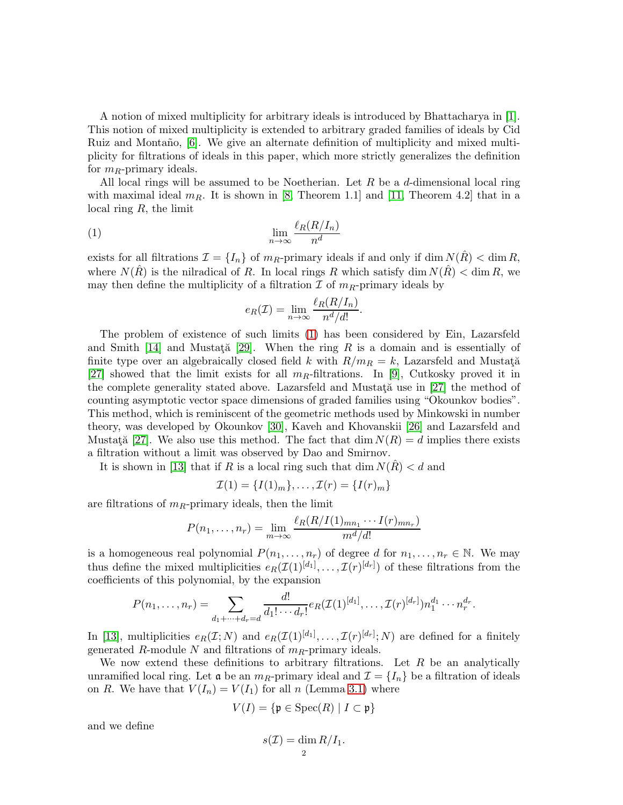A notion of mixed multiplicity for arbitrary ideals is introduced by Bhattacharya in [\[1\]](#page-30-0). This notion of mixed multiplicity is extended to arbitrary graded families of ideals by Cid Ruiz and Montaño, [\[6\]](#page-30-3). We give an alternate definition of multiplicity and mixed multiplicity for filtrations of ideals in this paper, which more strictly generalizes the definition for  $m_R$ -primary ideals.

All local rings will be assumed to be Noetherian. Let  $R$  be a  $d$ -dimensional local ring with maximal ideal  $m_R$ . It is shown in [\[8,](#page-30-4) Theorem 1.1] and [\[11,](#page-30-5) Theorem 4.2] that in a local ring  $R$ , the limit

$$
\lim_{n \to \infty} \frac{\ell_R(R/I_n)}{n^d}
$$

exists for all filtrations  $\mathcal{I} = \{I_n\}$  of  $m_R$ -primary ideals if and only if dim  $N(R) < \dim R$ , where  $N(R)$  is the nilradical of R. In local rings R which satisfy dim  $N(R) < \dim R$ , we may then define the multiplicity of a filtration  $\mathcal I$  of  $m_R$ -primary ideals by

<span id="page-1-0"></span>
$$
e_R(\mathcal{I}) = \lim_{n \to \infty} \frac{\ell_R(R/I_n)}{n^d/d!}.
$$

The problem of existence of such limits [\(1\)](#page-1-0) has been considered by Ein, Lazarsfeld and Smith [\[14\]](#page-30-6) and Mustata<sup>[29]</sup>. When the ring R is a domain and is essentially of finite type over an algebraically closed field k with  $R/m_R = k$ , Lazarsfeld and Mustata [\[27\]](#page-31-12) showed that the limit exists for all  $m_R$ -filtrations. In [\[9\]](#page-30-7), Cutkosky proved it in the complete generality stated above. Lazarsfeld and Mustat $\ddot{a}$  use in [\[27\]](#page-31-12) the method of counting asymptotic vector space dimensions of graded families using "Okounkov bodies". This method, which is reminiscent of the geometric methods used by Minkowski in number theory, was developed by Okounkov [\[30\]](#page-31-13), Kaveh and Khovanskii [\[26\]](#page-31-14) and Lazarsfeld and Mustată [\[27\]](#page-31-12). We also use this method. The fact that dim  $N(R) = d$  implies there exists a filtration without a limit was observed by Dao and Smirnov.

It is shown in [\[13\]](#page-30-1) that if R is a local ring such that dim  $N(\hat{R}) < d$  and

$$
\mathcal{I}(1) = \{I(1)_m\}, \ldots, \mathcal{I}(r) = \{I(r)_m\}
$$

are filtrations of  $m_R$ -primary ideals, then the limit

$$
P(n_1,\ldots,n_r)=\lim_{m\to\infty}\frac{\ell_R(R/I(1)_{mn_1}\cdots I(r)_{mn_r})}{m^d/d!}
$$

is a homogeneous real polynomial  $P(n_1, \ldots, n_r)$  of degree d for  $n_1, \ldots, n_r \in \mathbb{N}$ . We may thus define the mixed multiplicities  $e_R(\mathcal{I}(1)^{[d_1]}, \ldots, \mathcal{I}(r)^{[d_r]})$  of these filtrations from the coefficients of this polynomial, by the expansion

$$
P(n_1,\ldots,n_r) = \sum_{d_1+\cdots+d_r=d} \frac{d!}{d_1!\cdots d_r!} e_R(\mathcal{I}(1)^{[d_1]},\ldots,\mathcal{I}(r)^{[d_r]}) n_1^{d_1}\cdots n_r^{d_r}.
$$

In [\[13\]](#page-30-1), multiplicities  $e_R(\mathcal{I};N)$  and  $e_R(\mathcal{I}(1)^{[d_1]},\ldots,\mathcal{I}(r)^{[d_r]};N)$  are defined for a finitely generated R-module N and filtrations of  $m_R$ -primary ideals.

We now extend these definitions to arbitrary filtrations. Let  $R$  be an analytically unramified local ring. Let  $\mathfrak{a}$  be an  $m_R$ -primary ideal and  $\mathcal{I} = \{I_n\}$  be a filtration of ideals on R. We have that  $V(I_n) = V(I_1)$  for all n (Lemma [3.1\)](#page-6-0) where

$$
V(I) = \{ \mathfrak{p} \in \text{Spec}(R) \mid I \subset \mathfrak{p} \}
$$

and we define

$$
s(\mathcal{I}) = \dim R/I_1.
$$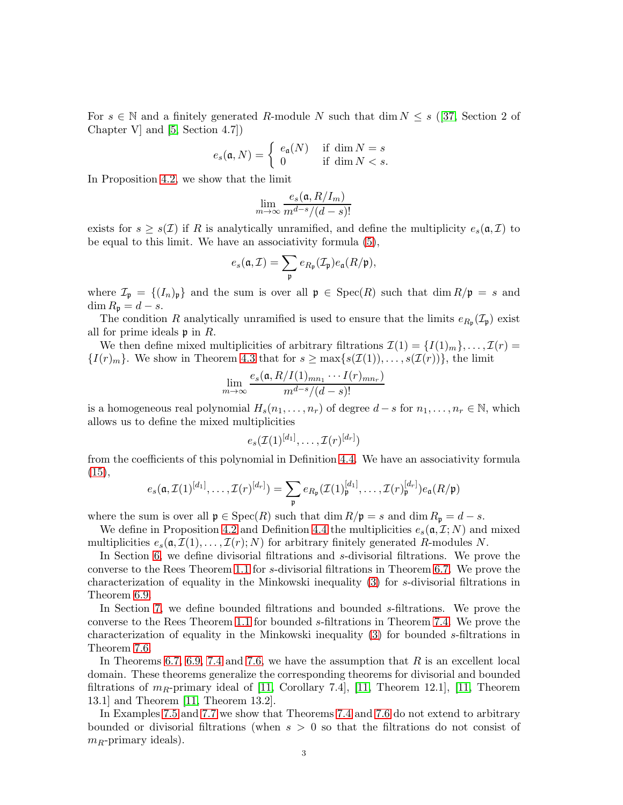For  $s \in \mathbb{N}$  and a finitely generated R-module N such that dim  $N \leq s$  ([\[37,](#page-31-15) Section 2 of Chapter V] and [\[5,](#page-30-8) Section 4.7])

$$
e_s(\mathfrak{a},N)=\left\{\begin{array}{ll}e_{\mathfrak{a}}(N) & \text{ if } \dim N=s\\0 & \text{ if } \dim N
$$

In Proposition [4.2,](#page-8-0) we show that the limit

$$
\lim_{m \to \infty} \frac{e_s(\mathfrak{a}, R/I_m)}{m^{d-s}/(d-s)!}
$$

exists for  $s \geq s(\mathcal{I})$  if R is analytically unramified, and define the multiplicity  $e_s(\mathfrak{a}, \mathcal{I})$  to be equal to this limit. We have an associativity formula [\(5\)](#page-8-1),

$$
e_s(\mathfrak{a},\mathcal{I})=\sum_{\mathfrak{p}}e_{R_{\mathfrak{p}}}(\mathcal{I}_{\mathfrak{p}})e_{\mathfrak{a}}(R/\mathfrak{p}),
$$

where  $\mathcal{I}_{\mathfrak{p}} = \{ (I_n)_{\mathfrak{p}} \}$  and the sum is over all  $\mathfrak{p} \in \text{Spec}(R)$  such that  $\dim R/\mathfrak{p} = s$  and  $\dim R_{\mathfrak{p}} = d - s.$ 

The condition R analytically unramified is used to ensure that the limits  $e_{R_{\mathfrak{p}}}(\mathcal{I}_{\mathfrak{p}})$  exist all for prime ideals  $\mathfrak p$  in  $R$ .

We then define mixed multiplicities of arbitrary filtrations  $\mathcal{I}(1) = \{I(1)_m\}, \ldots, \mathcal{I}(r) =$  $\{I(r)_m\}$ . We show in Theorem [4.3](#page-10-0) that for  $s \geq \max\{s(\mathcal{I}(1)), \ldots, s(\mathcal{I}(r))\}\)$ , the limit

$$
\lim_{m \to \infty} \frac{e_s(\mathfrak{a}, R/I(1)_{mn_1} \cdots I(r)_{mn_r})}{m^{d-s}/(d-s)!}
$$

is a homogeneous real polynomial  $H_s(n_1, \ldots, n_r)$  of degree  $d - s$  for  $n_1, \ldots, n_r \in \mathbb{N}$ , which allows us to define the mixed multiplicities

$$
e_s(\mathcal{I}(1)^{[d_1]},\ldots,\mathcal{I}(r)^{[d_r]})
$$

from the coefficients of this polynomial in Definition [4.4.](#page-10-1) We have an associativity formula [\(15\)](#page-10-2),

$$
e_s(\mathfrak{a}, \mathcal{I}(1)^{[d_1]}, \ldots, \mathcal{I}(r)^{[d_r]}) = \sum_{\mathfrak{p}} e_{R_{\mathfrak{p}}}(\mathcal{I}(1)^{[d_1]}_{\mathfrak{p}}, \ldots, \mathcal{I}(r)^{[d_r]}_{\mathfrak{p}}) e_{\mathfrak{a}}(R/\mathfrak{p})
$$

where the sum is over all  $\mathfrak{p} \in \text{Spec}(R)$  such that  $\dim R/\mathfrak{p} = s$  and  $\dim R_{\mathfrak{p}} = d - s$ .

We define in Proposition [4.2](#page-8-0) and Definition [4.4](#page-10-1) the multiplicities  $e_s(\mathfrak{a}, \mathcal{I}; N)$  and mixed multiplicities  $e_s(\mathfrak{a}, \mathcal{I}(1), \ldots, \mathcal{I}(r); N)$  for arbitrary finitely generated R-modules N.

In Section [6,](#page-18-0) we define divisorial filtrations and s-divisorial filtrations. We prove the converse to the Rees Theorem [1.1](#page-3-0) for s-divisorial filtrations in Theorem [6.7.](#page-20-0) We prove the characterization of equality in the Minkowski inequality [\(3\)](#page-4-0) for s-divisorial filtrations in Theorem [6.9.](#page-22-0)

In Section [7,](#page-25-0) we define bounded filtrations and bounded s-filtrations. We prove the converse to the Rees Theorem [1.1](#page-3-0) for bounded s-filtrations in Theorem [7.4.](#page-26-0) We prove the characterization of equality in the Minkowski inequality [\(3\)](#page-4-0) for bounded s-filtrations in Theorem [7.6.](#page-27-0)

In Theorems [6.7,](#page-20-0) [6.9,](#page-22-0) [7.4](#page-26-0) and [7.6,](#page-27-0) we have the assumption that  $R$  is an excellent local domain. These theorems generalize the corresponding theorems for divisorial and bounded filtrations of  $m_R$ -primary ideal of [\[11,](#page-30-5) Corollary 7.4], [11, Theorem 12.1], [11, Theorem 13.1] and Theorem [\[11,](#page-30-5) Theorem 13.2].

In Examples [7.5](#page-26-1) and [7.7](#page-27-1) we show that Theorems [7.4](#page-26-0) and [7.6](#page-27-0) do not extend to arbitrary bounded or divisorial filtrations (when  $s > 0$  so that the filtrations do not consist of  $m_R$ -primary ideals).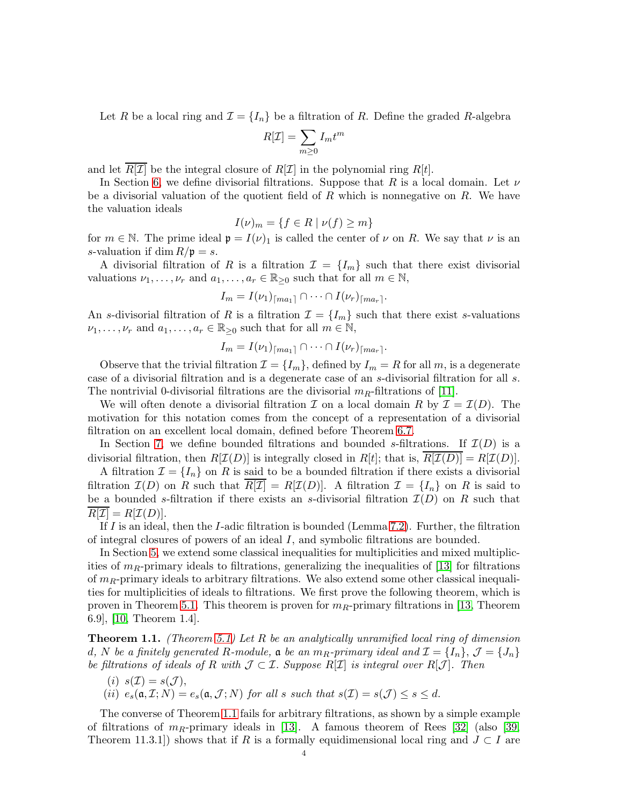Let R be a local ring and  $\mathcal{I} = \{I_n\}$  be a filtration of R. Define the graded R-algebra

$$
R[\mathcal{I}] = \sum_{m \ge 0} I_m t^m
$$

and let  $R[\mathcal{I}]$  be the integral closure of  $R[\mathcal{I}]$  in the polynomial ring  $R[t]$ .

In Section [6,](#page-18-0) we define divisorial filtrations. Suppose that R is a local domain. Let  $\nu$ be a divisorial valuation of the quotient field of  $R$  which is nonnegative on  $R$ . We have the valuation ideals

$$
I(\nu)_m = \{ f \in R \mid \nu(f) \ge m \}
$$

for  $m \in \mathbb{N}$ . The prime ideal  $\mathfrak{p} = I(\nu)_1$  is called the center of  $\nu$  on R. We say that  $\nu$  is an s-valuation if dim  $R/\mathfrak{p} = s$ .

A divisorial filtration of R is a filtration  $\mathcal{I} = \{I_m\}$  such that there exist divisorial valuations  $\nu_1, \ldots, \nu_r$  and  $a_1, \ldots, a_r \in \mathbb{R}_{\geq 0}$  such that for all  $m \in \mathbb{N}$ ,

$$
I_m = I(\nu_1)_{\lceil ma_1\rceil} \cap \cdots \cap I(\nu_r)_{\lceil ma_r\rceil}.
$$

An s-divisorial filtration of R is a filtration  $\mathcal{I} = \{I_m\}$  such that there exist s-valuations  $\nu_1, \ldots, \nu_r$  and  $a_1, \ldots, a_r \in \mathbb{R}_{\geq 0}$  such that for all  $m \in \mathbb{N}$ ,

$$
I_m = I(\nu_1)_{\lceil ma_1 \rceil} \cap \cdots \cap I(\nu_r)_{\lceil ma_r \rceil}.
$$

Observe that the trivial filtration  $\mathcal{I} = \{I_m\}$ , defined by  $I_m = R$  for all m, is a degenerate case of a divisorial filtration and is a degenerate case of an s-divisorial filtration for all s. The nontrivial 0-divisorial filtrations are the divisorial  $m_R$ -filtrations of [\[11\]](#page-30-5).

We will often denote a divisorial filtration  $\mathcal I$  on a local domain R by  $\mathcal I = \mathcal I(D)$ . The motivation for this notation comes from the concept of a representation of a divisorial filtration on an excellent local domain, defined before Theorem [6.7.](#page-20-0)

In Section [7,](#page-25-0) we define bounded filtrations and bounded s-filtrations. If  $\mathcal{I}(D)$  is a divisorial filtration, then  $R[\mathcal{I}(D)]$  is integrally closed in  $R[t]$ ; that is,  $\overline{R[\mathcal{I}(D)]} = R[\mathcal{I}(D)]$ .

A filtration  $\mathcal{I} = \{I_n\}$  on R is said to be a bounded filtration if there exists a divisorial filtration  $\mathcal{I}(D)$  on R such that  $R[\mathcal{I}] = R[\mathcal{I}(D)]$ . A filtration  $\mathcal{I} = \{I_n\}$  on R is said to be a bounded s-filtration if there exists an s-divisorial filtration  $\mathcal{I}(D)$  on R such that  $R[\mathcal{I}] = R[\mathcal{I}(D)].$ 

If I is an ideal, then the I-adic filtration is bounded (Lemma [7.2\)](#page-25-1). Further, the filtration of integral closures of powers of an ideal  $I$ , and symbolic filtrations are bounded.

In Section [5,](#page-11-0) we extend some classical inequalities for multiplicities and mixed multiplicities of  $m_R$ -primary ideals to filtrations, generalizing the inequalities of [\[13\]](#page-30-1) for filtrations of  $m_R$ -primary ideals to arbitrary filtrations. We also extend some other classical inequalities for multiplicities of ideals to filtrations. We first prove the following theorem, which is proven in Theorem [5.1.](#page-11-1) This theorem is proven for  $m_R$ -primary filtrations in [\[13,](#page-30-1) Theorem 6.9], [\[10,](#page-30-9) Theorem 1.4].

<span id="page-3-0"></span>**Theorem 1.1.** (Theorem [5.1\)](#page-11-1) Let R be an analytically unramified local ring of dimension d, N be a finitely generated R-module,  $\mathfrak a$  be an  $m_R$ -primary ideal and  $\mathcal I = \{I_n\}, \mathcal J = \{J_n\}$ be filtrations of ideals of R with  $\mathcal{J} \subset \mathcal{I}$ . Suppose R[I] is integral over R[J]. Then

(i) 
$$
s(\mathcal{I}) = s(\mathcal{J})
$$
,  
(ii)  $e_s(\mathfrak{a}, \mathcal{I}; N) = e_s(\mathfrak{a}, \mathcal{J}; N)$  for all s such that  $s(\mathcal{I}) = s(\mathcal{J}) \leq s \leq d$ .

The converse of Theorem [1.1](#page-3-0) fails for arbitrary filtrations, as shown by a simple example of filtrations of  $m_R$ -primary ideals in [\[13\]](#page-30-1). A famous theorem of Rees [\[32\]](#page-31-0) (also [\[39,](#page-31-2) Theorem 11.3.1]) shows that if R is a formally equidimensional local ring and  $J \subset I$  are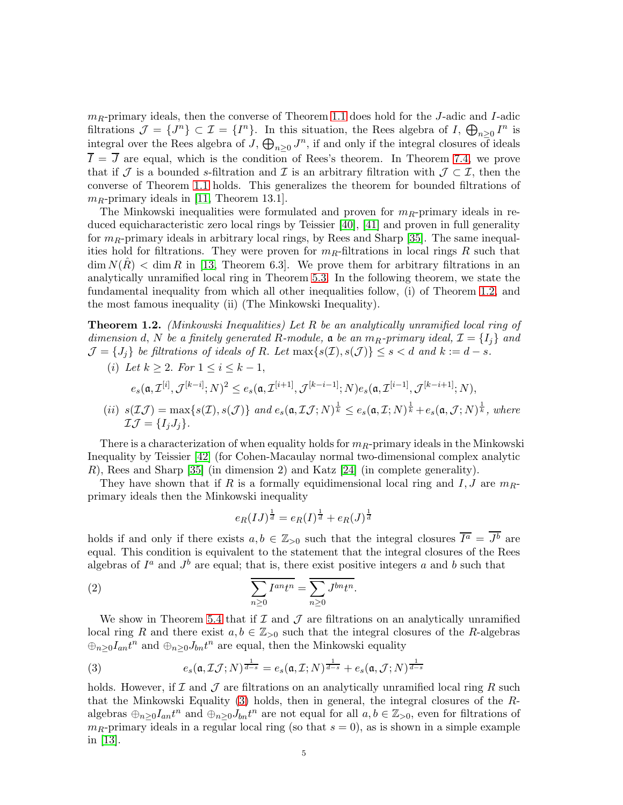$m_R$ -primary ideals, then the converse of Theorem [1.1](#page-3-0) does hold for the J-adic and I-adic filtrations  $\mathcal{J} = \{J^n\} \subset \mathcal{I} = \{I^n\}$ . In this situation, the Rees algebra of I,  $\bigoplus_{n \geq 0} I^n$  is integral over the Rees algebra of  $J$ ,  $\bigoplus_{n\geq 0} J^n$ , if and only if the integral closures of ideals  $\overline{I} = \overline{J}$  are equal, which is the condition of Rees's theorem. In Theorem [7.4,](#page-26-0) we prove that if J is a bounded s-filtration and I is an arbitrary filtration with  $\mathcal{J} \subset \mathcal{I}$ , then the converse of Theorem [1.1](#page-3-0) holds. This generalizes the theorem for bounded filtrations of  $m_R$ -primary ideals in [\[11,](#page-30-5) Theorem 13.1].

The Minkowski inequalities were formulated and proven for  $m_R$ -primary ideals in reduced equicharacteristic zero local rings by Teissier [\[40\]](#page-31-1), [\[41\]](#page-31-5) and proven in full generality for  $m_R$ -primary ideals in arbitrary local rings, by Rees and Sharp [\[35\]](#page-31-6). The same inequalities hold for filtrations. They were proven for  $m_R$ -filtrations in local rings R such that  $\dim N(R) < \dim R$  in [\[13,](#page-30-1) Theorem 6.3]. We prove them for arbitrary filtrations in an analytically unramified local ring in Theorem [5.3.](#page-12-0) In the following theorem, we state the fundamental inequality from which all other inequalities follow, (i) of Theorem [1.2,](#page-4-1) and the most famous inequality (ii) (The Minkowski Inequality).

<span id="page-4-1"></span>**Theorem 1.2.** (Minkowski Inequalities) Let R be an analytically unramified local ring of dimension d, N be a finitely generated R-module,  $\mathfrak{a}$  be an  $m_R$ -primary ideal,  $\mathcal{I} = \{I_i\}$  and  $\mathcal{J} = \{J_i\}$  be filtrations of ideals of R. Let  $\max\{s(\mathcal{I}), s(\mathcal{J})\} \leq s < d$  and  $k := d - s$ .

(i) Let 
$$
k \ge 2
$$
. For  $1 \le i \le k - 1$ ,  
\n $e_s(\mathfrak{a}, \mathcal{I}^{[i]}, \mathcal{J}^{[k-i]}; N)^2 \le e_s(\mathfrak{a}, \mathcal{I}^{[i+1]}, \mathcal{J}^{[k-i-1]}; N) e_s(\mathfrak{a}, \mathcal{I}^{[i-1]}, \mathcal{J}^{[k-i+1]}; N),$   
\n(ii)  $e(\mathcal{I}(\mathcal{I}) - \mathcal{I}(\mathcal{I})e_s(\mathcal{I}))$  and  $e(\mathcal{I}(\mathcal{I}, N)^{\frac{1}{2}}) \le e_s(\mathcal{I}(\mathcal{I}, N)^{\frac{1}{2}}) + e(\mathcal{I}(\mathcal{I}, N)^{\frac{1}{2}})$  where

(*ii*) 
$$
s(\mathcal{I}\mathcal{J}) = \max\{s(\mathcal{I}), s(\mathcal{J})\}
$$
 and  $e_s(\mathfrak{a}, \mathcal{I}\mathcal{J}; N)^{\frac{1}{k}} \leq e_s(\mathfrak{a}, \mathcal{I}; N)^{\frac{1}{k}} + e_s(\mathfrak{a}, \mathcal{J}; N)^{\frac{1}{k}}$ , where  $\mathcal{I}\mathcal{J} = \{I_jJ_j\}$ .

There is a characterization of when equality holds for  $m_R$ -primary ideals in the Minkowski Inequality by Teissier [\[42\]](#page-31-16) (for Cohen-Macaulay normal two-dimensional complex analytic R), Rees and Sharp [\[35\]](#page-31-6) (in dimension 2) and Katz [\[24\]](#page-31-7) (in complete generality).

They have shown that if R is a formally equidimensional local ring and I, J are  $m_{R}$ primary ideals then the Minkowski inequality

$$
e_R(IJ)^{\frac{1}{d}} = e_R(I)^{\frac{1}{d}} + e_R(J)^{\frac{1}{d}}
$$

holds if and only if there exists  $a, b \in \mathbb{Z}_{>0}$  such that the integral closures  $\overline{I^a} = J^b$  are equal. This condition is equivalent to the statement that the integral closures of the Rees algebras of  $I^a$  and  $J^b$  are equal; that is, there exist positive integers a and b such that

(2) 
$$
\overline{\sum_{n\geq 0} I^{an} t^n} = \overline{\sum_{n\geq 0} J^{bn} t^n}.
$$

We show in Theorem [5.4](#page-14-0) that if  $\mathcal I$  and  $\mathcal J$  are filtrations on an analytically unramified local ring R and there exist  $a, b \in \mathbb{Z}_{>0}$  such that the integral closures of the R-algebras  $\oplus_{n\geq 0} I_{an}t^n$  and  $\oplus_{n\geq 0} J_{bn}t^n$  are equal, then the Minkowski equality

<span id="page-4-0"></span>(3) 
$$
e_s(\mathfrak{a}, \mathcal{I}\mathcal{J}; N)^{\frac{1}{d-s}} = e_s(\mathfrak{a}, \mathcal{I}; N)^{\frac{1}{d-s}} + e_s(\mathfrak{a}, \mathcal{J}; N)^{\frac{1}{d-s}}
$$

holds. However, if  $\mathcal I$  and  $\mathcal J$  are filtrations on an analytically unramified local ring R such that the Minkowski Equality [\(3\)](#page-4-0) holds, then in general, the integral closures of the Ralgebras  $\oplus_{n\geq 0}I_{an}t^n$  and  $\oplus_{n\geq 0}J_{bn}t^n$  are not equal for all  $a, b \in \mathbb{Z}_{>0}$ , even for filtrations of  $m_R$ -primary ideals in a regular local ring (so that  $s = 0$ ), as is shown in a simple example in [\[13\]](#page-30-1).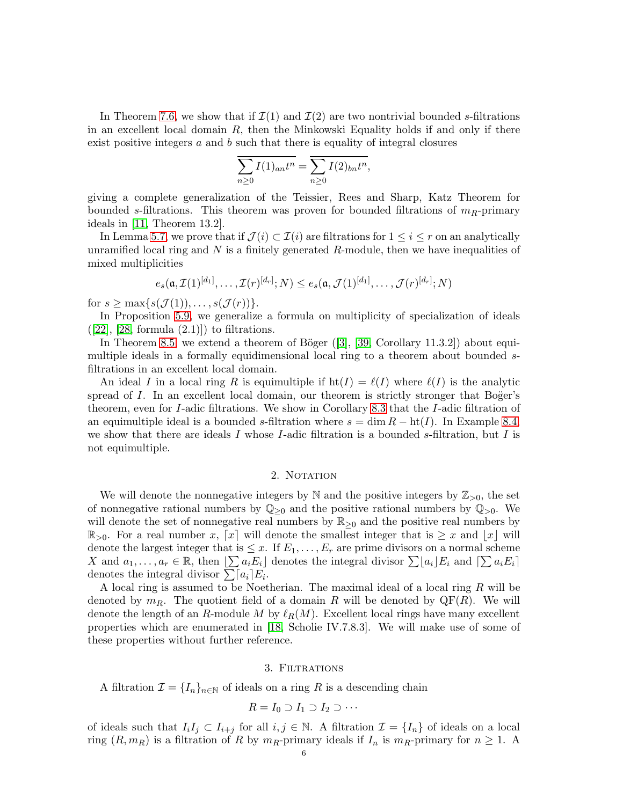In Theorem [7.6,](#page-27-0) we show that if  $\mathcal{I}(1)$  and  $\mathcal{I}(2)$  are two nontrivial bounded s-filtrations in an excellent local domain  $R$ , then the Minkowski Equality holds if and only if there exist positive integers  $a$  and  $b$  such that there is equality of integral closures

$$
\sum_{n\geq 0} I(1)_{an}t^n = \sum_{n\geq 0} I(2)_{bn}t^n,
$$

giving a complete generalization of the Teissier, Rees and Sharp, Katz Theorem for bounded s-filtrations. This theorem was proven for bounded filtrations of  $m_R$ -primary ideals in [\[11,](#page-30-5) Theorem 13.2].

In Lemma [5.7,](#page-15-0) we prove that if  $\mathcal{J}(i) \subset \mathcal{I}(i)$  are filtrations for  $1 \leq i \leq r$  on an analytically unramified local ring and  $N$  is a finitely generated  $R$ -module, then we have inequalities of mixed multiplicities

$$
e_s(\mathfrak{a}, \mathcal{I}(1)^{[d_1]}, \ldots, \mathcal{I}(r)^{[d_r]}; N) \le e_s(\mathfrak{a}, \mathcal{J}(1)^{[d_1]}, \ldots, \mathcal{J}(r)^{[d_r]}; N)
$$

for  $s > \max\{s(\mathcal{J}(1)), \ldots, s(\mathcal{J}(r))\}.$ 

In Proposition [5.9,](#page-17-0) we generalize a formula on multiplicity of specialization of ideals  $([22], [28, formula (2.1)])$  $([22], [28, formula (2.1)])$  $([22], [28, formula (2.1)])$  $([22], [28, formula (2.1)])$  $([22], [28, formula (2.1)])$  to filtrations.

In Theorem [8.5,](#page-29-0)we extend a theorem of Böger  $([3], [39, Corollary 11.3.2])$  $([3], [39, Corollary 11.3.2])$  $([3], [39, Corollary 11.3.2])$  $([3], [39, Corollary 11.3.2])$  $([3], [39, Corollary 11.3.2])$  about equimultiple ideals in a formally equidimensional local ring to a theorem about bounded sfiltrations in an excellent local domain.

An ideal I in a local ring R is equimultiple if  $\text{ht}(I) = \ell(I)$  where  $\ell(I)$  is the analytic spread of  $I$ . In an excellent local domain, our theorem is strictly stronger that Boger's theorem, even for I-adic filtrations. We show in Corollary [8.3](#page-29-1) that the I-adic filtration of an equimultiple ideal is a bounded s-filtration where  $s = \dim R - \text{ht}(I)$ . In Example [8.4,](#page-29-2) we show that there are ideals  $I$  whose  $I$ -adic filtration is a bounded s-filtration, but  $I$  is not equimultiple.

## 2. NOTATION

We will denote the nonnegative integers by  $\mathbb N$  and the positive integers by  $\mathbb Z_{>0}$ , the set of nonnegative rational numbers by  $\mathbb{Q}_{\geq 0}$  and the positive rational numbers by  $\mathbb{Q}_{>0}$ . We will denote the set of nonnegative real numbers by  $\mathbb{R}_{\geq 0}$  and the positive real numbers by  $\mathbb{R}_{>0}$ . For a real number x, [x] will denote the smallest integer that is  $\geq x$  and  $|x|$  will denote the largest integer that is  $\leq x$ . If  $E_1, \ldots, E_r$  are prime divisors on a normal scheme X and  $a_1, \ldots, a_r \in \mathbb{R}$ , then  $\sum a_i E_i$  denotes the integral divisor  $\sum a_i E_i$  and  $\sum a_i E_i$ denotes the integral divisor  $\sum a_i E_i$ .

A local ring is assumed to be Noetherian. The maximal ideal of a local ring R will be denoted by  $m_R$ . The quotient field of a domain R will be denoted by  $\mathbb{Q}F(R)$ . We will denote the length of an R-module M by  $\ell_R(M)$ . Excellent local rings have many excellent properties which are enumerated in [\[18,](#page-30-11) Scholie IV.7.8.3]. We will make use of some of these properties without further reference.

#### 3. Filtrations

A filtration  $\mathcal{I} = \{I_n\}_{n\in\mathbb{N}}$  of ideals on a ring R is a descending chain

$$
R = I_0 \supset I_1 \supset I_2 \supset \cdots
$$

of ideals such that  $I_iI_j \subset I_{i+j}$  for all  $i, j \in \mathbb{N}$ . A filtration  $\mathcal{I} = \{I_n\}$  of ideals on a local ring  $(R, m_R)$  is a filtration of R by  $m_R$ -primary ideals if  $I_n$  is  $m_R$ -primary for  $n \geq 1$ . A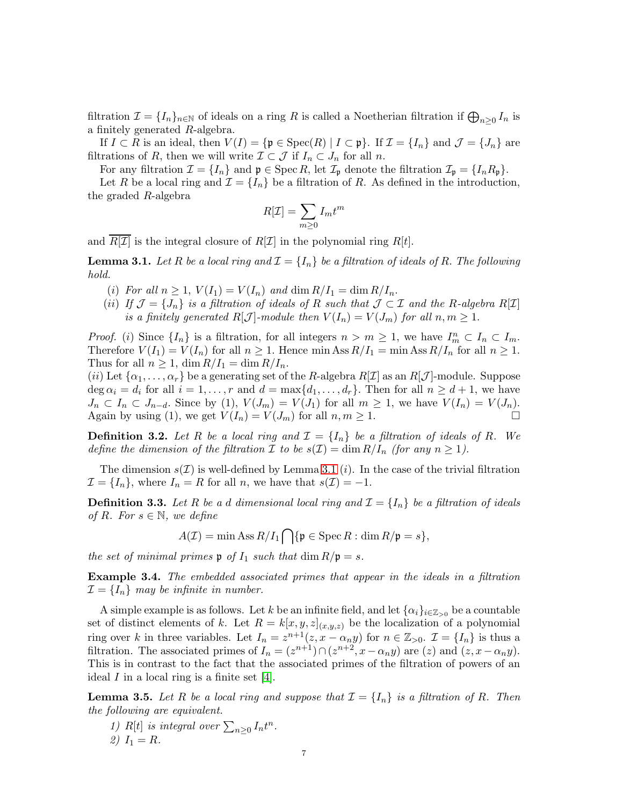filtration  $\mathcal{I} = \{I_n\}_{n\in\mathbb{N}}$  of ideals on a ring R is called a Noetherian filtration if  $\bigoplus_{n\geq 0} I_n$  is a finitely generated R-algebra.

If  $I \subset R$  is an ideal, then  $V(I) = \{ \mathfrak{p} \in \text{Spec}(R) \mid I \subset \mathfrak{p} \}$ . If  $\mathcal{I} = \{I_n\}$  and  $\mathcal{J} = \{J_n\}$  are filtrations of R, then we will write  $\mathcal{I} \subset \mathcal{J}$  if  $I_n \subset J_n$  for all n.

For any filtration  $\mathcal{I} = \{I_n\}$  and  $\mathfrak{p} \in \text{Spec } R$ , let  $\mathcal{I}_{\mathfrak{p}}$  denote the filtration  $\mathcal{I}_{\mathfrak{p}} = \{I_n R_{\mathfrak{p}}\}.$ 

Let R be a local ring and  $\mathcal{I} = \{I_n\}$  be a filtration of R. As defined in the introduction, the graded R-algebra

$$
R[\mathcal{I}] = \sum_{m \ge 0} I_m t^m
$$

and  $R[\mathcal{I}]$  is the integral closure of  $R[\mathcal{I}]$  in the polynomial ring  $R[t]$ .

<span id="page-6-0"></span>**Lemma 3.1.** Let R be a local ring and  $\mathcal{I} = \{I_n\}$  be a filtration of ideals of R. The following hold.

- (i) For all  $n \geq 1$ ,  $V(I_1) = V(I_n)$  and  $\dim R/I_1 = \dim R/I_n$ .
- (ii) If  $\mathcal{J} = \{J_n\}$  is a filtration of ideals of R such that  $\mathcal{J} \subset \mathcal{I}$  and the R-algebra R[I] is a finitely generated  $R[\mathcal{J}]$ -module then  $V(I_n) = V(J_m)$  for all  $n, m \geq 1$ .

*Proof.* (i) Since  $\{I_n\}$  is a filtration, for all integers  $n > m \geq 1$ , we have  $I_m^n \subset I_n \subset I_m$ . Therefore  $V(I_1) = V(I_n)$  for all  $n \geq 1$ . Hence min Ass  $R/I_1 = \min \text{Ass } R/I_n$  for all  $n \geq 1$ . Thus for all  $n \geq 1$ , dim  $R/I_1 = \dim R/I_n$ .

(ii) Let  $\{\alpha_1,\ldots,\alpha_r\}$  be a generating set of the R-algebra  $R[\mathcal{I}]$  as an  $R[\mathcal{J}]$ -module. Suppose  $\deg \alpha_i = d_i$  for all  $i = 1, \ldots, r$  and  $d = \max\{d_1, \ldots, d_r\}$ . Then for all  $n \geq d+1$ , we have  $J_n \subset I_n \subset J_{n-d}$ . Since by (1),  $V(J_m) = V(J_1)$  for all  $m \ge 1$ , we have  $V(I_n) = V(J_n)$ .<br>Again by using (1), we get  $V(I_n) = V(J_m)$  for all  $n, m \ge 1$ . Again by using (1), we get  $V(I_n) = V(J_m)$  for all  $n, m \ge 1$ .

**Definition 3.2.** Let R be a local ring and  $\mathcal{I} = \{I_n\}$  be a filtration of ideals of R. We define the dimension of the filtration  $\mathcal I$  to be  $s(\mathcal I) = \dim R/I_n$  (for any  $n \geq 1$ ).

The dimension  $s(\mathcal{I})$  is well-defined by Lemma [3.1](#page-6-0) (*i*). In the case of the trivial filtration  $\mathcal{I} = \{I_n\}$ , where  $I_n = R$  for all n, we have that  $s(\mathcal{I}) = -1$ .

**Definition 3.3.** Let R be a d dimensional local ring and  $\mathcal{I} = \{I_n\}$  be a filtration of ideals of R. For  $s \in \mathbb{N}$ , we define

 $A(\mathcal{I}) = \min \mathrm{Ass}\, R/I_1 \bigcap {\{\mathfrak{p} \in \mathrm{Spec}\, R : \dim R/\mathfrak{p} = s\}},$ 

the set of minimal primes  $\mathfrak p$  of  $I_1$  such that  $\dim R/\mathfrak p = s$ .

Example 3.4. The embedded associated primes that appear in the ideals in a filtration  $\mathcal{I} = \{I_n\}$  may be infinite in number.

A simple example is as follows. Let k be an infinite field, and let  $\{\alpha_i\}_{i\in\mathbb{Z}_{>0}}$  be a countable set of distinct elements of k. Let  $R = k[x, y, z]_{(x,y,z)}$  be the localization of a polynomial ring over k in three variables. Let  $I_n = z^{n+1}(z, x - \alpha_n y)$  for  $n \in \mathbb{Z}_{>0}$ .  $\mathcal{I} = \{I_n\}$  is thus a filtration. The associated primes of  $I_n = (z^{n+1}) \cap (z^{n+2}, x - \alpha_n y)$  are  $(z)$  and  $(z, x - \alpha_n y)$ . This is in contrast to the fact that the associated primes of the filtration of powers of an ideal  $I$  in a local ring is a finite set [\[4\]](#page-30-12).

<span id="page-6-1"></span>**Lemma 3.5.** Let R be a local ring and suppose that  $\mathcal{I} = \{I_n\}$  is a filtration of R. Then the following are equivalent.

1) R[t] is integral over  $\sum_{n\geq 0} I_n t^n$ . 2)  $I_1 = R$ .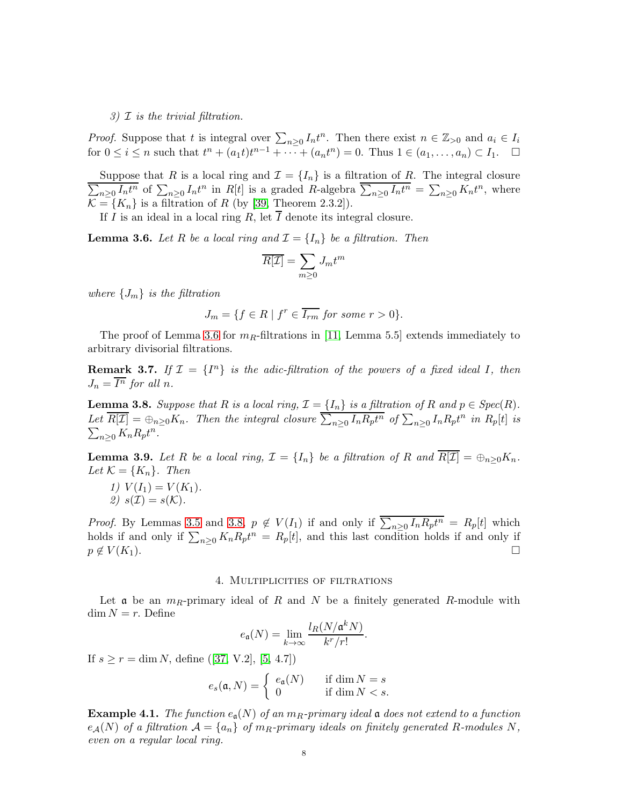3)  $\mathcal I$  is the trivial filtration.

*Proof.* Suppose that t is integral over  $\sum_{n\geq 0} I_n t^n$ . Then there exist  $n \in \mathbb{Z}_{>0}$  and  $a_i \in I_i$ for  $0 \le i \le n$  such that  $t^n + (a_1 t)t^{n-1} + \cdots + (a_n t^n) = 0$ . Thus  $1 \in (a_1, \ldots, a_n) \subset I_1$ .  $\Box$ 

Suppose that R is a local ring and  $\mathcal{I} = \{I_n\}$  is a filtration of R. The integral closure  $\sum_{n\geq 0} I_n t^n$  of  $\sum_{n\geq 0} I_n t^n$  in R[t] is a graded R-algebra  $\sum_{n\geq 0} I_n t^n = \sum_{n\geq 0} K_n t^n$ , where  $\overline{\mathcal{K}} = \{K_n\}$  is a filtration of R (by [\[39,](#page-31-2) Theorem 2.3.2]).

If I is an ideal in a local ring R, let  $\overline{I}$  denote its integral closure.

<span id="page-7-0"></span>**Lemma 3.6.** Let R be a local ring and  $\mathcal{I} = \{I_n\}$  be a filtration. Then

$$
\overline{R[\mathcal{I}]} = \sum_{m \ge 0} J_m t^m
$$

where  $\{J_m\}$  is the filtration

$$
J_m = \{ f \in R \mid f^r \in \overline{I_{rm}} \text{ for some } r > 0 \}.
$$

The proof of Lemma [3.6](#page-7-0) for  $m_R$ -filtrations in [\[11,](#page-30-5) Lemma 5.5] extends immediately to arbitrary divisorial filtrations.

<span id="page-7-3"></span>**Remark 3.7.** If  $\mathcal{I} = \{I^n\}$  is the adic-filtration of the powers of a fixed ideal I, then  $J_n = \overline{I^n}$  for all n.

<span id="page-7-1"></span>**Lemma 3.8.** Suppose that R is a local ring,  $\mathcal{I} = \{I_n\}$  is a filtration of R and  $p \in Spec(R)$ . Let  $\overline{R[\mathcal{I}]} = \bigoplus_{n \geq 0} K_n$ . Then the integral closure  $\sum_{n \geq 0} I_n R_p t^n$  of  $\sum_{n \geq 0} I_n R_p t^n$  in  $R_p[t]$  is  $\sum_{n\geq 0} K_n R_p t^n$ .

<span id="page-7-2"></span>**Lemma 3.9.** Let R be a local ring,  $\mathcal{I} = \{I_n\}$  be a filtration of R and  $\overline{R[\mathcal{I}]} = \bigoplus_{n \geq 0} K_n$ . Let  $\mathcal{K} = \{K_n\}$ . Then

1)  $V(I_1) = V(K_1)$ . 2)  $s(\mathcal{I}) = s(\mathcal{K})$ .

*Proof.* By Lemmas [3.5](#page-6-1) and [3.8,](#page-7-1)  $p \notin V(I_1)$  if and only if  $\sum_{n\geq 0} I_n R_p t^n = R_p[t]$  which holds if and only if  $\sum_{n\geq 0} K_n R_p t^n = R_p[t]$ , and this last condition holds if and only if  $p \notin V(K_1).$ 

## 4. Multiplicities of filtrations

Let  $\alpha$  be an  $m_R$ -primary ideal of R and N be a finitely generated R-module with  $\dim N = r$ . Define

$$
e_{\mathfrak{a}}(N) = \lim_{k \to \infty} \frac{l_R(N/\mathfrak{a}^k N)}{k^r/r!}.
$$

If $s \ge r = \dim N$ , define ([\[37,](#page-31-15) V.2], [\[5,](#page-30-8) 4.7])

$$
e_s(\mathfrak{a}, N) = \begin{cases} e_{\mathfrak{a}}(N) & \text{if } \dim N = s \\ 0 & \text{if } \dim N < s. \end{cases}
$$

**Example 4.1.** The function  $e_a(N)$  of an  $m_R$ -primary ideal a does not extend to a function  $e_{\mathcal{A}}(N)$  of a filtration  $\mathcal{A} = \{a_n\}$  of  $m_R$ -primary ideals on finitely generated R-modules N, even on a regular local ring.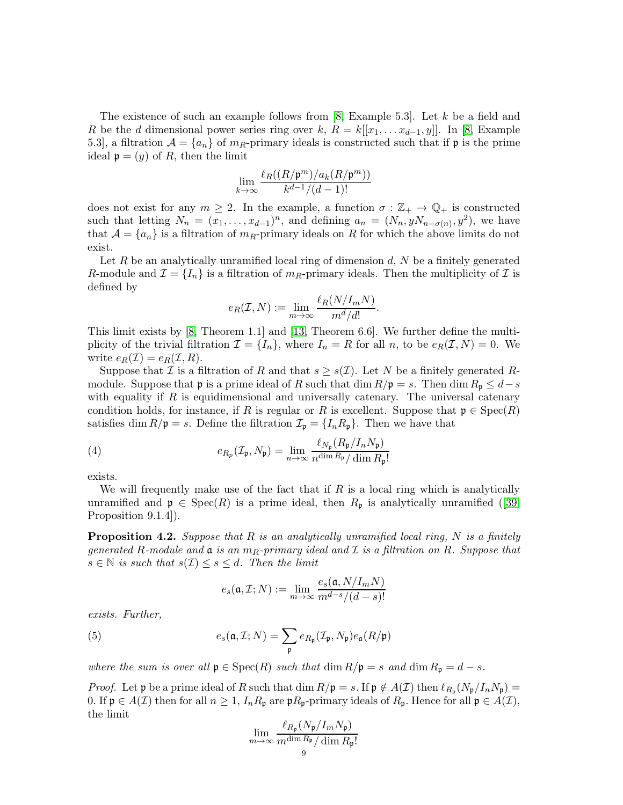The existence of such an example follows from  $[8, Example 5.3]$ . Let k be a field and R be the d dimensional power series ring over k,  $R = k[[x_1, \ldots x_{d-1}, y]]$ . In [\[8,](#page-30-4) Example 5.3], a filtration  $\mathcal{A} = \{a_n\}$  of  $m_R$ -primary ideals is constructed such that if p is the prime ideal  $\mathfrak{p} = (y)$  of R, then the limit

$$
\lim_{k\to\infty}\frac{\ell_R((R/\mathfrak p^m)/a_k(R/\mathfrak p^m))}{k^{d-1}/(d-1)!}
$$

does not exist for any  $m \geq 2$ . In the example, a function  $\sigma : \mathbb{Z}_+ \to \mathbb{Q}_+$  is constructed such that letting  $N_n = (x_1, \ldots, x_{d-1})^n$ , and defining  $a_n = (N_n, yN_{n-\sigma(n)}, y^2)$ , we have that  $\mathcal{A} = \{a_n\}$  is a filtration of  $m_R$ -primary ideals on R for which the above limits do not exist.

Let R be an analytically unramified local ring of dimension  $d$ , N be a finitely generated R-module and  $\mathcal{I} = \{I_n\}$  is a filtration of  $m_R$ -primary ideals. Then the multiplicity of  $\mathcal{I}$  is defined by

$$
e_R(\mathcal{I}, N) := \lim_{m \to \infty} \frac{\ell_R(N/I_m N)}{m^d/d!}.
$$

This limit exists by [\[8,](#page-30-4) Theorem 1.1] and [\[13,](#page-30-1) Theorem 6.6]. We further define the multiplicity of the trivial filtration  $\mathcal{I} = \{I_n\}$ , where  $I_n = R$  for all n, to be  $e_R(\mathcal{I}, N) = 0$ . We write  $e_R(\mathcal{I}) = e_R(\mathcal{I}, R)$ .

Suppose that I is a filtration of R and that  $s \geq s(\mathcal{I})$ . Let N be a finitely generated Rmodule. Suppose that **p** is a prime ideal of R such that dim  $R/\mathfrak{p} = s$ . Then dim  $R_{\mathfrak{p}} \leq d - s$ with equality if  $R$  is equidimensional and universally catenary. The universal catenary condition holds, for instance, if R is regular or R is excellent. Suppose that  $\mathfrak{p} \in \text{Spec}(R)$ satisfies dim  $R/\mathfrak{p} = s$ . Define the filtration  $\mathcal{I}_{\mathfrak{p}} = \{I_n R_{\mathfrak{p}}\}$ . Then we have that

<span id="page-8-2"></span>(4) 
$$
e_{R_p}(\mathcal{I}_{\mathfrak{p}}, N_{\mathfrak{p}}) = \lim_{n \to \infty} \frac{\ell_{N_{\mathfrak{p}}}(R_{\mathfrak{p}}/I_n N_{\mathfrak{p}})}{n^{\dim R_{\mathfrak{p}}}/\dim R_{\mathfrak{p}}!}
$$

exists.

We will frequently make use of the fact that if  $R$  is a local ring which is analytically unramifiedand  $\mathfrak{p} \in \text{Spec}(R)$  is a prime ideal, then  $R_{\mathfrak{p}}$  is analytically unramified ([\[39,](#page-31-2) Proposition 9.1.4]).

<span id="page-8-0"></span>**Proposition 4.2.** Suppose that R is an analytically unramified local ring, N is a finitely generated R-module and  $\mathfrak a$  is an  $m_R$ -primary ideal and  $\mathcal I$  is a filtration on R. Suppose that  $s \in \mathbb{N}$  is such that  $s(\mathcal{I}) \leq s \leq d$ . Then the limit

<span id="page-8-1"></span>
$$
e_s(\mathfrak{a}, \mathcal{I}; N) := \lim_{m \to \infty} \frac{e_s(\mathfrak{a}, N/I_m N)}{m^{d-s}/(d-s)!}
$$

exists. Further,

(5) 
$$
e_s(\mathfrak{a}, \mathcal{I}; N) = \sum_{\mathfrak{p}} e_{R_{\mathfrak{p}}}(\mathcal{I}_{\mathfrak{p}}, N_{\mathfrak{p}}) e_{\mathfrak{a}}(R/\mathfrak{p})
$$

where the sum is over all  $\mathfrak{p} \in \text{Spec}(R)$  such that  $\dim R/\mathfrak{p} = s$  and  $\dim R_{\mathfrak{p}} = d - s$ .

*Proof.* Let  $\mathfrak p$  be a prime ideal of R such that  $\dim R/\mathfrak p = s$ . If  $\mathfrak p \notin A(\mathcal{I})$  then  $\ell_{R_{\mathfrak p}}(N_{\mathfrak p}/I_nN_{\mathfrak p}) =$ 0. If  $\mathfrak{p} \in A(\mathcal{I})$  then for all  $n \geq 1$ ,  $I_n R_{\mathfrak{p}}$  are  $\mathfrak{p} R_{\mathfrak{p}}$ -primary ideals of  $R_{\mathfrak{p}}$ . Hence for all  $\mathfrak{p} \in A(\mathcal{I})$ , the limit

$$
\lim_{m \to \infty} \frac{\ell_{R_{\mathfrak{p}}}(N_{\mathfrak{p}}/I_m N_{\mathfrak{p}})}{m^{\dim R_{\mathfrak{p}}}/\dim R_{\mathfrak{p}}!}
$$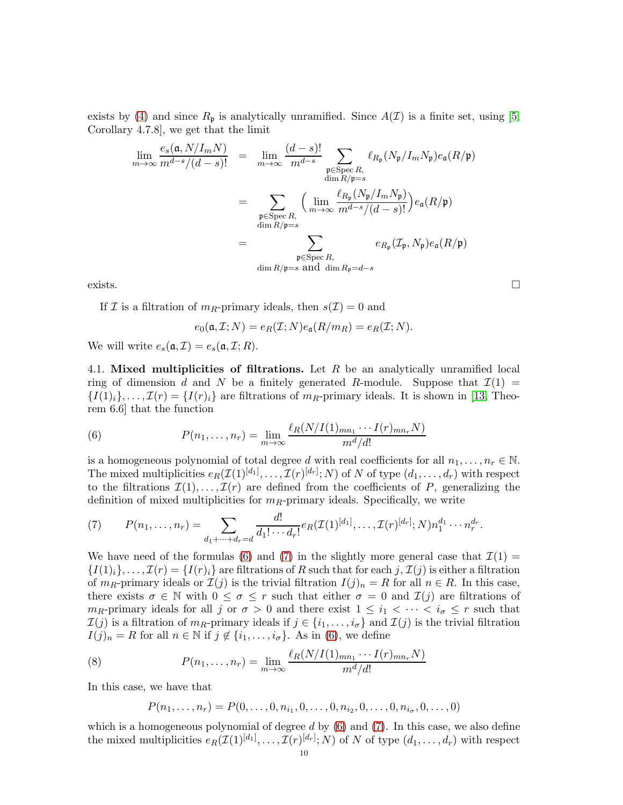exists by [\(4\)](#page-8-2) and since  $R_p$  is analytically unramified. Since  $A(\mathcal{I})$  is a finite set, using [\[5,](#page-30-8) Corollary 4.7.8], we get that the limit

$$
\lim_{m \to \infty} \frac{e_s(\mathfrak{a}, N/I_m N)}{m^{d-s}/(d-s)!} = \lim_{m \to \infty} \frac{(d-s)!}{m^{d-s}} \sum_{\substack{\mathfrak{p} \in \text{Spec } R, \\ \dim R/\mathfrak{p}=s}} \ell_{R_{\mathfrak{p}}}(N_{\mathfrak{p}}/I_m N_{\mathfrak{p}}) e_{\mathfrak{a}}(R/\mathfrak{p})
$$
\n
$$
= \sum_{\substack{\mathfrak{p} \in \text{Spec } R, \\ \dim R/\mathfrak{p}=s}} \left(\lim_{m \to \infty} \frac{\ell_{R_{\mathfrak{p}}}(N_{\mathfrak{p}}/I_m N_{\mathfrak{p}})}{m^{d-s}/(d-s)!}\right) e_{\mathfrak{a}}(R/\mathfrak{p})
$$
\n
$$
= \sum_{\substack{\mathfrak{p} \in \text{Spec } R, \\ \dim R/\mathfrak{p}=s}} e_{R_{\mathfrak{p}}}(L_{\mathfrak{p}}, N_{\mathfrak{p}}) e_{\mathfrak{a}}(R/\mathfrak{p})
$$
\n
$$
\lim_{R/\mathfrak{p}=s} \sum_{\substack{\mathfrak{a} \in \text{Spec } R, \\ \dim R/\mathfrak{p}=s}} e_{R_{\mathfrak{p}}}(L_{\mathfrak{p}}, N_{\mathfrak{p}}) e_{\mathfrak{a}}(R/\mathfrak{p})
$$

exists.  $\Box$ 

If  $\mathcal I$  is a filtration of  $m_R$ -primary ideals, then  $s(\mathcal I)=0$  and

$$
e_0(\mathfrak{a}, \mathcal{I}; N) = e_R(\mathcal{I}; N) e_{\mathfrak{a}}(R/m_R) = e_R(\mathcal{I}; N).
$$

We will write  $e_s(\mathfrak{a}, \mathcal{I}) = e_s(\mathfrak{a}, \mathcal{I}; R)$ .

4.1. Mixed multiplicities of filtrations. Let  $R$  be an analytically unramified local ring of dimension d and N be a finitely generated R-module. Suppose that  $\mathcal{I}(1)$  =  $\{I(1)_i\}, \ldots, I(\mathcal{T}) = \{I(r)_i\}$  are filtrations of  $m_R$ -primary ideals. It is shown in [\[13,](#page-30-1) Theorem 6.6] that the function

<span id="page-9-0"></span>(6) 
$$
P(n_1,\ldots,n_r) = \lim_{m\to\infty} \frac{\ell_R(N/I(1)_{mn_1}\cdots I(r)_{mn_r}N)}{m^d/d!}
$$

is a homogeneous polynomial of total degree d with real coefficients for all  $n_1, \ldots, n_r \in \mathbb{N}$ . The mixed multiplicities  $e_R(\mathcal{I}(1)^{[d_1]}, \ldots, \mathcal{I}(r)^{[d_r]}; N)$  of N of type  $(d_1, \ldots, d_r)$  with respect to the filtrations  $\mathcal{I}(1), \ldots, \mathcal{I}(r)$  are defined from the coefficients of P, generalizing the definition of mixed multiplicities for  $m_R$ -primary ideals. Specifically, we write

<span id="page-9-1"></span>(7) 
$$
P(n_1,\ldots,n_r) = \sum_{d_1+\cdots+d_r=d} \frac{d!}{d_1!\cdots d_r!} e_R(\mathcal{I}(1)^{[d_1]},\ldots,\mathcal{I}(r)^{[d_r]};N) n_1^{d_1}\cdots n_r^{d_r}.
$$

We have need of the formulas [\(6\)](#page-9-0) and [\(7\)](#page-9-1) in the slightly more general case that  $\mathcal{I}(1)$  =  $\{I(1)_i\}, \ldots, I(r) = \{I(r)_i\}$  are filtrations of R such that for each j,  $I(j)$  is either a filtration of  $m_R$ -primary ideals or  $\mathcal{I}(j)$  is the trivial filtration  $I(j)_n = R$  for all  $n \in R$ . In this case, there exists  $\sigma \in \mathbb{N}$  with  $0 \leq \sigma \leq r$  such that either  $\sigma = 0$  and  $\mathcal{I}(j)$  are filtrations of  $m_R$ -primary ideals for all j or  $\sigma > 0$  and there exist  $1 \leq i_1 < \cdots < i_{\sigma} \leq r$  such that  $\mathcal{I}(j)$  is a filtration of  $m_R$ -primary ideals if  $j \in \{i_1, \ldots, i_\sigma\}$  and  $\mathcal{I}(j)$  is the trivial filtration  $I(j)_n = R$  for all  $n \in \mathbb{N}$  if  $j \notin \{i_1, \ldots, i_\sigma\}$ . As in [\(6\)](#page-9-0), we define

(8) 
$$
P(n_1,...,n_r) = \lim_{m \to \infty} \frac{\ell_R(N/I(1)_{mn_1} \cdots I(r)_{mn_r} N)}{m^d/d!}
$$

In this case, we have that

<span id="page-9-2"></span>
$$
P(n_1, \ldots, n_r) = P(0, \ldots, 0, n_{i_1}, 0, \ldots, 0, n_{i_2}, 0, \ldots, 0, n_{i_\sigma}, 0, \ldots, 0)
$$

which is a homogeneous polynomial of degree d by  $(6)$  and  $(7)$ . In this case, we also define the mixed multiplicities  $e_R(\mathcal{I}(1)^{[d_1]}, \ldots, \mathcal{I}(r)^{[d_r]}; N)$  of N of type  $(d_1, \ldots, d_r)$  with respect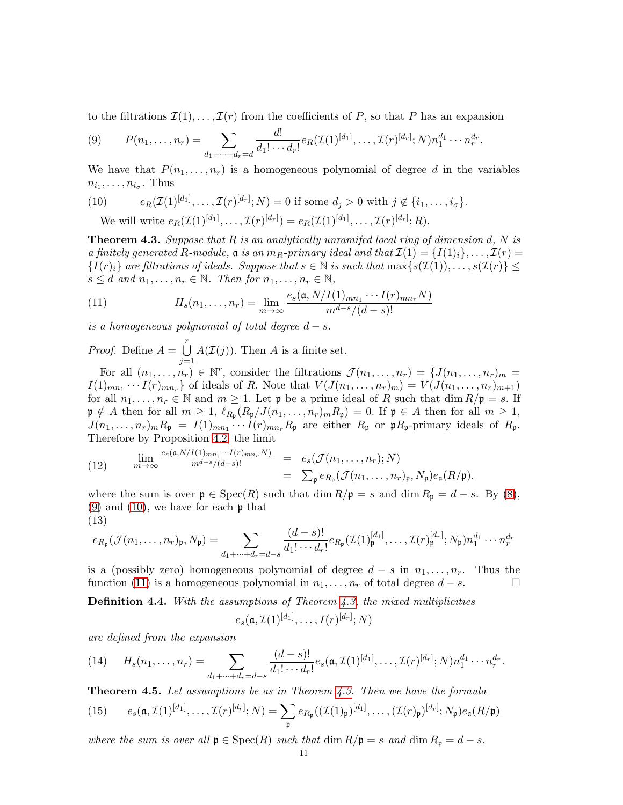to the filtrations  $\mathcal{I}(1), \ldots, \mathcal{I}(r)$  from the coefficients of P, so that P has an expansion

<span id="page-10-3"></span>(9) 
$$
P(n_1,\ldots,n_r) = \sum_{d_1+\cdots+d_r=d} \frac{d!}{d_1!\cdots d_r!} e_R(\mathcal{I}(1)^{[d_1]},\ldots,\mathcal{I}(r)^{[d_r]};N) n_1^{d_1}\cdots n_r^{d_r}.
$$

We have that  $P(n_1, \ldots, n_r)$  is a homogeneous polynomial of degree d in the variables  $n_{i_1}, \ldots, n_{i_\sigma}$ . Thus

<span id="page-10-4"></span>(10) 
$$
e_R(\mathcal{I}(1)^{[d_1]}, \dots, \mathcal{I}(r)^{[d_r]}; N) = 0 \text{ if some } d_j > 0 \text{ with } j \notin \{i_1, \dots, i_\sigma\}.
$$
  
We will write 
$$
e_R(\mathcal{I}(1)^{[d_1]}, \dots, \mathcal{I}(r)^{[d_r]}) = e_R(\mathcal{I}(1)^{[d_1]}, \dots, \mathcal{I}(r)^{[d_r]}; R).
$$

<span id="page-10-0"></span>**Theorem 4.3.** Suppose that  $R$  is an analytically unramifed local ring of dimension d,  $N$  is a finitely generated R-module,  $\mathfrak{a}$  is an  $m_R$ -primary ideal and that  $\mathcal{I}(1) = \{I(1)_i\}, \ldots, \mathcal{I}(r) =$  $\{I(r)<sub>i</sub>\}$  are filtrations of ideals. Suppose that  $s \in \mathbb{N}$  is such that  $\max\{s(\mathcal{I}(1)), \ldots, s(\mathcal{I}(r))\} \leq$  $s \leq d$  and  $n_1, \ldots, n_r \in \mathbb{N}$ . Then for  $n_1, \ldots, n_r \in \mathbb{N}$ ,

<span id="page-10-5"></span>(11) 
$$
H_s(n_1,\ldots,n_r) = \lim_{m\to\infty} \frac{e_s(\mathfrak{a}, N/I(1)_{mn_1}\cdots I(r)_{mn_r}N)}{m^{d-s}/(d-s)!}
$$

is a homogeneous polynomial of total degree  $d - s$ .

*Proof.* Define  $A = \bigcup^{r}$  $j=1$  $A(\mathcal{I}(j))$ . Then A is a finite set.

For all  $(n_1,\ldots,n_r) \in \mathbb{N}^r$ , consider the filtrations  $\mathcal{J}(n_1,\ldots,n_r) = \{J(n_1,\ldots,n_r)_m =$  $I(1)_{mn_1}\cdots I(r)_{mn_r}$  of ideals of R. Note that  $V(J(n_1,\ldots,n_r)_m)=V(J(n_1,\ldots,n_r)_{m+1})$ for all  $n_1, \ldots, n_r \in \mathbb{N}$  and  $m \geq 1$ . Let  $\mathfrak{p}$  be a prime ideal of R such that  $\dim R/\mathfrak{p} = s$ . If  $\mathfrak{p} \notin A$  then for all  $m \geq 1$ ,  $\ell_{R_{\mathfrak{p}}}(R_{\mathfrak{p}}/J(n_1,\ldots,n_r)_m R_{\mathfrak{p}}) = 0$ . If  $\mathfrak{p} \in A$  then for all  $m \geq 1$ ,  $J(n_1,\ldots,n_r)_m R_{\mathfrak{p}} = I(1)_{mn_1}\cdots I(r)_{mn_r} R_{\mathfrak{p}}$  are either  $R_{\mathfrak{p}}$  or  $\mathfrak{p}R_{\mathfrak{p}}$ -primary ideals of  $R_{\mathfrak{p}}$ . Therefore by Proposition [4.2,](#page-8-0) the limit

<span id="page-10-6"></span>(12) 
$$
\lim_{m \to \infty} \frac{e_s(\mathfrak{a}, N/I(1)_{mn_1} \cdots I(r)_{mn_r} N)}{m^{d-s}/(d-s)!} = e_s(\mathcal{J}(n_1, \ldots, n_r); N)
$$

$$
= \sum_{\mathfrak{p}} e_{R_{\mathfrak{p}}}(\mathcal{J}(n_1, \ldots, n_r)_{\mathfrak{p}}, N_{\mathfrak{p}}) e_{\mathfrak{a}}(R/\mathfrak{p}).
$$

where the sum is over  $\mathfrak{p} \in \text{Spec}(R)$  such that  $\dim R/\mathfrak{p} = s$  and  $\dim R_{\mathfrak{p}} = d - s$ . By [\(8\)](#page-9-2),  $(9)$  and  $(10)$ , we have for each  $\mathfrak p$  that (13)

<span id="page-10-7"></span>
$$
e_{R_{\mathfrak{p}}}(\mathcal{J}(n_1,\ldots,n_r)_{\mathfrak{p}},N_{\mathfrak{p}})=\sum_{d_1+\cdots+d_r=d-s}\frac{(d-s)!}{d_1!\cdots d_r!}e_{R_{\mathfrak{p}}}(\mathcal{I}(1)_{\mathfrak{p}}^{[d_1]},\ldots,\mathcal{I}(r)_{\mathfrak{p}}^{[d_r]};N_{\mathfrak{p}})n_1^{d_1}\cdots n_r^{d_r}
$$

is a (possibly zero) homogeneous polynomial of degree  $d - s$  in  $n_1, \ldots, n_r$ . Thus the function [\(11\)](#page-10-5) is a homogeneous polynomial in  $n_1, \ldots, n_r$  of total degree  $d - s$ .

<span id="page-10-1"></span>**Definition 4.4.** With the assumptions of Theorem  $\ddot{A}$ ,  $\ddot{B}$ , the mixed multiplicities

$$
e_s(\mathfrak{a}, \mathcal{I}(1)^{[d_1]}, \ldots, I(r)^{[d_r]}; N)
$$

are defined from the expansion

(14) 
$$
H_s(n_1,\ldots,n_r) = \sum_{d_1+\cdots+d_r=d-s} \frac{(d-s)!}{d_1!\cdots d_r!} e_s(\mathfrak{a},\mathcal{I}(1)^{[d_1]},\ldots,\mathcal{I}(r)^{[d_r]};N) n_1^{d_1}\cdots n_r^{d_r}.
$$

<span id="page-10-8"></span>**Theorem 4.5.** Let assumptions be as in Theorem [4.3.](#page-10-0) Then we have the formula

<span id="page-10-2"></span>(15) 
$$
e_s(\mathfrak{a}, \mathcal{I}(1)^{[d_1]}, \ldots, \mathcal{I}(r)^{[d_r]}; N) = \sum_{\mathfrak{p}} e_{R_{\mathfrak{p}}}((\mathcal{I}(1)_{\mathfrak{p}})^{[d_1]}, \ldots, (\mathcal{I}(r)_{\mathfrak{p}})^{[d_r]}; N_{\mathfrak{p}})e_{\mathfrak{a}}(R/\mathfrak{p})
$$

where the sum is over all  $\mathfrak{p} \in \text{Spec}(R)$  such that  $\dim R/\mathfrak{p} = s$  and  $\dim R_{\mathfrak{p}} = d - s$ .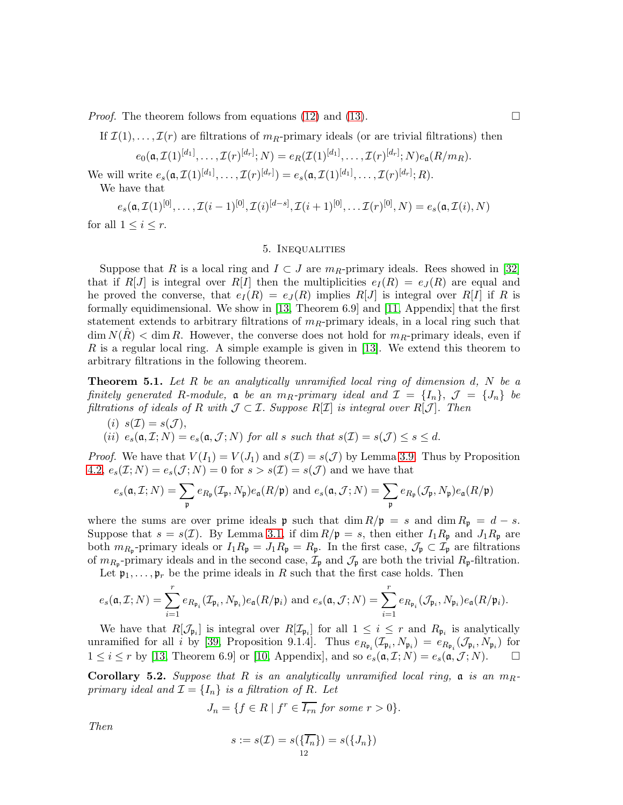*Proof.* The theorem follows from equations [\(12\)](#page-10-6) and [\(13\)](#page-10-7).  $\Box$ 

If  $\mathcal{I}(1), \ldots, \mathcal{I}(r)$  are filtrations of  $m_R$ -primary ideals (or are trivial filtrations) then

$$
e_0(\mathfrak{a},\mathcal{I}(1)^{[d_1]},\ldots,\mathcal{I}(r)^{[d_r]};N)=e_R(\mathcal{I}(1)^{[d_1]},\ldots,\mathcal{I}(r)^{[d_r]};N)e_{\mathfrak{a}}(R/m_R).
$$

We will write  $e_s(\mathfrak{a}, \mathcal{I}(1)^{[d_1]}, \ldots, \mathcal{I}(r)^{[d_r]}) = e_s(\mathfrak{a}, \mathcal{I}(1)^{[d_1]}, \ldots, \mathcal{I}(r)^{[d_r]}; R)$ .

We have that

 $e_s(\mathfrak{a}, \mathcal{I}(1)^{[0]}, \dots, \mathcal{I}(i-1)^{[0]}, \mathcal{I}(i)^{[d-s]}, \mathcal{I}(i+1)^{[0]}, \dots \mathcal{I}(r)^{[0]}, N) = e_s(\mathfrak{a}, \mathcal{I}(i), N)$ 

<span id="page-11-0"></span>for all  $1 \leq i \leq r$ .

#### 5. Inequalities

Suppose that R is a local ring and  $I \subset J$  are  $m_R$ -primary ideals. Rees showed in [\[32\]](#page-31-0) that if  $R[J]$  is integral over  $R[I]$  then the multiplicities  $e_I(R) = e_J(R)$  are equal and he proved the converse, that  $e_I(R) = e_J(R)$  implies  $R[J]$  is integral over  $R[I]$  if R is formally equidimensional. We show in [\[13,](#page-30-1) Theorem 6.9] and [\[11,](#page-30-5) Appendix] that the first statement extends to arbitrary filtrations of  $m_R$ -primary ideals, in a local ring such that  $\dim N(R) < \dim R$ . However, the converse does not hold for  $m_R$ -primary ideals, even if R is a regular local ring. A simple example is given in [\[13\]](#page-30-1). We extend this theorem to arbitrary filtrations in the following theorem.

<span id="page-11-1"></span>**Theorem 5.1.** Let R be an analytically unramified local ring of dimension  $d$ , N be a finitely generated R-module,  $\mathfrak{a}$  be an  $m_R$ -primary ideal and  $\mathcal{I} = \{I_n\}$ ,  $\mathcal{J} = \{J_n\}$  be filtrations of ideals of R with  $\mathcal{J} \subset \mathcal{I}$ . Suppose  $R[\mathcal{I}]$  is integral over  $R[\mathcal{J}]$ . Then

- $(i)$   $s(\mathcal{I}) = s(\mathcal{J})$ ,
- (ii)  $e_s(\mathfrak{a}, \mathcal{I}; N) = e_s(\mathfrak{a}, \mathcal{J}; N)$  for all s such that  $s(\mathcal{I}) = s(\mathcal{J}) \leq s \leq d$ .

*Proof.* We have that  $V(I_1) = V(J_1)$  and  $s(\mathcal{I}) = s(\mathcal{J})$  by Lemma [3.9.](#page-7-2) Thus by Proposition [4.2,](#page-8-0)  $e_s(\mathcal{I}; N) = e_s(\mathcal{J}; N) = 0$  for  $s > s(\mathcal{I}) = s(\mathcal{J})$  and we have that

$$
e_s(\mathfrak{a}, \mathcal{I}; N) = \sum_{\mathfrak{p}} e_{R_{\mathfrak{p}}}(\mathcal{I}_{\mathfrak{p}}, N_{\mathfrak{p}}) e_{\mathfrak{a}}(R/\mathfrak{p}) \text{ and } e_s(\mathfrak{a}, \mathcal{J}; N) = \sum_{\mathfrak{p}} e_{R_{\mathfrak{p}}}(\mathcal{J}_{\mathfrak{p}}, N_{\mathfrak{p}}) e_{\mathfrak{a}}(R/\mathfrak{p})
$$

where the sums are over prime ideals **p** such that  $\dim R/\mathfrak{p} = s$  and  $\dim R_{\mathfrak{p}} = d - s$ . Suppose that  $s = s(\mathcal{I})$ . By Lemma [3.1,](#page-6-0) if  $\dim R/\mathfrak{p} = s$ , then either  $I_1R_{\mathfrak{p}}$  and  $J_1R_{\mathfrak{p}}$  are both  $m_{R_{\mathfrak{p}}}$ -primary ideals or  $I_1R_{\mathfrak{p}} = J_1R_{\mathfrak{p}} = R_{\mathfrak{p}}$ . In the first case,  $\mathcal{J}_{\mathfrak{p}} \subset \mathcal{I}_{\mathfrak{p}}$  are filtrations of  $m_{R_{\mathfrak{p}}}$ -primary ideals and in the second case,  $\mathcal{I}_{\mathfrak{p}}$  and  $\mathcal{J}_{\mathfrak{p}}$  are both the trivial  $R_{\mathfrak{p}}$ -filtration.

Let  $\mathfrak{p}_1, \ldots, \mathfrak{p}_r$  be the prime ideals in R such that the first case holds. Then

$$
e_s(\mathfrak{a}, \mathcal{I}; N) = \sum_{i=1}^r e_{R_{\mathfrak{p}_i}}(\mathcal{I}_{\mathfrak{p}_i}, N_{\mathfrak{p}_i}) e_{\mathfrak{a}}(R/\mathfrak{p}_i) \text{ and } e_s(\mathfrak{a}, \mathcal{J}; N) = \sum_{i=1}^r e_{R_{\mathfrak{p}_i}}(\mathcal{J}_{\mathfrak{p}_i}, N_{\mathfrak{p}_i}) e_{\mathfrak{a}}(R/\mathfrak{p}_i).
$$

We have that  $R[\mathcal{J}_{\mathfrak{p}_i}]$  is integral over  $R[\mathcal{I}_{\mathfrak{p}_i}]$  for all  $1 \leq i \leq r$  and  $R_{\mathfrak{p}_i}$  is analytically unramified for all *i* by [\[39,](#page-31-2) Proposition 9.1.4]. Thus  $e_{R_{\mathfrak{p}_i}}(\mathcal{I}_{\mathfrak{p}_i}, N_{\mathfrak{p}_i}) = e_{R_{\mathfrak{p}_i}}(\mathcal{J}_{\mathfrak{p}_i}, N_{\mathfrak{p}_i})$  for  $1 \leq i \leq r$  by [\[13,](#page-30-1) Theorem 6.9] or [\[10,](#page-30-9) Appendix], and so  $e_s(\mathfrak{a}, \mathcal{I}; N) = e_s(\mathfrak{a}, \mathcal{J}; N)$ .

**Corollary 5.2.** Suppose that R is an analytically unramified local ring,  $\mathfrak{a}$  is an  $m_{R}$ primary ideal and  $\mathcal{I} = \{I_n\}$  is a filtration of R. Let

$$
J_n = \{ f \in R \mid f^r \in \overline{I_{rn}} \text{ for some } r > 0 \}.
$$

Then

$$
s := s(\mathcal{I}) = s(\{\overline{I_n}\}) = s(\{J_n\})
$$
  
<sub>12</sub>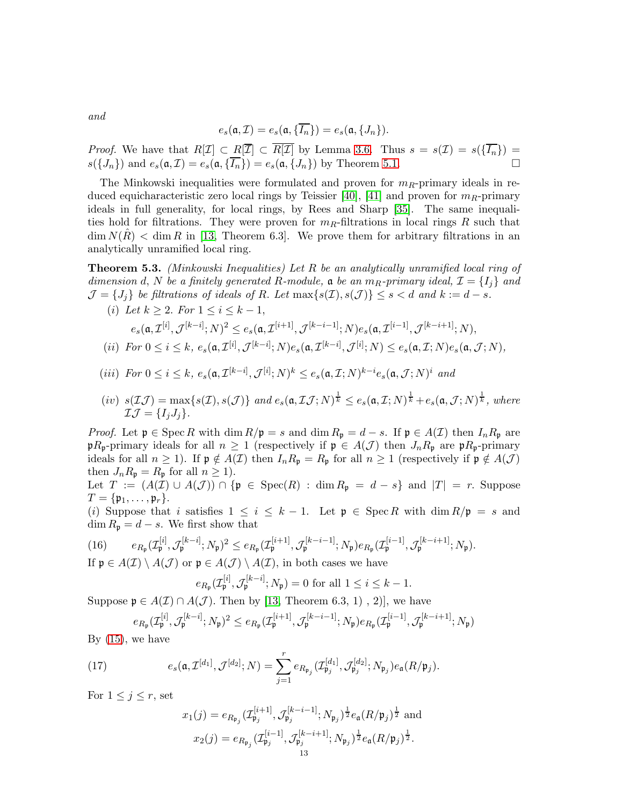and

$$
e_s(\mathfrak{a}, \mathcal{I}) = e_s(\mathfrak{a}, \{\overline{I_n}\}) = e_s(\mathfrak{a}, \{J_n\}).
$$

*Proof.* We have that  $R[\mathcal{I}] \subset R[\mathcal{I}] \subset R[\mathcal{I}]$  by Lemma [3.6.](#page-7-0) Thus  $s = s(\mathcal{I}) = s(\{I_n\}) =$  $s({J_n})$  and  $e_s(\mathfrak{a}, \mathcal{I}) = e_s(\mathfrak{a}, {\overline{I_n}}) = e_s(\mathfrak{a}, {J_n})$  by Theorem [5.1.](#page-11-1)

The Minkowski inequalities were formulated and proven for  $m_R$ -primary ideals in re-duced equicharacteristic zero local rings by Teissier [\[40\]](#page-31-1), [\[41\]](#page-31-5) and proven for  $m_R$ -primary ideals in full generality, for local rings, by Rees and Sharp [\[35\]](#page-31-6). The same inequalities hold for filtrations. They were proven for  $m_R$ -filtrations in local rings R such that  $\dim N(R) < \dim R$  in [\[13,](#page-30-1) Theorem 6.3]. We prove them for arbitrary filtrations in an analytically unramified local ring.

<span id="page-12-0"></span>Theorem 5.3. (Minkowski Inequalities) Let R be an analytically unramified local ring of dimension d, N be a finitely generated R-module,  $\mathfrak{a}$  be an  $m_R$ -primary ideal,  $\mathcal{I} = \{I_i\}$  and  $\mathcal{J} = \{J_i\}$  be filtrations of ideals of R. Let  $\max\{s(\mathcal{I}), s(\mathcal{J})\} \leq s < d$  and  $k := d - s$ .

(i) Let  $k > 2$ . For  $1 \le i \le k - 1$ ,

$$
e_s(\mathfrak{a}, \mathcal{I}^{[i]}, \mathcal{J}^{[k-i]}; N)^2 \leq e_s(\mathfrak{a}, \mathcal{I}^{[i+1]}, \mathcal{J}^{[k-i-1]}; N)e_s(\mathfrak{a}, \mathcal{I}^{[i-1]}, \mathcal{J}^{[k-i+1]}; N),
$$

$$
(ii) \ \ For \ 0 \leq i \leq k, \ e_s(\mathfrak{a}, \mathcal{I}^{[i]}, \mathcal{J}^{[k-i]}; N) e_s(\mathfrak{a}, \mathcal{I}^{[k-i]}, \mathcal{J}^{[i]}; N) \leq e_s(\mathfrak{a}, \mathcal{I}; N) e_s(\mathfrak{a}, \mathcal{J}; N),
$$

- (iii) For  $0 \leq i \leq k$ ,  $e_s(\mathfrak{a}, \mathcal{I}^{[k-i]}, \mathcal{J}^{[i]}; N)^k \leq e_s(\mathfrak{a}, \mathcal{I}; N)^{k-i} e_s(\mathfrak{a}, \mathcal{J}; N)^i$  and
- $(iv)$   $s(\mathcal{I}\mathcal{J}) = \max\{s(\mathcal{I}), s(\mathcal{J})\}\$ and  $e_s(\mathfrak{a},\mathcal{I}\mathcal{J};N)^{\frac{1}{k}} \leq e_s(\mathfrak{a},\mathcal{I};N)^{\frac{1}{k}} + e_s(\mathfrak{a},\mathcal{J};N)^{\frac{1}{k}}\$ , where  $\mathcal{I}\mathcal{J}=\{I_iJ_j\}.$

*Proof.* Let  $\mathfrak{p} \in \operatorname{Spec} R$  with  $\dim R/\mathfrak{p} = s$  and  $\dim R_{\mathfrak{p}} = d - s$ . If  $\mathfrak{p} \in A(\mathcal{I})$  then  $I_n R_{\mathfrak{p}}$  are  $pR_p$ -primary ideals for all  $n \geq 1$  (respectively if  $p \in A(\mathcal{J})$  then  $J_nR_p$  are  $pR_p$ -primary ideals for all  $n \ge 1$ ). If  $\mathfrak{p} \notin A(\mathcal{I})$  then  $I_n R_{\mathfrak{p}} = R_{\mathfrak{p}}$  for all  $n \ge 1$  (respectively if  $\mathfrak{p} \notin A(\mathcal{J})$ then  $J_n R_{\mathfrak{p}} = R_{\mathfrak{p}}$  for all  $n \geq 1$ ).

Let  $T := (A(\mathcal{I}) \cup A(\mathcal{J})) \cap \{ \mathfrak{p} \in \text{Spec}(R) : \dim R_{\mathfrak{p}} = d - s \}$  and  $|T| = r$ . Suppose  $T = \{ \mathfrak{p}_1, \ldots, \mathfrak{p}_r \}.$ 

(i) Suppose that i satisfies  $1 \leq i \leq k-1$ . Let  $\mathfrak{p} \in \operatorname{Spec} R$  with  $\dim R/\mathfrak{p} = s$  and  $\dim R_{\mathfrak{p}} = d - s$ . We first show that

<span id="page-12-2"></span>(16) 
$$
e_{R_{\mathfrak{p}}}(\mathcal{I}_{\mathfrak{p}}^{[i]}, \mathcal{J}_{\mathfrak{p}}^{[k-i]}; N_{\mathfrak{p}})^{2} \leq e_{R_{\mathfrak{p}}}(\mathcal{I}_{\mathfrak{p}}^{[i+1]}, \mathcal{J}_{\mathfrak{p}}^{[k-i-1]}; N_{\mathfrak{p}})e_{R_{\mathfrak{p}}}(\mathcal{I}_{\mathfrak{p}}^{[i-1]}, \mathcal{J}_{\mathfrak{p}}^{[k-i+1]}; N_{\mathfrak{p}}).
$$
If  $\mathfrak{p} \in A(\mathcal{I}) \setminus A(\mathcal{I})$  on  $\mathfrak{p} \in A(\mathcal{I}) \setminus A(\mathcal{I})$  in both cases we have

If  $\mathfrak{p} \in A(\mathcal{I}) \setminus A(\mathcal{J})$  or  $\mathfrak{p} \in A(\mathcal{J}) \setminus A(\mathcal{I})$ , in both cases we have

$$
e_{R_{\mathfrak{p}}}(\mathcal{I}_{\mathfrak{p}}^{[i]}, \mathcal{J}_{\mathfrak{p}}^{[k-i]}; N_{\mathfrak{p}}) = 0 \text{ for all } 1 \leq i \leq k-1.
$$

Suppose  $\mathfrak{p} \in A(\mathcal{I}) \cap A(\mathcal{J})$ . Then by [\[13,](#page-30-1) Theorem 6.3, 1), 2)], we have

$$
e_{R_\mathfrak{p}}(\mathcal{I}^{[i]}_\mathfrak{p},\mathcal{J}^{[k-i]}_\mathfrak{p};N_\mathfrak{p})^2\leq e_{R_\mathfrak{p}}(\mathcal{I}^{[i+1]}_\mathfrak{p},\mathcal{J}^{[k-i-1]}_\mathfrak{p};N_\mathfrak{p})e_{R_\mathfrak{p}}(\mathcal{I}^{[i-1]}_\mathfrak{p},\mathcal{J}^{[k-i+1]}_\mathfrak{p};N_\mathfrak{p})
$$

By  $(15)$ , we have

(17) 
$$
e_s(\mathfrak{a}, \mathcal{I}^{[d_1]}, \mathcal{J}^{[d_2]}; N) = \sum_{j=1}^r e_{R_{\mathfrak{p}_j}}(\mathcal{I}_{\mathfrak{p}_j}^{[d_1]}, \mathcal{J}_{\mathfrak{p}_j}^{[d_2]}; N_{\mathfrak{p}_j}) e_{\mathfrak{a}}(R/\mathfrak{p}_j).
$$

For  $1 \leq j \leq r$ , set

<span id="page-12-1"></span>
$$
x_1(j) = e_{R_{\mathfrak{p}_j}}(\mathcal{I}_{\mathfrak{p}_j}^{[i+1]}, \mathcal{J}_{\mathfrak{p}_j}^{[k-i-1]}; N_{\mathfrak{p}_j})^{\frac{1}{2}} e_{\mathfrak{a}}(R/\mathfrak{p}_j)^{\frac{1}{2}}
$$
 and  

$$
x_2(j) = e_{R_{\mathfrak{p}_j}}(\mathcal{I}_{\mathfrak{p}_j}^{[i-1]}, \mathcal{J}_{\mathfrak{p}_j}^{[k-i+1]}; N_{\mathfrak{p}_j})^{\frac{1}{2}} e_{\mathfrak{a}}(R/\mathfrak{p}_j)^{\frac{1}{2}}.
$$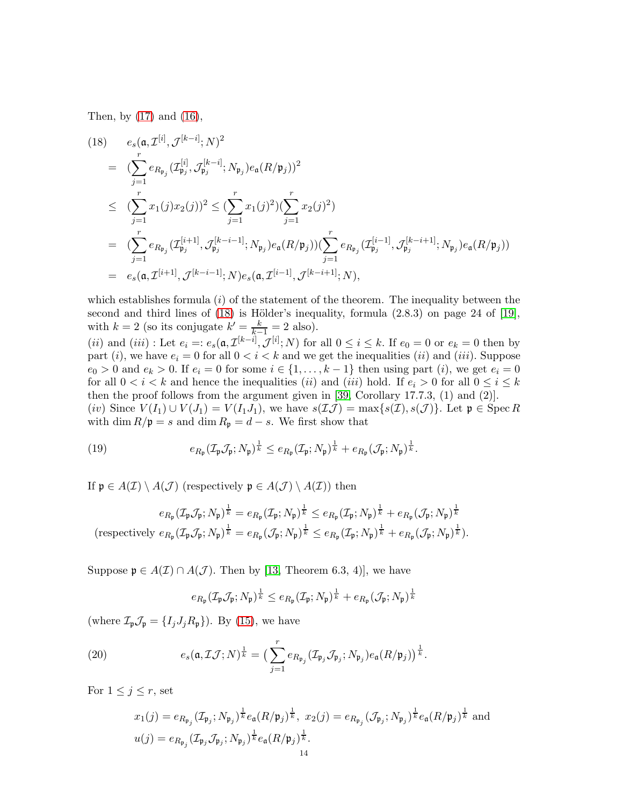Then, by [\(17\)](#page-12-1) and [\(16\)](#page-12-2),

<span id="page-13-0"></span>(18) 
$$
e_s(\mathfrak{a}, \mathcal{I}^{[i]}, \mathcal{J}^{[k-i]}; N)^2
$$
  
\n
$$
= (\sum_{j=1}^r e_{R_{\mathfrak{p}_j}}(\mathcal{I}_{\mathfrak{p}_j}^{[i]}, \mathcal{J}_{\mathfrak{p}_j}^{[k-i]}; N_{\mathfrak{p}_j})e_{\mathfrak{a}}(R/\mathfrak{p}_j))^2
$$
\n
$$
\leq (\sum_{j=1}^r x_1(j)x_2(j))^2 \leq (\sum_{j=1}^r x_1(j)^2)(\sum_{j=1}^r x_2(j)^2)
$$
\n
$$
= (\sum_{j=1}^r e_{R_{\mathfrak{p}_j}}(\mathcal{I}_{\mathfrak{p}_j}^{[i+1]}, \mathcal{J}_{\mathfrak{p}_j}^{[k-i-1]}; N_{\mathfrak{p}_j})e_{\mathfrak{a}}(R/\mathfrak{p}_j))(\sum_{j=1}^r e_{R_{\mathfrak{p}_j}}(\mathcal{I}_{\mathfrak{p}_j}^{[i-1]}, \mathcal{J}_{\mathfrak{p}_j}^{[k-i+1]}; N_{\mathfrak{p}_j})e_{\mathfrak{a}}(R/\mathfrak{p}_j))
$$
\n
$$
= e_s(\mathfrak{a}, \mathcal{I}^{[i+1]}, \mathcal{J}^{[k-i-1]}; N)e_s(\mathfrak{a}, \mathcal{I}^{[i-1]}, \mathcal{J}^{[k-i+1]}; N),
$$

which establishes formula  $(i)$  of the statement of the theorem. The inequality between the second and third lines of  $(18)$  is Hölder's inequality, formula  $(2.8.3)$  on page 24 of [\[19\]](#page-30-13), with  $k = 2$  (so its conjugate  $k' = \frac{k}{k-1} = 2$  also).

(*ii*) and (*iii*): Let  $e_i =: e_s(\mathfrak{a}, \mathcal{I}^{[k-i]}, \mathcal{J}^{[i]}; N)$  for all  $0 \le i \le k$ . If  $e_0 = 0$  or  $e_k = 0$  then by part (i), we have  $e_i = 0$  for all  $0 < i < k$  and we get the inequalities (ii) and (iii). Suppose  $e_0 > 0$  and  $e_k > 0$ . If  $e_i = 0$  for some  $i \in \{1, \ldots, k-1\}$  then using part  $(i)$ , we get  $e_i = 0$ for all  $0 < i < k$  and hence the inequalities *(ii)* and *(iii)* hold. If  $e_i > 0$  for all  $0 \le i \le k$ then the proof follows from the argument given in [\[39,](#page-31-2) Corollary 17.7.3, (1) and (2)]. (iv) Since  $V(I_1) \cup V(J_1) = V(I_1J_1)$ , we have  $s(\mathcal{I}\mathcal{J}) = \max\{s(\mathcal{I}), s(\mathcal{J})\}\)$ . Let  $\mathfrak{p} \in \operatorname{Spec} R$ with dim  $R/\mathfrak{p} = s$  and dim  $R_{\mathfrak{p}} = d - s$ . We first show that

<span id="page-13-2"></span>(19) 
$$
e_{R_{\mathfrak{p}}}(\mathcal{I}_{\mathfrak{p}}\mathcal{J}_{\mathfrak{p}};N_{\mathfrak{p}})^{\frac{1}{k}} \leq e_{R_{\mathfrak{p}}}(\mathcal{I}_{\mathfrak{p}};N_{\mathfrak{p}})^{\frac{1}{k}} + e_{R_{\mathfrak{p}}}(\mathcal{J}_{\mathfrak{p}};N_{\mathfrak{p}})^{\frac{1}{k}}.
$$

If  $\mathfrak{p} \in A(\mathcal{I}) \setminus A(\mathcal{J})$  (respectively  $\mathfrak{p} \in A(\mathcal{J}) \setminus A(\mathcal{I})$ ) then

$$
e_{R_{\mathfrak{p}}}(\mathcal{I}_{\mathfrak{p}}\mathcal{J}_{\mathfrak{p}};N_{\mathfrak{p}})^{\frac{1}{k}} = e_{R_{\mathfrak{p}}}(\mathcal{I}_{\mathfrak{p}};N_{\mathfrak{p}})^{\frac{1}{k}} \leq e_{R_{\mathfrak{p}}}(\mathcal{I}_{\mathfrak{p}};N_{\mathfrak{p}})^{\frac{1}{k}} + e_{R_{\mathfrak{p}}}(\mathcal{J}_{\mathfrak{p}};N_{\mathfrak{p}})^{\frac{1}{k}}
$$
  
(respectively  $e_{R_{\mathfrak{p}}}(\mathcal{I}_{\mathfrak{p}}\mathcal{J}_{\mathfrak{p}};N_{\mathfrak{p}})^{\frac{1}{k}} = e_{R_{\mathfrak{p}}}(\mathcal{J}_{\mathfrak{p}};N_{\mathfrak{p}})^{\frac{1}{k}} \leq e_{R_{\mathfrak{p}}}(\mathcal{I}_{\mathfrak{p}};N_{\mathfrak{p}})^{\frac{1}{k}} + e_{R_{\mathfrak{p}}}(\mathcal{J}_{\mathfrak{p}};N_{\mathfrak{p}})^{\frac{1}{k}}).$ 

Suppose  $\mathfrak{p} \in A(\mathcal{I}) \cap A(\mathcal{J})$ . Then by [\[13,](#page-30-1) Theorem 6.3, 4)], we have

<span id="page-13-1"></span>
$$
e_{R_{\mathfrak{p}}}(\mathcal{I}_{\mathfrak{p}}\mathcal{J}_{\mathfrak{p}};N_{\mathfrak{p}})^{\frac{1}{k}}\leq e_{R_{\mathfrak{p}}}(\mathcal{I}_{\mathfrak{p}};N_{\mathfrak{p}})^{\frac{1}{k}}+e_{R_{\mathfrak{p}}}(\mathcal{J}_{\mathfrak{p}};N_{\mathfrak{p}})^{\frac{1}{k}}
$$

(where  $\mathcal{I}_{\mathfrak{p}}\mathcal{J}_{\mathfrak{p}} = \{I_jJ_jR_{\mathfrak{p}}\}\)$ . By [\(15\)](#page-10-2), we have

(20) 
$$
e_s(\mathfrak{a}, \mathcal{I}\mathcal{J}; N)^{\frac{1}{k}} = \big(\sum_{j=1}^r e_{R_{\mathfrak{p}_j}}(\mathcal{I}_{\mathfrak{p}_j}\mathcal{J}_{\mathfrak{p}_j}; N_{\mathfrak{p}_j})e_{\mathfrak{a}}(R/\mathfrak{p}_j)\big)^{\frac{1}{k}}.
$$

For  $1 \leq j \leq r$ , set

$$
x_1(j) = e_{R_{\mathfrak{p}_j}}(\mathcal{I}_{\mathfrak{p}_j}; N_{\mathfrak{p}_j})^{\frac{1}{k}} e_{\mathfrak{a}}(R/\mathfrak{p}_j)^{\frac{1}{k}}, x_2(j) = e_{R_{\mathfrak{p}_j}}(\mathcal{J}_{\mathfrak{p}_j}; N_{\mathfrak{p}_j})^{\frac{1}{k}} e_{\mathfrak{a}}(R/\mathfrak{p}_j)^{\frac{1}{k}}
$$
 and  

$$
u(j) = e_{R_{\mathfrak{p}_j}}(\mathcal{I}_{\mathfrak{p}_j}; \mathcal{J}_{\mathfrak{p}_j}; N_{\mathfrak{p}_j})^{\frac{1}{k}} e_{\mathfrak{a}}(R/\mathfrak{p}_j)^{\frac{1}{k}}.
$$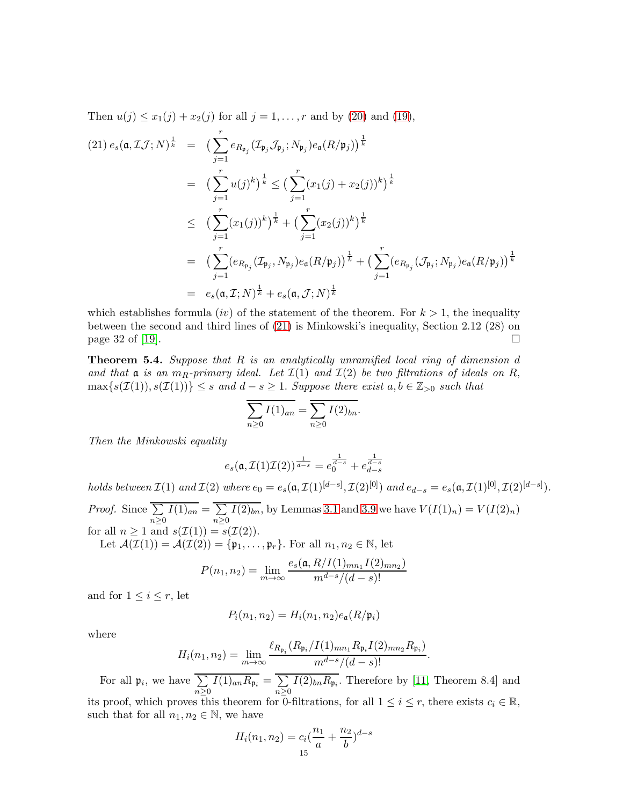Then  $u(j) \leq x_1(j) + x_2(j)$  for all  $j = 1, ..., r$  and by [\(20\)](#page-13-1) and [\(19\)](#page-13-2),

<span id="page-14-1"></span>
$$
(21) e_s(\mathfrak{a}, \mathcal{I}\mathcal{J}; N)^{\frac{1}{k}} = \left( \sum_{j=1}^r e_{R_{\mathfrak{p}_j}} (\mathcal{I}_{\mathfrak{p}_j} \mathcal{J}_{\mathfrak{p}_j}; N_{\mathfrak{p}_j}) e_{\mathfrak{a}}(R/\mathfrak{p}_j) \right)^{\frac{1}{k}}
$$
  
\n
$$
= \left( \sum_{j=1}^r u(j)^k \right)^{\frac{1}{k}} \leq \left( \sum_{j=1}^r (x_1(j) + x_2(j))^k \right)^{\frac{1}{k}}
$$
  
\n
$$
\leq \left( \sum_{j=1}^r (x_1(j))^k \right)^{\frac{1}{k}} + \left( \sum_{j=1}^r (x_2(j))^k \right)^{\frac{1}{k}}
$$
  
\n
$$
= \left( \sum_{j=1}^r (e_{R_{\mathfrak{p}_j}} (\mathcal{I}_{\mathfrak{p}_j}, N_{\mathfrak{p}_j}) e_{\mathfrak{a}}(R/\mathfrak{p}_j) \right)^{\frac{1}{k}} + \left( \sum_{j=1}^r (e_{R_{\mathfrak{p}_j}} (\mathcal{J}_{\mathfrak{p}_j}; N_{\mathfrak{p}_j}) e_{\mathfrak{a}}(R/\mathfrak{p}_j) \right)^{\frac{1}{k}}
$$
  
\n
$$
= e_s(\mathfrak{a}, \mathcal{I}; N)^{\frac{1}{k}} + e_s(\mathfrak{a}, \mathcal{J}; N)^{\frac{1}{k}}
$$

which establishes formula *(iv)* of the statement of the theorem. For  $k > 1$ , the inequality between the second and third lines of [\(21\)](#page-14-1) is Minkowski's inequality, Section 2.12 (28) on page 32 of [\[19\]](#page-30-13).  $\Box$ 

<span id="page-14-0"></span>**Theorem 5.4.** Suppose that  $R$  is an analytically unramified local ring of dimension  $d$ and that  $\mathfrak a$  is an  $m_R$ -primary ideal. Let  $\mathcal I(1)$  and  $\mathcal I(2)$  be two filtrations of ideals on R,  $\max\{s(\mathcal{I}(1)), s(\mathcal{I}(1))\} \leq s \text{ and } d - s \geq 1.$  Suppose there exist  $a, b \in \mathbb{Z}_{>0}$  such that

$$
\overline{\sum_{n\geq 0} I(1)_{an}} = \overline{\sum_{n\geq 0} I(2)_{bn}}.
$$

Then the Minkowski equality

$$
e_s(\mathfrak{a}, \mathcal{I}(1)\mathcal{I}(2))^{\frac{1}{d-s}} = e_0^{\frac{1}{d-s}} + e_{d-s}^{\frac{1}{d-s}}
$$

holds between  $\mathcal{I}(1)$  and  $\mathcal{I}(2)$  where  $e_0 = e_s(\mathfrak{a}, \mathcal{I}(1)^{[d-s]}, \mathcal{I}(2)^{[0]})$  and  $e_{d-s} = e_s(\mathfrak{a}, \mathcal{I}(1)^{[0]}, \mathcal{I}(2)^{[d-s]})$ . *Proof.* Since  $\Sigma$  $n\geq 0$  $I(1)_{an} = \sum$  $n\geq 0$  $I(2)_{bn}$ , by Lemmas [3.1](#page-6-0) and [3.9](#page-7-2) we have  $V(I(1)_n) = V(I(2)_n)$ for all  $n \geq 1$  and  $s(\mathcal{I}(1)) = s(\mathcal{I}(2)).$ 

Let  $\mathcal{A}(\mathcal{I}(1)) = \mathcal{A}(\mathcal{I}(2)) = \{\mathfrak{p}_1, \ldots, \mathfrak{p}_r\}$ . For all  $n_1, n_2 \in \mathbb{N}$ , let

$$
P(n_1, n_2) = \lim_{m \to \infty} \frac{e_s(\mathfrak{a}, R/I(1)_{mn_1}I(2)_{mn_2})}{m^{d-s}/(d-s)!}
$$

and for  $1 \leq i \leq r$ , let

$$
P_i(n_1, n_2) = H_i(n_1, n_2) e_{\mathfrak{a}}(R/\mathfrak{p}_i)
$$

where

$$
H_i(n_1, n_2) = \lim_{m \to \infty} \frac{\ell_{R_{\mathfrak{p}_i}}(R_{\mathfrak{p}_i}/I(1)_{mn_1} R_{\mathfrak{p}_i} I(2)_{mn_2} R_{\mathfrak{p}_i})}{m^{d-s}/(d-s)!}.
$$

For all  $\mathfrak{p}_i$ , we have  $\Sigma$  $n\geq 0$  $I(1)_{an}R_{\mathfrak{p}_i} = \sum$  $n \geq 0$  $I(2)_{bn}R_{\mathfrak{p}_i}$ . Therefore by [\[11,](#page-30-5) Theorem 8.4] and its proof, which proves this theorem for 0-filtrations, for all  $1 \leq i \leq r$ , there exists  $c_i \in \mathbb{R}$ , such that for all  $n_1, n_2 \in \mathbb{N}$ , we have

$$
H_i(n_1, n_2) = c_i \left(\frac{n_1}{a} + \frac{n_2}{b}\right)^{d-s}
$$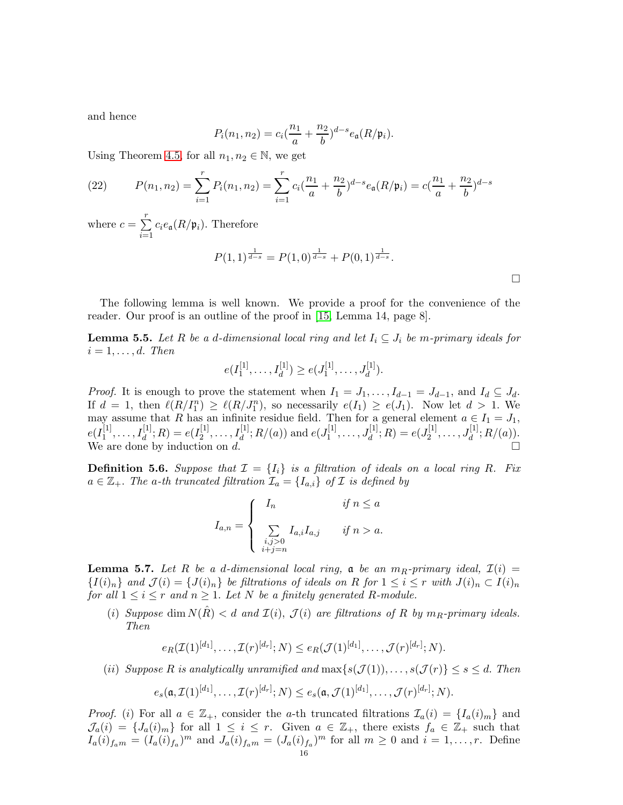and hence

$$
P_i(n_1, n_2) = c_i(\frac{n_1}{a} + \frac{n_2}{b})^{d-s} e_{\mathfrak{a}}(R/\mathfrak{p}_i).
$$

Using Theorem [4.5,](#page-10-8) for all  $n_1, n_2 \in \mathbb{N}$ , we get

(22) 
$$
P(n_1, n_2) = \sum_{i=1}^r P_i(n_1, n_2) = \sum_{i=1}^r c_i \left(\frac{n_1}{a} + \frac{n_2}{b}\right)^{d-s} e_{\mathfrak{a}}(R/\mathfrak{p}_i) = c\left(\frac{n_1}{a} + \frac{n_2}{b}\right)^{d-s}
$$

where  $c = \sum_{r=1}^{r}$  $\sum_{i=1} c_i e_{\mathfrak{a}}(R/\mathfrak{p}_i)$ . Therefore

$$
P(1, 1)^{\frac{1}{d-s}} = P(1, 0)^{\frac{1}{d-s}} + P(0, 1)^{\frac{1}{d-s}}.
$$

The following lemma is well known. We provide a proof for the convenience of the reader. Our proof is an outline of the proof in [\[15,](#page-30-14) Lemma 14, page 8].

<span id="page-15-1"></span>**Lemma 5.5.** Let R be a d-dimensional local ring and let  $I_i \subseteq J_i$  be m-primary ideals for  $i = 1, \ldots, d$ . Then

$$
e(I_1^{[1]},\ldots,I_d^{[1]}) \geq e(J_1^{[1]},\ldots,J_d^{[1]}).
$$

*Proof.* It is enough to prove the statement when  $I_1 = J_1, \ldots, I_{d-1} = J_{d-1}$ , and  $I_d \subseteq J_d$ . If  $d = 1$ , then  $\ell(R/I_1^n) \geq \ell(R/J_1^n)$ , so necessarily  $e(I_1) \geq e(J_1)$ . Now let  $d > 1$ . We  $u = 1$ , then  $\epsilon (n/1) \geq \epsilon (n/3)$ , so hecessarily  $\epsilon (1) \geq \epsilon (3)$ . Now let  $u > 1$ . We may assume that R has an infinite residue field. Then for a general element  $a \in I_1 = J_1$ ,  $e(I_1^{[1]}$  $I_1^{[1]}, \ldots, I_d^{[1]}; R) = e(I_2^{[1]}$  $\mathcal{I}_2^{[1]}, \ldots, \mathcal{I}_d^{[1]}; R/(a)$  and  $e(J_1^{[1]})$  $J_1^{[1]},\ldots,J_d^{[1]};R) = e(J_2^{[1]}$  $J_d^{[1]}, \ldots, J_d^{[1]}; R/(a)).$ We are done by induction on  $d$ .

**Definition 5.6.** Suppose that  $\mathcal{I} = \{I_i\}$  is a filtration of ideals on a local ring R. Fix  $a \in \mathbb{Z}_+$ . The a-th truncated filtration  $\mathcal{I}_a = \{I_{a,i}\}\$  of  $\mathcal I$  is defined by

$$
I_{a,n} = \begin{cases} I_n & \text{if } n \le a \\ \sum_{\substack{i,j>0 \\ i+j=n}} I_{a,i} I_{a,j} & \text{if } n > a. \end{cases}
$$

<span id="page-15-0"></span>**Lemma 5.7.** Let R be a d-dimensional local ring, a be an  $m_R$ -primary ideal,  $\mathcal{I}(i)$  =  ${I(i)_n}$  and  $\mathcal{J}(i) = {J(i)_n}$  be filtrations of ideals on R for  $1 \leq i \leq r$  with  $J(i)_n \subset I(i)_n$ for all  $1 \leq i \leq r$  and  $n \geq 1$ . Let N be a finitely generated R-module.

(i) Suppose dim  $N(\hat{R}) < d$  and  $\mathcal{I}(i)$ ,  $\mathcal{J}(i)$  are filtrations of R by  $m_R$ -primary ideals. Then

$$
e_R(\mathcal{I}(1)^{[d_1]},\ldots,\mathcal{I}(r)^{[d_r]};N) \leq e_R(\mathcal{J}(1)^{[d_1]},\ldots,\mathcal{J}(r)^{[d_r]};N).
$$

(ii) Suppose R is analytically unramified and  $\max\{s(\mathcal{J}(1)), \ldots, s(\mathcal{J}(r))\} \leq s \leq d$ . Then  $e_s(\mathfrak{a}, \mathcal{I}(1)^{[d_1]}, \ldots, \mathcal{I}(r)^{[d_r]}; N) \leq e_s(\mathfrak{a}, \mathcal{J}(1)^{[d_1]}, \ldots, \mathcal{J}(r)^{[d_r]}; N).$ 

*Proof.* (i) For all  $a \in \mathbb{Z}_+$ , consider the a-th truncated filtrations  $\mathcal{I}_a(i) = \{I_a(i)_m\}$  and  $\mathcal{J}_a(i) = \{J_a(i)_m\}$  for all  $1 \leq i \leq r$ . Given  $a \in \mathbb{Z}_+$ , there exists  $f_a \in \mathbb{Z}_+$  such that  $I_a(i)_{f_a m} = (I_a(i)_{f_a})^m$  and  $J_a(i)_{f_a m} = (J_a(i)_{f_a})^m$  for all  $m \geq 0$  and  $i = 1, \ldots, r$ . Define

 $\Box$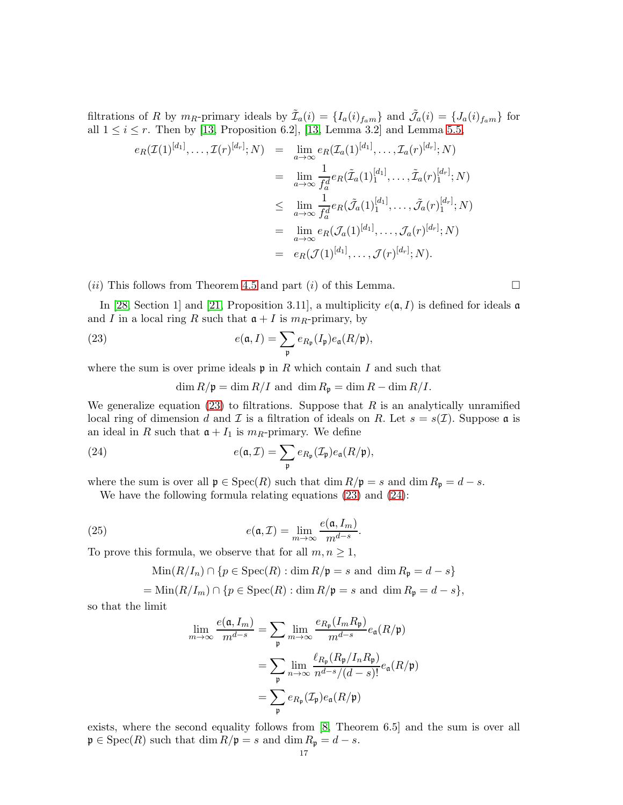filtrations of R by  $m_R$ -primary ideals by  $\tilde{\mathcal{I}}_a(i) = \{I_a(i)_{f_a m}\}\$  and  $\tilde{\mathcal{J}}_a(i) = \{J_a(i)_{f_a m}\}\$  for all  $1 \leq i \leq r$ . Then by [\[13,](#page-30-1) Proposition 6.2], [13, Lemma 3.2] and Lemma [5.5,](#page-15-1)

$$
e_R(\mathcal{I}(1)^{[d_1]}, \dots, \mathcal{I}(r)^{[d_r]}; N) = \lim_{a \to \infty} e_R(\mathcal{I}_a(1)^{[d_1]}, \dots, \mathcal{I}_a(r)^{[d_r]}; N)
$$
  
\n
$$
= \lim_{a \to \infty} \frac{1}{f_a^d} e_R(\tilde{\mathcal{I}}_a(1)^{[d_1]}_1, \dots, \tilde{\mathcal{I}}_a(r)^{[d_r]}; N)
$$
  
\n
$$
\leq \lim_{a \to \infty} \frac{1}{f_a^d} e_R(\tilde{\mathcal{J}}_a(1)^{[d_1]}_1, \dots, \tilde{\mathcal{J}}_a(r)^{[d_r]}; N)
$$
  
\n
$$
= \lim_{a \to \infty} e_R(\mathcal{J}_a(1)^{[d_1]}, \dots, \mathcal{J}_a(r)^{[d_r]}; N)
$$
  
\n
$$
= e_R(\mathcal{J}(1)^{[d_1]}, \dots, \mathcal{J}(r)^{[d_r]}; N).
$$

 $(ii)$  This follows from Theorem [4.5](#page-10-8) and part  $(i)$  of this Lemma.

$$
\qquad \qquad \Box
$$

In [\[28,](#page-31-18) Section 1] and [\[21,](#page-31-19) Proposition 3.11], a multiplicity  $e(\mathfrak{a}, I)$  is defined for ideals  $\mathfrak{a}$ and I in a local ring R such that  $\mathfrak{a} + I$  is  $m_R$ -primary, by

(23) 
$$
e(\mathfrak{a}, I) = \sum_{\mathfrak{p}} e_{R_{\mathfrak{p}}}(I_{\mathfrak{p}}) e_{\mathfrak{a}}(R/\mathfrak{p}),
$$

where the sum is over prime ideals  $\mathfrak p$  in R which contain I and such that

<span id="page-16-1"></span><span id="page-16-0"></span> $\dim R/\mathfrak{p} = \dim R/I$  and  $\dim R_{\mathfrak{p}} = \dim R - \dim R/I$ .

We generalize equation  $(23)$  to filtrations. Suppose that R is an analytically unramified local ring of dimension d and  $\mathcal I$  is a filtration of ideals on R. Let  $s = s(\mathcal I)$ . Suppose a is an ideal in R such that  $\mathfrak{a} + I_1$  is  $m_R$ -primary. We define

(24) 
$$
e(\mathfrak{a}, \mathcal{I}) = \sum_{\mathfrak{p}} e_{R_{\mathfrak{p}}}(\mathcal{I}_{\mathfrak{p}}) e_{\mathfrak{a}}(R/\mathfrak{p}),
$$

where the sum is over all  $\mathfrak{p} \in \text{Spec}(R)$  such that  $\dim R/\mathfrak{p} = s$  and  $\dim R_{\mathfrak{p}} = d - s$ .

We have the following formula relating equations [\(23\)](#page-16-0) and [\(24\)](#page-16-1):

(25) 
$$
e(\mathfrak{a}, \mathcal{I}) = \lim_{m \to \infty} \frac{e(\mathfrak{a}, I_m)}{m^{d-s}}.
$$

To prove this formula, we observe that for all  $m, n \geq 1$ ,

$$
\operatorname{Min}(R/I_n) \cap \{p \in \operatorname{Spec}(R) : \dim R/\mathfrak{p} = s \text{ and } \dim R_{\mathfrak{p}} = d - s\}
$$

$$
= \mathrm{Min}(R/I_m) \cap \{p \in \mathrm{Spec}(R) : \dim R/\mathfrak{p} = s \text{ and } \dim R_{\mathfrak{p}} = d - s\},\
$$

so that the limit

$$
\lim_{m \to \infty} \frac{e(\mathfrak{a}, I_m)}{m^{d-s}} = \sum_{\mathfrak{p}} \lim_{m \to \infty} \frac{e_{R_{\mathfrak{p}}}(I_m R_{\mathfrak{p}})}{m^{d-s}} e_{\mathfrak{a}}(R/\mathfrak{p})
$$

$$
= \sum_{\mathfrak{p}} \lim_{n \to \infty} \frac{\ell_{R_{\mathfrak{p}}}(R_{\mathfrak{p}}/I_n R_{\mathfrak{p}})}{n^{d-s}/(d-s)!} e_{\mathfrak{a}}(R/\mathfrak{p})
$$

$$
= \sum_{\mathfrak{p}} e_{R_{\mathfrak{p}}}(\mathcal{I}_{\mathfrak{p}}) e_{\mathfrak{a}}(R/\mathfrak{p})
$$

exists, where the second equality follows from [\[8,](#page-30-4) Theorem 6.5] and the sum is over all  $\mathfrak{p} \in \text{Spec}(R)$  such that  $\dim R/\mathfrak{p} = s$  and  $\dim R_{\mathfrak{p}} = d - s$ .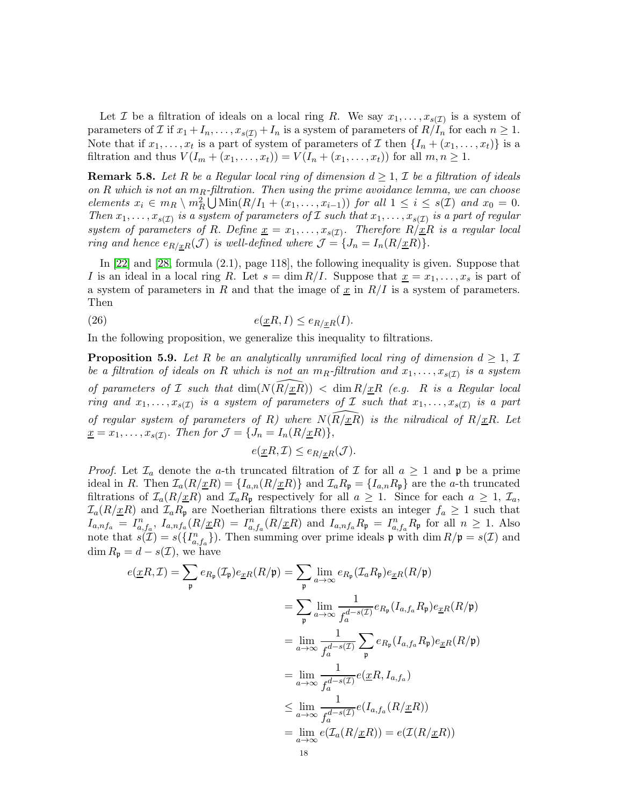Let  $\mathcal I$  be a filtration of ideals on a local ring R. We say  $x_1, \ldots, x_{s(\mathcal{I})}$  is a system of parameters of *I* if  $x_1 + I_n, \ldots, x_{s(\mathcal{I})} + I_n$  is a system of parameters of  $R/I_n$  for each  $n \geq 1$ . Note that if  $x_1, \ldots, x_t$  is a part of system of parameters of  $\mathcal I$  then  $\{I_n + (x_1, \ldots, x_t)\}$  is a filtration and thus  $V(I_m + (x_1, ..., x_t)) = V(I_n + (x_1, ..., x_t))$  for all  $m, n \ge 1$ .

**Remark 5.8.** Let R be a Regular local ring of dimension  $d \geq 1$ , I be a filtration of ideals on  $R$  which is not an  $m_R$ -filtration. Then using the prime avoidance lemma, we can choose elements  $x_i \in m_R \setminus m_R^2 \bigcup \text{Min}(R/I_1 + (x_1, \ldots, x_{i-1}))$  for all  $1 \leq i \leq s(\mathcal{I})$  and  $x_0 = 0$ . Then  $x_1, \ldots, x_{s(\mathcal{I})}$  is a system of parameters of  $\mathcal I$  such that  $x_1, \ldots, x_{s(\mathcal{I})}$  is a part of regular system of parameters of R. Define  $\underline{x} = x_1, \ldots, x_{s(\mathcal{I})}$ . Therefore  $R/\underline{x}R$  is a regular local ring and hence  $e_{R/xR}(\mathcal{J})$  is well-defined where  $\mathcal{J} = \{J_n = I_n(R/\underline{x}R)\}.$ 

In [\[22\]](#page-31-17) and [\[28,](#page-31-18) formula (2.1), page 118], the following inequality is given. Suppose that I is an ideal in a local ring R. Let  $s = \dim R/I$ . Suppose that  $\underline{x} = x_1, \ldots, x_s$  is part of a system of parameters in R and that the image of  $\underline{x}$  in  $R/I$  is a system of parameters. Then

(26) 
$$
e(\underline{x}R, I) \leq e_{R/\underline{x}R}(I).
$$

In the following proposition, we generalize this inequality to filtrations.

<span id="page-17-0"></span>**Proposition 5.9.** Let R be an analytically unramified local ring of dimension  $d \geq 1$ , I be a filtration of ideals on R which is not an  $m_R$ -filtration and  $x_1, \ldots, x_{s(\mathcal{I})}$  is a system of parameters of  $\mathcal I$  such that  $\dim(N(R/\underline{x}R)) < \dim R/\underline{x}R$  (e.g. R is a Regular local ring and  $x_1, \ldots, x_{s(\mathcal{I})}$  is a system of parameters of  $\mathcal I$  such that  $x_1, \ldots, x_{s(\mathcal{I})}$  is a part of regular system of parameters of R) where  $N(R/\underline{x}R)$  is the nilradical of  $R/\underline{x}R$ . Let  $\underline{x} = x_1, \ldots, x_{s(\mathcal{I})}.$  Then for  $\mathcal{J} = \{J_n = I_n(R/\underline{x}R)\},$ 

<span id="page-17-1"></span>
$$
e(\underline{x}R,\mathcal{I}) \le e_{R/\underline{x}R}(\mathcal{J}).
$$

*Proof.* Let  $\mathcal{I}_a$  denote the a-th truncated filtration of  $\mathcal I$  for all  $a \geq 1$  and  $\mathfrak p$  be a prime ideal in R. Then  $\mathcal{I}_a(R/\underline{x}R) = \{I_{a,n}(R/\underline{x}R)\}\$  and  $\mathcal{I}_aR_\mathfrak{p} = \{I_{a,n}R_\mathfrak{p}\}\$  are the a-th truncated filtrations of  $\mathcal{I}_a(R/\underline{x}R)$  and  $\mathcal{I}_aR_p$  respectively for all  $a \geq 1$ . Since for each  $a \geq 1$ ,  $\mathcal{I}_a$ ,  $\mathcal{I}_a(R/\underline{x}R)$  and  $\mathcal{I}_aR_p$  are Noetherian filtrations there exists an integer  $f_a \geq 1$  such that  $I_{a,nf_a} = I_{a,f_a}^n$ ,  $I_{a,nf_a}(R/\underline{x}R) = I_{a,f_a}^n(R/\underline{x}R)$  and  $I_{a,nf_a}R_p = I_{a,f_a}^nR_p$  for all  $n \ge 1$ . Also note that  $s(\mathcal{I}) = s(\{I_{a,f_a}^n\})$ . Then summing over prime ideals  $\mathfrak{p}$  with  $\dim R/\mathfrak{p} = s(\mathcal{I})$  and  $\dim R_{\mathfrak{p}} = d - s(\mathcal{I}),$  we have

$$
e(\underline{x}R, \mathcal{I}) = \sum_{\mathfrak{p}} e_{R_{\mathfrak{p}}}(\mathcal{I}_{\mathfrak{p}}) e_{\underline{x}R}(R/\mathfrak{p}) = \sum_{\mathfrak{p}} \lim_{a \to \infty} e_{R_{\mathfrak{p}}}(\mathcal{I}_{a}R_{\mathfrak{p}}) e_{\underline{x}R}(R/\mathfrak{p})
$$
  
\n
$$
= \sum_{\mathfrak{p}} \lim_{a \to \infty} \frac{1}{f_a^{d-s(\mathcal{I})}} e_{R_{\mathfrak{p}}}(I_{a,f_a}R_{\mathfrak{p}}) e_{\underline{x}R}(R/\mathfrak{p})
$$
  
\n
$$
= \lim_{a \to \infty} \frac{1}{f_a^{d-s(\mathcal{I})}} \sum_{\mathfrak{p}} e_{R_{\mathfrak{p}}}(I_{a,f_a}R_{\mathfrak{p}}) e_{\underline{x}R}(R/\mathfrak{p})
$$
  
\n
$$
= \lim_{a \to \infty} \frac{1}{f_a^{d-s(\mathcal{I})}} e(\underline{x}R, I_{a,f_a})
$$
  
\n
$$
\leq \lim_{a \to \infty} \frac{1}{f_a^{d-s(\mathcal{I})}} e(I_{a,f_a}(R/\underline{x}R))
$$
  
\n
$$
= \lim_{a \to \infty} e(\mathcal{I}_a(R/\underline{x}R)) = e(\mathcal{I}(R/\underline{x}R))
$$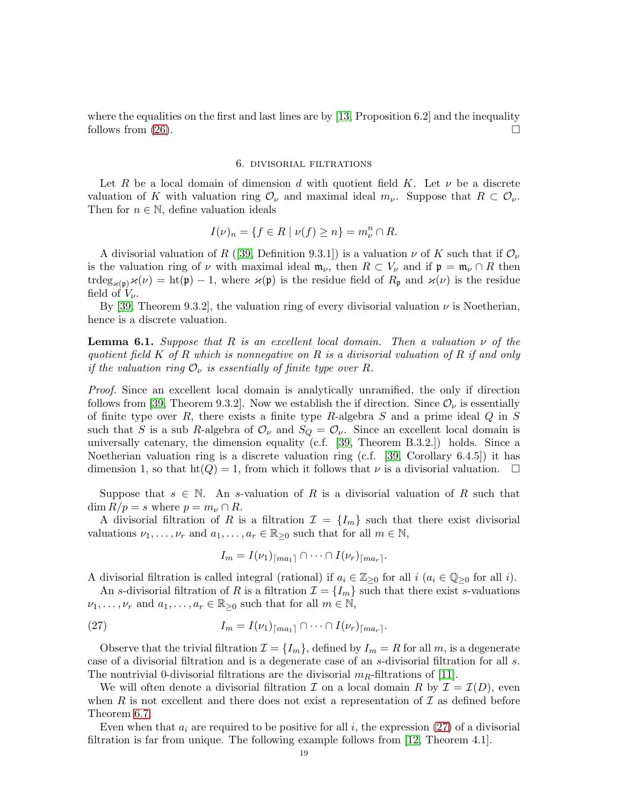where the equalities on the first and last lines are by [\[13,](#page-30-1) Proposition 6.2] and the inequality follows from  $(26)$ .

#### 6. divisorial filtrations

<span id="page-18-0"></span>Let R be a local domain of dimension d with quotient field K. Let  $\nu$  be a discrete valuation of K with valuation ring  $\mathcal{O}_{\nu}$  and maximal ideal  $m_{\nu}$ . Suppose that  $R \subset \mathcal{O}_{\nu}$ . Then for  $n \in \mathbb{N}$ , define valuation ideals

$$
I(\nu)_n = \{ f \in R \mid \nu(f) \ge n \} = m_{\nu}^n \cap R.
$$

A divisorial valuation of R ([\[39,](#page-31-2) Definition 9.3.1]) is a valuation  $\nu$  of K such that if  $\mathcal{O}_{\nu}$ is the valuation ring of  $\nu$  with maximal ideal  $\mathfrak{m}_{\nu}$ , then  $R \subset V_{\nu}$  and if  $\mathfrak{p} = \mathfrak{m}_{\nu} \cap R$  then  $trdeg_{\varkappa(\mathfrak{p})}\n\times(\nu) = \text{ht}(\mathfrak{p}) - 1$ , where  $\varkappa(\mathfrak{p})$  is the residue field of  $R_{\mathfrak{p}}$  and  $\varkappa(\nu)$  is the residue field of  $V_{\nu}$ .

By [\[39,](#page-31-2) Theorem 9.3.2], the valuation ring of every divisorial valuation  $\nu$  is Noetherian, hence is a discrete valuation.

**Lemma 6.1.** Suppose that R is an excellent local domain. Then a valuation  $\nu$  of the quotient field K of R which is nonnegative on R is a divisorial valuation of R if and only if the valuation ring  $\mathcal{O}_{\nu}$  is essentially of finite type over R.

Proof. Since an excellent local domain is analytically unramified, the only if direction follows from [\[39,](#page-31-2) Theorem 9.3.2]. Now we establish the if direction. Since  $\mathcal{O}_{\nu}$  is essentially of finite type over  $R$ , there exists a finite type  $R$ -algebra  $S$  and a prime ideal  $Q$  in  $S$ such that S is a sub R-algebra of  $\mathcal{O}_{\nu}$  and  $S_Q = \mathcal{O}_{\nu}$ . Since an excellent local domain is universally catenary, the dimension equality (c.f. [\[39,](#page-31-2) Theorem B.3.2.]) holds. Since a Noetherian valuation ring is a discrete valuation ring (c.f. [\[39,](#page-31-2) Corollary 6.4.5]) it has dimension 1, so that  $\text{ht}(Q) = 1$ , from which it follows that  $\nu$  is a divisorial valuation.  $\Box$ 

Suppose that  $s \in \mathbb{N}$ . An s-valuation of R is a divisorial valuation of R such that  $\dim R/p = s$  where  $p = m_{\nu} \cap R$ .

A divisorial filtration of R is a filtration  $\mathcal{I} = \{I_m\}$  such that there exist divisorial valuations  $\nu_1, \ldots, \nu_r$  and  $a_1, \ldots, a_r \in \mathbb{R}_{\geq 0}$  such that for all  $m \in \mathbb{N}$ ,

<span id="page-18-1"></span>
$$
I_m = I(\nu_1)_{\lceil ma_1\rceil} \cap \cdots \cap I(\nu_r)_{\lceil ma_r\rceil}.
$$

A divisorial filtration is called integral (rational) if  $a_i \in \mathbb{Z}_{\geq 0}$  for all  $i$  ( $a_i \in \mathbb{Q}_{\geq 0}$  for all i).

An s-divisorial filtration of R is a filtration  $\mathcal{I} = \{I_m\}$  such that there exist s-valuations  $\nu_1, \ldots, \nu_r$  and  $a_1, \ldots, a_r \in \mathbb{R}_{\geq 0}$  such that for all  $m \in \mathbb{N}$ ,

(27) 
$$
I_m = I(\nu_1)_{\lceil ma_1 \rceil} \cap \cdots \cap I(\nu_r)_{\lceil ma_r \rceil}.
$$

Observe that the trivial filtration  $\mathcal{I} = \{I_m\}$ , defined by  $I_m = R$  for all m, is a degenerate case of a divisorial filtration and is a degenerate case of an s-divisorial filtration for all s. The nontrivial 0-divisorial filtrations are the divisorial  $m_R$ -filtrations of [\[11\]](#page-30-5).

We will often denote a divisorial filtration  $\mathcal I$  on a local domain R by  $\mathcal I = \mathcal I(D)$ , even when R is not excellent and there does not exist a representation of  $\mathcal I$  as defined before Theorem [6.7.](#page-20-0)

Even when that  $a_i$  are required to be positive for all i, the expression [\(27\)](#page-18-1) of a divisorial filtration is far from unique. The following example follows from [\[12,](#page-30-15) Theorem 4.1].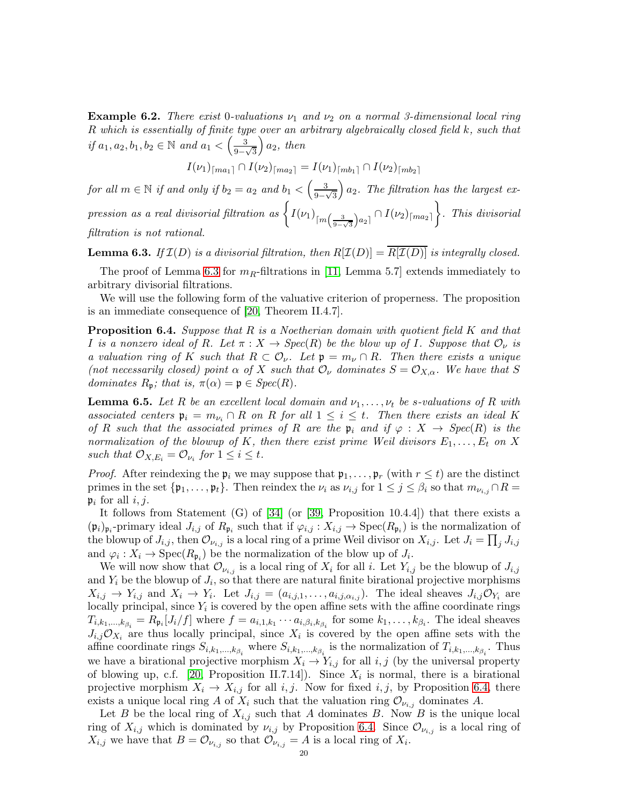**Example 6.2.** There exist 0-valuations  $\nu_1$  and  $\nu_2$  on a normal 3-dimensional local ring R which is essentially of finite type over an arbitrary algebraically closed field k, such that if  $a_1, a_2, b_1, b_2 \in \mathbb{N}$  and  $a_1 < \left(\frac{3}{9} \right)$  $\frac{6}{9-\sqrt{3}}$  $\big) a_2$ , then

$$
I(\nu_1)_{\lceil ma_1\rceil} \cap I(\nu_2)_{\lceil ma_2\rceil} = I(\nu_1)_{\lceil mb_1\rceil} \cap I(\nu_2)_{\lceil mb_2\rceil}
$$

for all  $m \in \mathbb{N}$  if and only if  $b_2 = a_2$  and  $b_1 < \left(\frac{3}{2}\right)$  $\frac{6}{9-\sqrt{3}}$  $\bigg(a_2$ . The filtration has the largest expression as a real divisorial filtration as  $\left\{ I(\nu_1)_{\lceil m(\frac{3}{9-\sqrt{3}})a_2 \rceil} \cap I(\nu_2)_{\lceil m a_2 \rceil} \right\}$ . This divisorial filtration is not rational.

<span id="page-19-0"></span>**Lemma 6.3.** If  $\mathcal{I}(D)$  is a divisorial filtration, then  $R[\mathcal{I}(D)] = \overline{R[\mathcal{I}(D)]}$  is integrally closed.

The proof of Lemma [6.3](#page-19-0) for  $m_R$ -filtrations in [\[11,](#page-30-5) Lemma 5.7] extends immediately to arbitrary divisorial filtrations.

We will use the following form of the valuative criterion of properness. The proposition is an immediate consequence of [\[20,](#page-30-16) Theorem II.4.7].

<span id="page-19-1"></span>**Proposition 6.4.** Suppose that  $R$  is a Noetherian domain with quotient field  $K$  and that I is a nonzero ideal of R. Let  $\pi : X \to \text{Spec}(R)$  be the blow up of I. Suppose that  $\mathcal{O}_{\nu}$  is a valuation ring of K such that  $R \subset \mathcal{O}_{\nu}$ . Let  $\mathfrak{p} = m_{\nu} \cap R$ . Then there exists a unique (not necessarily closed) point  $\alpha$  of X such that  $\mathcal{O}_{\nu}$  dominates  $S = \mathcal{O}_{X,\alpha}$ . We have that S dominates  $R_p$ ; that is,  $\pi(\alpha) = \mathfrak{p} \in Spec(R)$ .

<span id="page-19-2"></span>**Lemma 6.5.** Let R be an excellent local domain and  $\nu_1, \ldots, \nu_t$  be s-valuations of R with associated centers  $\mathfrak{p}_i = m_{\nu_i} \cap R$  on R for all  $1 \leq i \leq t$ . Then there exists an ideal K of R such that the associated primes of R are the  $\mathfrak{p}_i$  and if  $\varphi : X \to Spec(R)$  is the normalization of the blowup of K, then there exist prime Weil divisors  $E_1, \ldots, E_t$  on X such that  $\mathcal{O}_{X,E_i} = \mathcal{O}_{\nu_i}$  for  $1 \leq i \leq t$ .

*Proof.* After reindexing the  $\mathfrak{p}_i$  we may suppose that  $\mathfrak{p}_1, \ldots, \mathfrak{p}_r$  (with  $r \leq t$ ) are the distinct primes in the set  $\{\mathfrak{p}_1,\ldots,\mathfrak{p}_t\}$ . Then reindex the  $\nu_i$  as  $\nu_{i,j}$  for  $1 \leq j \leq \beta_i$  so that  $m_{\nu_{i,j}} \cap R =$  $\mathfrak{p}_i$  for all  $i, j$ .

It follows from Statement  $(G)$  of [\[34\]](#page-31-20) (or [\[39,](#page-31-2) Proposition 10.4.4]) that there exists a  $(\mathfrak{p}_i)_{\mathfrak{p}_i}$ -primary ideal  $J_{i,j}$  of  $R_{\mathfrak{p}_i}$  such that if  $\varphi_{i,j} : X_{i,j} \to \text{Spec}(R_{\mathfrak{p}_i})$  is the normalization of the blowup of  $J_{i,j}$ , then  $\mathcal{O}_{\nu_{i,j}}$  is a local ring of a prime Weil divisor on  $X_{i,j}$ . Let  $J_i = \prod_j J_{i,j}$ and  $\varphi_i: X_i \to \text{Spec}(R_{\mathfrak{p}_i})$  be the normalization of the blow up of  $J_i$ .

We will now show that  $\mathcal{O}_{\nu_{i,j}}$  is a local ring of  $X_i$  for all i. Let  $Y_{i,j}$  be the blowup of  $J_{i,j}$ and  $Y_i$  be the blowup of  $J_i$ , so that there are natural finite birational projective morphisms  $X_{i,j} \to Y_{i,j}$  and  $X_i \to Y_i$ . Let  $J_{i,j} = (a_{i,j,1}, \ldots, a_{i,j,\alpha_{i,j}})$ . The ideal sheaves  $J_{i,j} \mathcal{O}_{Y_i}$  are locally principal, since  $Y_i$  is covered by the open affine sets with the affine coordinate rings  $T_{i,k_1,...,k_{\beta_i}} = R_{\mathfrak{p}_i}[J_i/f]$  where  $f = a_{i,1,k_1} \cdots a_{i,\beta_i,k_{\beta_i}}$  for some  $k_1,...,k_{\beta_i}$ . The ideal sheaves  $J_{i,j}\mathcal{O}_{X_i}$  are thus locally principal, since  $X_i$  is covered by the open affine sets with the affine coordinate rings  $S_{i,k_1,...,k_{\beta_i}}$  where  $S_{i,k_1,...,k_{\beta_i}}$  is the normalization of  $T_{i,k_1,...,k_{\beta_i}}$ . Thus we have a birational projective morphism  $X_i \to Y_{i,j}$  for all i, j (by the universal property of blowing up, c.f. [\[20,](#page-30-16) Proposition II.7.14]). Since  $X_i$  is normal, there is a birational projective morphism  $X_i \to X_{i,j}$  for all  $i, j$ . Now for fixed  $i, j$ , by Proposition [6.4,](#page-19-1) there exists a unique local ring A of  $X_i$  such that the valuation ring  $\mathcal{O}_{\nu_{i,j}}$  dominates A.

Let B be the local ring of  $X_{i,j}$  such that A dominates B. Now B is the unique local ring of  $X_{i,j}$  which is dominated by  $\nu_{i,j}$  by Proposition [6.4.](#page-19-1) Since  $\mathcal{O}_{\nu_{i,j}}$  is a local ring of  $X_{i,j}$  we have that  $B = \mathcal{O}_{\nu_{i,j}}$  so that  $\mathcal{O}_{\nu_{i,j}} = A$  is a local ring of  $X_i$ .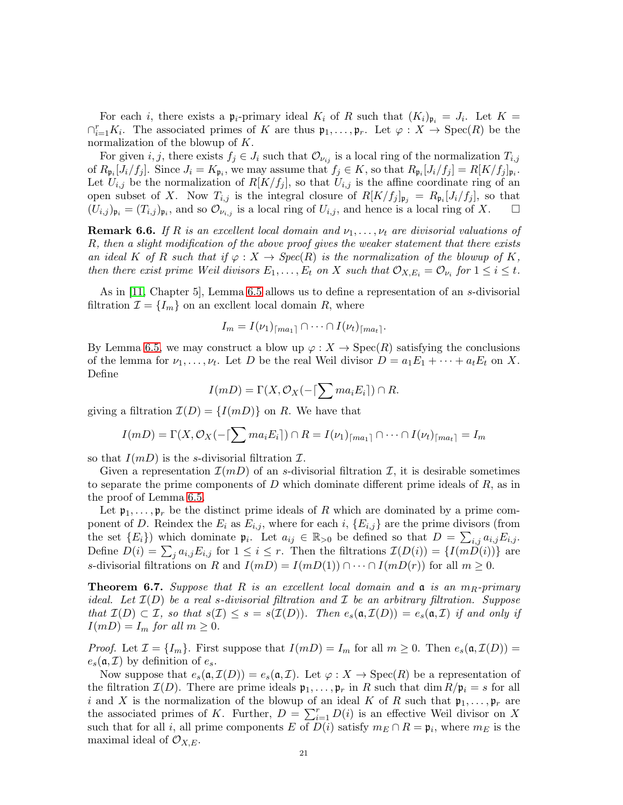For each *i*, there exists a  $\mathfrak{p}_i$ -primary ideal  $K_i$  of R such that  $(K_i)_{\mathfrak{p}_i} = J_i$ . Let  $K =$  $\bigcap_{i=1}^r K_i$ . The associated primes of K are thus  $\mathfrak{p}_1,\ldots,\mathfrak{p}_r$ . Let  $\varphi: X \to \mathrm{Spec}(R)$  be the normalization of the blowup of K.

For given i, j, there exists  $f_j \in J_i$  such that  $\mathcal{O}_{\nu_{ij}}$  is a local ring of the normalization  $T_{i,j}$ of  $R_{\mathfrak{p}_i}[J_i/f_j]$ . Since  $J_i = K_{\mathfrak{p}_i}$ , we may assume that  $f_j \in K$ , so that  $R_{\mathfrak{p}_i}[J_i/f_j] = R[K/f_j]_{\mathfrak{p}_i}$ . Let  $U_{i,j}$  be the normalization of  $R[K/f_j]$ , so that  $U_{i,j}$  is the affine coordinate ring of an open subset of X. Now  $T_{i,j}$  is the integral closure of  $R[K/f_j]_{\mathfrak{p}_j} = R_{\mathfrak{p}_i}[J_i/f_j]$ , so that  $(U_{i,j})_{\mathfrak{p}_i} = (T_{i,j})_{\mathfrak{p}_i}$ , and so  $\mathcal{O}_{\nu_{i,j}}$  is a local ring of  $U_{i,j}$ , and hence is a local ring of X.

**Remark 6.6.** If R is an excellent local domain and  $\nu_1, \ldots, \nu_t$  are divisorial valuations of R, then a slight modification of the above proof gives the weaker statement that there exists an ideal K of R such that if  $\varphi: X \to \text{Spec}(R)$  is the normalization of the blowup of K, then there exist prime Weil divisors  $E_1, \ldots, E_t$  on X such that  $\mathcal{O}_{X,E_i} = \mathcal{O}_{\nu_i}$  for  $1 \leq i \leq t$ .

As in [\[11,](#page-30-5) Chapter 5], Lemma [6.5](#page-19-2) allows us to define a representation of an s-divisorial filtration  $\mathcal{I} = \{I_m\}$  on an excllent local domain R, where

$$
I_m = I(\nu_1)_{\lceil ma_1 \rceil} \cap \cdots \cap I(\nu_t)_{\lceil ma_t \rceil}.
$$

By Lemma [6.5,](#page-19-2) we may construct a blow up  $\varphi: X \to \mathrm{Spec}(R)$  satisfying the conclusions of the lemma for  $\nu_1, \ldots, \nu_t$ . Let D be the real Weil divisor  $D = a_1 E_1 + \cdots + a_t E_t$  on X. Define

$$
I(mD) = \Gamma(X, \mathcal{O}_X(-\lceil \sum ma_iE_i \rceil) \cap R.
$$

giving a filtration  $\mathcal{I}(D) = \{I(mD)\}\$ on R. We have that

$$
I(mD) = \Gamma(X, \mathcal{O}_X(-\lceil \sum ma_iE_i\rceil) \cap R = I(\nu_1)_{\lceil ma_1\rceil} \cap \cdots \cap I(\nu_t)_{\lceil ma_t\rceil} = I_m
$$

so that  $I(mD)$  is the s-divisorial filtration  $\mathcal{I}$ .

Given a representation  $\mathcal{I}(mD)$  of an s-divisorial filtration  $\mathcal{I}$ , it is desirable sometimes to separate the prime components of  $D$  which dominate different prime ideals of  $R$ , as in the proof of Lemma [6.5.](#page-19-2)

Let  $\mathfrak{p}_1, \ldots, \mathfrak{p}_r$  be the distinct prime ideals of R which are dominated by a prime component of D. Reindex the  $E_i$  as  $E_{i,j}$ , where for each i,  $\{E_{i,j}\}$  are the prime divisors (from the set  ${E_i}$  which dominate  $\mathfrak{p}_i$ . Let  $a_{ij} \in \mathbb{R}_{>0}$  be defined so that  $D = \sum_{i,j} a_{i,j} E_{i,j}$ . Define  $D(i) = \sum_j a_{i,j} E_{i,j}$  for  $1 \le i \le r$ . Then the filtrations  $\mathcal{I}(D(i)) = \{I(mD(i))\}$  are s-divisorial filtrations on R and  $I(mD) = I(mD(1)) \cap \cdots \cap I(mD(r))$  for all  $m \geq 0$ .

<span id="page-20-0"></span>**Theorem 6.7.** Suppose that R is an excellent local domain and  $\alpha$  is an  $m_R$ -primary ideal. Let  $\mathcal{I}(D)$  be a real s-divisorial filtration and  $\mathcal I$  be an arbitrary filtration. Suppose that  $\mathcal{I}(D) \subset \mathcal{I}$ , so that  $s(\mathcal{I}) \leq s = s(\mathcal{I}(D))$ . Then  $e_s(\mathfrak{a}, \mathcal{I}(D)) = e_s(\mathfrak{a}, \mathcal{I})$  if and only if  $I(mD) = I_m$  for all  $m \geq 0$ .

*Proof.* Let  $\mathcal{I} = \{I_m\}$ . First suppose that  $I(mD) = I_m$  for all  $m \geq 0$ . Then  $e_s(\mathfrak{a}, \mathcal{I}(D)) =$  $e_s(\mathfrak{a}, \mathcal{I})$  by definition of  $e_s$ .

Now suppose that  $e_s(\mathfrak{a}, \mathcal{I}(D)) = e_s(\mathfrak{a}, \mathcal{I})$ . Let  $\varphi : X \to \text{Spec}(R)$  be a representation of the filtration  $\mathcal{I}(D)$ . There are prime ideals  $\mathfrak{p}_1, \ldots, \mathfrak{p}_r$  in R such that dim  $R/\mathfrak{p}_i = s$  for all i and X is the normalization of the blowup of an ideal K of R such that  $\mathfrak{p}_1, \ldots, \mathfrak{p}_r$  are the associated primes of K. Further,  $D = \sum_{i=1}^{r} D(i)$  is an effective Weil divisor on X such that for all *i*, all prime components E of  $D(i)$  satisfy  $m_E \cap R = \mathfrak{p}_i$ , where  $m_E$  is the maximal ideal of  $\mathcal{O}_{X,E}$ .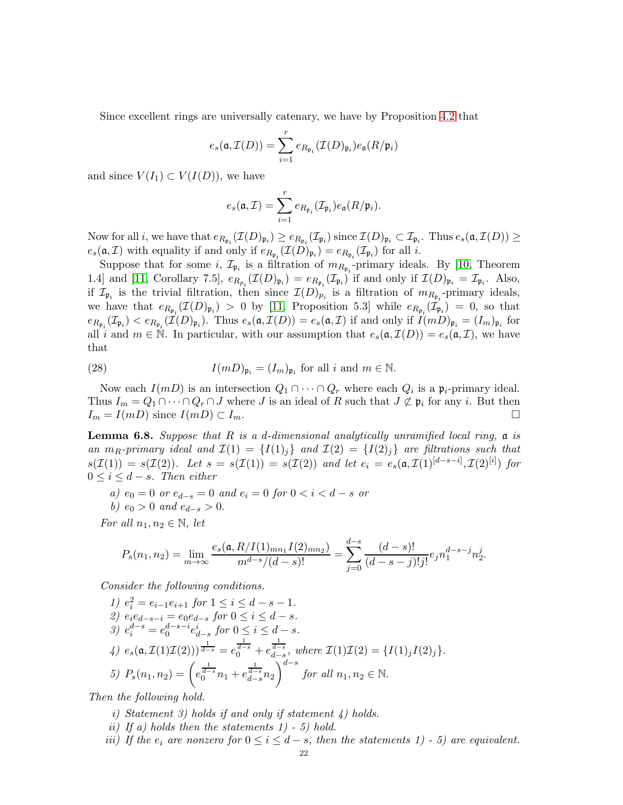Since excellent rings are universally catenary, we have by Proposition [4.2](#page-8-0) that

$$
e_s(\mathfrak{a},\mathcal{I}(D))=\sum_{i=1}^r e_{R_{\mathfrak{p}_i}}(\mathcal{I}(D)_{\mathfrak{p}_i})e_{\mathfrak{a}}(R/\mathfrak{p}_i)
$$

and since  $V(I_1) \subset V(I(D))$ , we have

$$
e_s(\mathfrak{a}, \mathcal{I}) = \sum_{i=1}^r e_{R_{\mathfrak{p}_i}}(\mathcal{I}_{\mathfrak{p}_i}) e_{\mathfrak{a}}(R/\mathfrak{p}_i).
$$

Now for all *i*, we have that  $e_{R_{\mathfrak{p}_i}}(\mathcal{I}(D)_{\mathfrak{p}_i}) \geq e_{R_{\mathfrak{p}_i}}(\mathcal{I}_{\mathfrak{p}_i})$  since  $\mathcal{I}(D)_{\mathfrak{p}_i} \subset \mathcal{I}_{\mathfrak{p}_i}$ . Thus  $e_s(\mathfrak{a},\mathcal{I}(D)) \geq$  $e_s(\mathfrak{a}, \mathcal{I})$  with equality if and only if  $e_{R_{\mathfrak{p}_i}}(\mathcal{I}(D)_{\mathfrak{p}_i}) = e_{R_{\mathfrak{p}_i}}(\mathcal{I}_{\mathfrak{p}_i})$  for all *i*.

Suppose that for some *i*,  $\mathcal{I}_{\mathfrak{p}_i}$  is a filtration of  $m_{R_{\mathfrak{p}_i}}$ -primary ideals. By [\[10,](#page-30-9) Theorem 1.4] and [\[11,](#page-30-5) Corollary 7.5],  $e_{R_{p_i}}(\mathcal{I}(D)_{\mathfrak{p}_i}) = e_{R_{\mathfrak{p}_i}}(\mathcal{I}_{\mathfrak{p}_i})$  if and only if  $\mathcal{I}(D)_{\mathfrak{p}_i} = \mathcal{I}_{\mathfrak{p}_i}$ . Also, if  $\mathcal{I}_{\mathfrak{p}_i}$  is the trivial filtration, then since  $\mathcal{I}(D)_{p_i}$  is a filtration of  $m_{R_{\mathfrak{p}_i}}$ -primary ideals, we have that  $e_{R_{\mathfrak{p}_i}}(\mathcal{I}(D)_{\mathfrak{p}_i}) > 0$  by [\[11,](#page-30-5) Proposition 5.3] while  $e_{R_{\mathfrak{p}_i}}(\mathcal{I}_{\mathfrak{p}_i}) = 0$ , so that  $e_{R_{\mathfrak{p}_i}}(\mathcal{I}_{\mathfrak{p}_i}) < e_{R_{\mathfrak{p}_i}}(\mathcal{I}(D)_{\mathfrak{p}_i})$ . Thus  $e_s(\mathfrak{a},\mathcal{I}(D)) = e_s(\mathfrak{a},\mathcal{I})$  if and only if  $I(mD)_{\mathfrak{p}_i} = (I_m)_{\mathfrak{p}_i}$  for all i and  $m \in \mathbb{N}$ . In particular, with our assumption that  $e_s(\mathfrak{a}, \mathcal{I}(D)) = e_s(\mathfrak{a}, \mathcal{I})$ , we have that

(28) 
$$
I(mD)_{\mathfrak{p}_i} = (I_m)_{\mathfrak{p}_i} \text{ for all } i \text{ and } m \in \mathbb{N}.
$$

Now each  $I(mD)$  is an intersection  $Q_1 \cap \cdots \cap Q_r$  where each  $Q_i$  is a  $\mathfrak{p}_i$ -primary ideal. Thus  $I_m = Q_1 \cap \cdots \cap Q_r \cap J$  where J is an ideal of R such that  $J \not\subset \mathfrak{p}_i$  for any i. But then  $I_m = I(mD)$  since  $I(mD) \subset I_m$ .

<span id="page-21-0"></span>**Lemma 6.8.** Suppose that R is a d-dimensional analytically unramified local ring,  $\alpha$  is an  $m_R$ -primary ideal and  $\mathcal{I}(1) = \{I(1)_i\}$  and  $\mathcal{I}(2) = \{I(2)_i\}$  are filtrations such that  $s(\mathcal{I}(1)) = s(\mathcal{I}(2)).$  Let  $s = s(\mathcal{I}(1)) = s(\mathcal{I}(2))$  and let  $e_i = e_s(\mathfrak{a}, \mathcal{I}(1)^{[d-s-i]}, \mathcal{I}(2)^{[i]})$  for  $0 \leq i \leq d - s$ . Then either

- a)  $e_0 = 0$  or  $e_{d-s} = 0$  and  $e_i = 0$  for  $0 < i < d s$  or
- b)  $e_0 > 0$  and  $e_{d-s} > 0$ .
- For all  $n_1, n_2 \in \mathbb{N}$ , let

$$
P_s(n_1, n_2) = \lim_{m \to \infty} \frac{e_s(\mathfrak{a}, R/I(1)_{mn_1}I(2)_{mn_2})}{m^{d-s}/(d-s)!} = \sum_{j=0}^{d-s} \frac{(d-s)!}{(d-s-j)!j!} e_j n_1^{d-s-j} n_2^j.
$$

Consider the following conditions.

1) 
$$
e_i^2 = e_{i-1}e_{i+1}
$$
 for  $1 \le i \le d - s - 1$ .  
\n2)  $e_i e_{d-s-i} = e_0 e_{d-s}$  for  $0 \le i \le d - s$ .  
\n3)  $e_i^{d-s} = e_0^{d-s-i} e_{d-s}^i$  for  $0 \le i \le d - s$ .  
\n4)  $e_s(\mathfrak{a}, \mathcal{I}(1)\mathcal{I}(2)))^{\frac{1}{d-s}} = e_0^{\frac{1}{d-s}} + e_{d-s}^{\frac{1}{d-s}}$ , where  $\mathcal{I}(1)\mathcal{I}(2) = \{I(1)_j I(2)_j\}$ .  
\n5)  $P_s(n_1, n_2) = \left(e_0^{\frac{1}{d-s}} n_1 + e_{d-s}^{\frac{1}{d-s}} n_2\right)^{d-s}$  for all  $n_1, n_2 \in \mathbb{N}$ .

Then the following hold.

- i) Statement 3) holds if and only if statement  $\downarrow$ ) holds.
- ii) If a) holds then the statements  $1)$  5) hold.
- iii) If the  $e_i$  are nonzero for  $0 \leq i \leq d-s$ , then the statements 1) 5) are equivalent.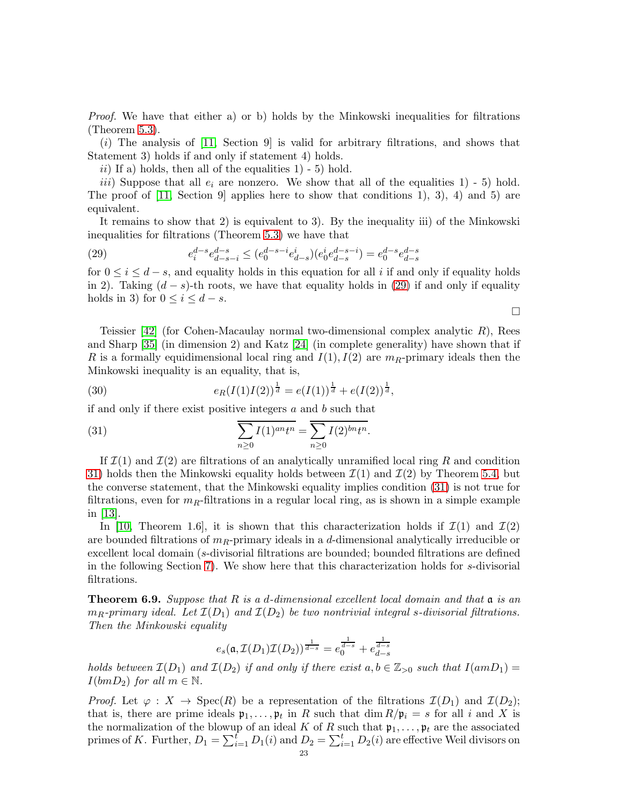Proof. We have that either a) or b) holds by the Minkowski inequalities for filtrations (Theorem [5.3\)](#page-12-0).

 $(i)$  The analysis of [\[11,](#page-30-5) Section 9] is valid for arbitrary filtrations, and shows that Statement 3) holds if and only if statement 4) holds.

ii) If a) holds, then all of the equalities  $1$ ) - 5) hold.

iii) Suppose that all  $e_i$  are nonzero. We show that all of the equalities 1) - 5) hold. The proof of [\[11,](#page-30-5) Section 9] applies here to show that conditions 1), 3), 4) and 5) are equivalent.

It remains to show that 2) is equivalent to 3). By the inequality iii) of the Minkowski inequalities for filtrations (Theorem [5.3\)](#page-12-0) we have that

<span id="page-22-1"></span>(29) 
$$
e_i^{d-s} e_{d-s-i}^{d-s} \le (e_0^{d-s-i} e_{d-s}^i)(e_0^i e_{d-s}^{d-s-i}) = e_0^{d-s} e_{d-s}^{d-s}
$$

for  $0 \leq i \leq d - s$ , and equality holds in this equation for all i if and only if equality holds in 2). Taking  $(d - s)$ -th roots, we have that equality holds in [\(29\)](#page-22-1) if and only if equality holds in 3) for  $0 \leq i \leq d - s$ .

Teissier  $[42]$  (for Cohen-Macaulay normal two-dimensional complex analytic R), Rees and Sharp [\[35\]](#page-31-6) (in dimension 2) and Katz [\[24\]](#page-31-7) (in complete generality) have shown that if R is a formally equidimensional local ring and  $I(1), I(2)$  are  $m_R$ -primary ideals then the Minkowski inequality is an equality, that is,

(30) 
$$
e_R(I(1)I(2))^{\frac{1}{d}} = e(I(1))^{\frac{1}{d}} + e(I(2))^{\frac{1}{d}},
$$

if and only if there exist positive integers  $a$  and  $b$  such that

<span id="page-22-2"></span>(31) 
$$
\sum_{n\geq 0} I(1)^{an} t^n = \sum_{n\geq 0} I(2)^{bn} t^n.
$$

If  $\mathcal{I}(1)$  and  $\mathcal{I}(2)$  are filtrations of an analytically unramified local ring R and condition [31\)](#page-22-2) holds then the Minkowski equality holds between  $\mathcal{I}(1)$  and  $\mathcal{I}(2)$  by Theorem [5.4,](#page-14-0) but the converse statement, that the Minkowski equality implies condition [\(31\)](#page-22-2) is not true for filtrations, even for  $m_R$ -filtrations in a regular local ring, as is shown in a simple example in [\[13\]](#page-30-1).

In [\[10,](#page-30-9) Theorem 1.6], it is shown that this characterization holds if  $\mathcal{I}(1)$  and  $\mathcal{I}(2)$ are bounded filtrations of  $m_R$ -primary ideals in a d-dimensional analytically irreducible or excellent local domain (s-divisorial filtrations are bounded; bounded filtrations are defined in the following Section [7\)](#page-25-0). We show here that this characterization holds for s-divisorial filtrations.

<span id="page-22-0"></span>**Theorem 6.9.** Suppose that R is a d-dimensional excellent local domain and that  $\mathfrak{a}$  is an  $m_R$ -primary ideal. Let  $\mathcal{I}(D_1)$  and  $\mathcal{I}(D_2)$  be two nontrivial integral s-divisorial filtrations. Then the Minkowski equality

$$
e_s(\mathfrak{a}, \mathcal{I}(D_1)\mathcal{I}(D_2))^{\frac{1}{d-s}} = e_0^{\frac{1}{d-s}} + e_{d-s}^{\frac{1}{d-s}}
$$

holds between  $\mathcal{I}(D_1)$  and  $\mathcal{I}(D_2)$  if and only if there exist  $a, b \in \mathbb{Z}_{>0}$  such that  $I(amD_1) =$  $I(bmD_2)$  for all  $m \in \mathbb{N}$ .

*Proof.* Let  $\varphi: X \to \text{Spec}(R)$  be a representation of the filtrations  $\mathcal{I}(D_1)$  and  $\mathcal{I}(D_2)$ ; that is, there are prime ideals  $\mathfrak{p}_1, \ldots, \mathfrak{p}_t$  in R such that  $\dim R/\mathfrak{p}_i = s$  for all i and X is the normalization of the blowup of an ideal K of R such that  $\mathfrak{p}_1, \ldots, \mathfrak{p}_t$  are the associated primes of K. Further,  $D_1 = \sum_{i=1}^{t} D_1(i)$  and  $D_2 = \sum_{i=1}^{t} D_2(i)$  are effective Weil divisors on

 $\Box$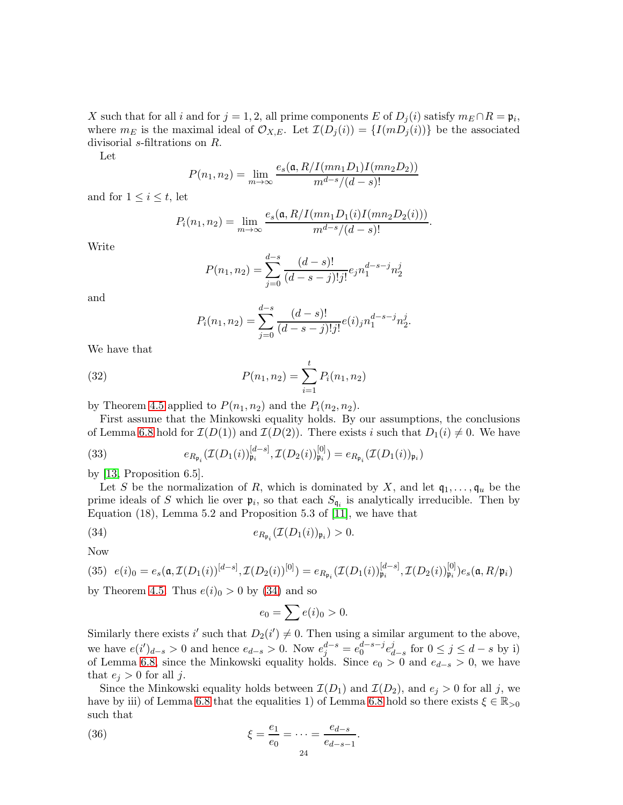X such that for all i and for  $j = 1, 2$ , all prime components E of  $D_j(i)$  satisfy  $m_E \cap R = \mathfrak{p}_i$ , where  $m_E$  is the maximal ideal of  $\mathcal{O}_{X,E}$ . Let  $\mathcal{I}(D_i(i)) = \{I(mD_i(i))\}$  be the associated divisorial s-filtrations on R.

Let

$$
P(n_1, n_2) = \lim_{m \to \infty} \frac{e_s(\mathfrak{a}, R/I(mn_1D_1)I(mn_2D_2))}{m^{d-s}/(d-s)!}
$$

and for  $1 \leq i \leq t$ , let

$$
P_i(n_1, n_2) = \lim_{m \to \infty} \frac{e_s(\mathfrak{a}, R/I(mn_1D_1(i)I(mn_2D_2(i)))}{m^{d-s}/(d-s)!}.
$$

Write

$$
P(n_1, n_2) = \sum_{j=0}^{d-s} \frac{(d-s)!}{(d-s-j)!j!} e_j n_1^{d-s-j} n_2^j
$$

and

<span id="page-23-1"></span>
$$
P_i(n_1, n_2) = \sum_{j=0}^{d-s} \frac{(d-s)!}{(d-s-j)!j!} e(i)_j n_1^{d-s-j} n_2^j.
$$

We have that

(32) 
$$
P(n_1, n_2) = \sum_{i=1}^{t} P_i(n_1, n_2)
$$

by Theorem [4.5](#page-10-8) applied to  $P(n_1, n_2)$  and the  $P_i(n_2, n_2)$ .

First assume that the Minkowski equality holds. By our assumptions, the conclusions of Lemma [6.8](#page-21-0) hold for  $\mathcal{I}(D(1))$  and  $\mathcal{I}(D(2))$ . There exists i such that  $D_1(i) \neq 0$ . We have

<span id="page-23-3"></span>(33) 
$$
e_{R_{\mathfrak{p}_i}}(\mathcal{I}(D_1(i))_{\mathfrak{p}_i}^{[d-s]}, \mathcal{I}(D_2(i))_{\mathfrak{p}_i}^{[0]}) = e_{R_{\mathfrak{p}_i}}(\mathcal{I}(D_1(i))_{\mathfrak{p}_i})
$$

by [\[13,](#page-30-1) Proposition 6.5].

Let S be the normalization of R, which is dominated by X, and let  $q_1, \ldots, q_u$  be the prime ideals of S which lie over  $\mathfrak{p}_i$ , so that each  $S_{\mathfrak{q}_i}$  is analytically irreducible. Then by Equation (18), Lemma 5.2 and Proposition 5.3 of [\[11\]](#page-30-5), we have that

$$
(34) \t\t e_{R_{\mathfrak{p}_i}}(\mathcal{I}(D_1(i))_{\mathfrak{p}_i}) > 0.
$$

Now

(35) 
$$
e(i)_0 = e_s(\mathfrak{a}, \mathcal{I}(D_1(i))^{[d-s]}, \mathcal{I}(D_2(i))^{[0]}) = e_{R_{\mathfrak{p}_i}}(\mathcal{I}(D_1(i))^{[d-s]}_{\mathfrak{p}_i}, \mathcal{I}(D_2(i))^{[0]}_{\mathfrak{p}_i})e_s(\mathfrak{a}, R/\mathfrak{p}_i)
$$

by Theorem [4.5.](#page-10-8) Thus  $e(i)<sub>0</sub> > 0$  by [\(34\)](#page-23-0) and so

<span id="page-23-2"></span><span id="page-23-0"></span>
$$
e_0 = \sum e(i)_0 > 0.
$$

Similarly there exists i' such that  $D_2(i') \neq 0$ . Then using a similar argument to the above, we have  $e(i')_{d-s} > 0$  and hence  $e_{d-s} > 0$ . Now  $e_j^{d-s} = e_0^{d-s-j} e_d^{j}$  $\frac{d}{d-s}$  for  $0 \leq j \leq d-s$  by i) of Lemma [6.8,](#page-21-0) since the Minkowski equality holds. Since  $e_0 > 0$  and  $e_{d-s} > 0$ , we have that  $e_j > 0$  for all j.

Since the Minkowski equality holds between  $\mathcal{I}(D_1)$  and  $\mathcal{I}(D_2)$ , and  $e_i > 0$  for all j, we have by iii) of Lemma [6.8](#page-21-0) that the equalities 1) of Lemma 6.8 hold so there exists  $\xi \in \mathbb{R}_{>0}$ such that

(36) 
$$
\xi = \frac{e_1}{e_0} = \dots = \frac{e_{d-s}}{e_{d-s-1}}.
$$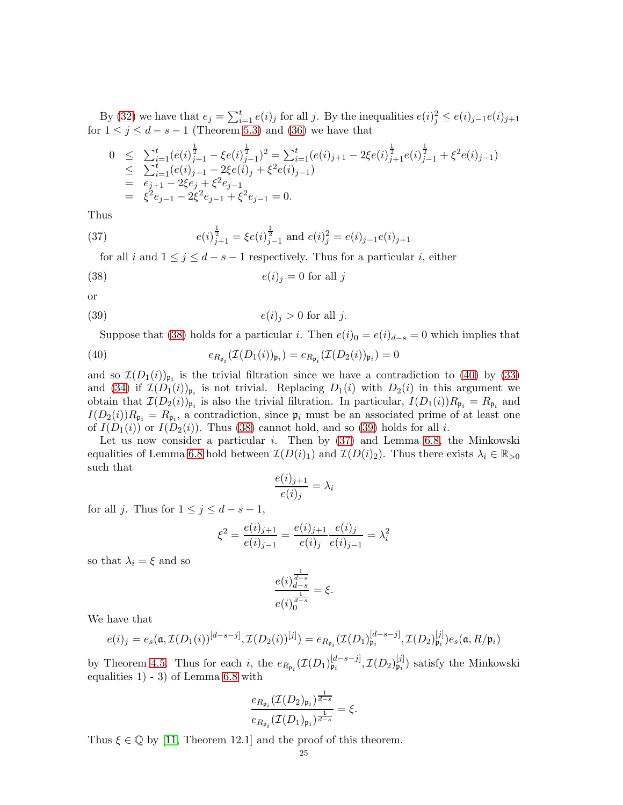By [\(32\)](#page-23-1) we have that  $e_j = \sum_{i=1}^t e(i)_j$  for all j. By the inequalities  $e(i)_j^2 \leq e(i)_{j-1}e(i)_{j+1}$ for  $1 \leq j \leq d - s - 1$  (Theorem [5.3\)](#page-12-0) and [\(36\)](#page-23-2) we have that

$$
0 \leq \sum_{i=1}^{t} (e(i)^{\frac{1}{2}}_{j+1} - \xi e(i)^{\frac{1}{2}}_{j-1})^2 = \sum_{i=1}^{t} (e(i)_{j+1} - 2\xi e(i)^{\frac{1}{2}}_{j+1} e(i)^{\frac{1}{2}}_{j-1} + \xi^2 e(i)_{j-1})
$$
  
\n
$$
\leq \sum_{i=1}^{t} (e(i)_{j+1} - 2\xi e(i)_{j} + \xi^2 e(i)_{j-1})
$$
  
\n
$$
= e_{j+1} - 2\xi e_j + \xi^2 e_{j-1}
$$
  
\n
$$
= \xi^2 e_{j-1} - 2\xi^2 e_{j-1} + \xi^2 e_{j-1} = 0.
$$

Thus

(37) 
$$
e(i)_{j+1}^{\frac{1}{2}} = \xi e(i)_{j-1}^{\frac{1}{2}} \text{ and } e(i)_j^2 = e(i)_{j-1}e(i)_{j+1}
$$

<span id="page-24-3"></span><span id="page-24-0"></span>for all i and  $1 \leq j \leq d - s - 1$  respectively. Thus for a particular i, either

(38) 
$$
e(i)_j = 0 \text{ for all } j
$$

or

(39) 
$$
e(i)_j > 0 \text{ for all } j.
$$

<span id="page-24-1"></span>Suppose that [\(38\)](#page-24-0) holds for a particular i. Then  $e(i)_0 = e(i)_{d-s} = 0$  which implies that

(40) 
$$
e_{R_{\mathfrak{p}_i}}(\mathcal{I}(D_1(i))_{\mathfrak{p}_i}) = e_{R_{\mathfrak{p}_i}}(\mathcal{I}(D_2(i))_{\mathfrak{p}_i}) = 0
$$

and so  $\mathcal{I}(D_1(i))_{\mathfrak{p}_i}$  is the trivial filtration since we have a contradiction to [\(40\)](#page-24-1) by [\(33\)](#page-23-3) and [\(34\)](#page-23-0) if  $\mathcal{I}(D_1(i))_{\mathfrak{p}_i}$  is not trivial. Replacing  $D_1(i)$  with  $D_2(i)$  in this argument we obtain that  $\mathcal{I}(D_2(i))_{\mathfrak{p}_i}$  is also the trivial filtration. In particular,  $I(D_1(i))R_{\mathfrak{p}_i} = R_{\mathfrak{p}_i}$  and  $I(D_2(i))R_{\mathfrak{p}_i} = R_{\mathfrak{p}_i}$ , a contradiction, since  $\mathfrak{p}_i$  must be an associated prime of at least one of  $I(D_1(i))$  or  $I(D_2(i))$ . Thus [\(38\)](#page-24-0) cannot hold, and so [\(39\)](#page-24-2) holds for all i.

Let us now consider a particular  $i$ . Then by  $(37)$  and Lemma [6.8,](#page-21-0) the Minkowski equalities of Lemma [6.8](#page-21-0) hold between  $\mathcal{I}(D(i)_1)$  and  $\mathcal{I}(D(i)_2)$ . Thus there exists  $\lambda_i \in \mathbb{R}_{>0}$ such that

<span id="page-24-2"></span>
$$
\frac{e(i)_{j+1}}{e(i)_j} = \lambda_i
$$

for all j. Thus for  $1 \le j \le d - s - 1$ ,

$$
\xi^{2} = \frac{e(i)_{j+1}}{e(i)_{j-1}} = \frac{e(i)_{j+1}}{e(i)_{j}} \frac{e(i)_{j}}{e(i)_{j-1}} = \lambda_{i}^{2}
$$

so that  $\lambda_i = \xi$  and so

$$
\frac{e(i)^{\frac{1}{d-s}}}{e(i)^{\frac{1}{d-s}}_0} = \xi.
$$

We have that

$$
e(i)_j = e_s(\mathfrak{a}, \mathcal{I}(D_1(i))^{[d-s-j]}, \mathcal{I}(D_2(i))^{[j]}) = e_{R_{\mathfrak{p}_i}}(\mathcal{I}(D_1)_{\mathfrak{p}_i}^{[d-s-j]}, \mathcal{I}(D_2)_{\mathfrak{p}_i}^{[j]})e_s(\mathfrak{a}, R/\mathfrak{p}_i)
$$

by Theorem [4.5.](#page-10-8) Thus for each i, the  $e_{R_{\mathfrak{p}_i}}(\mathcal{I}(D_1)_{\mathfrak{p}_i}^{[d-s-j]}, \mathcal{I}(D_2)_{\mathfrak{p}_i}^{[j]}$  $\mathfrak{p}_i^{[j]}$  satisfy the Minkowski equalities  $1)$  - 3) of Lemma [6.8](#page-21-0) with

$$
\frac{e_{R_{\mathfrak{p}_i}}(\mathcal{I}(D_2)_{\mathfrak{p}_i})^{\frac{1}{d-s}}}{e_{R_{\mathfrak{p}_i}}(\mathcal{I}(D_1)_{\mathfrak{p}_i})^{\frac{1}{d-s}}} = \xi.
$$

Thus  $\xi \in \mathbb{Q}$  by [\[11,](#page-30-5) Theorem 12.1] and the proof of this theorem.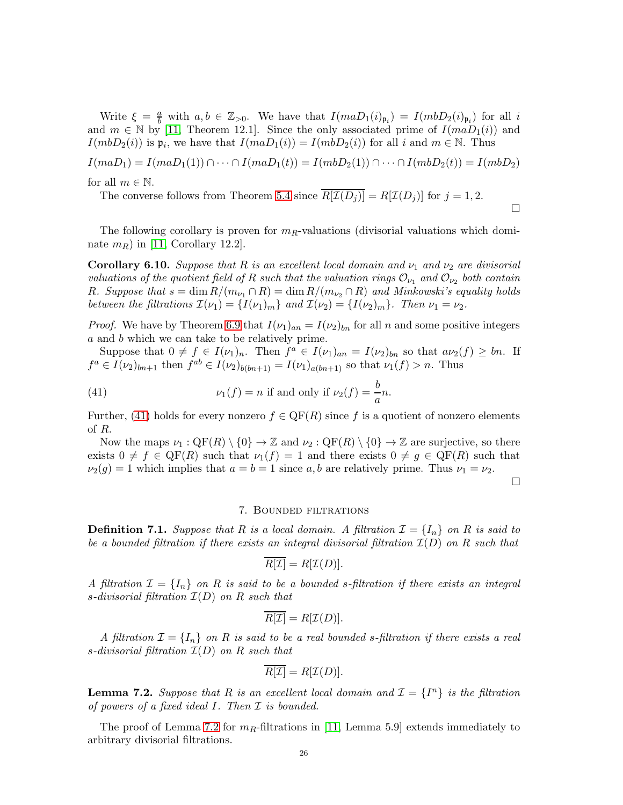Write  $\xi = \frac{a}{b}$  with  $a, b \in \mathbb{Z}_{>0}$ . We have that  $I(maD_1(i)_{\mathfrak{p}_i}) = I(mbD_2(i)_{\mathfrak{p}_i})$  for all i and  $m \in \mathbb{N}$  by [\[11,](#page-30-5) Theorem 12.1]. Since the only associated prime of  $I(maD_1(i))$  and  $I(mbD_2(i))$  is  $\mathfrak{p}_i$ , we have that  $I(maD_1(i)) = I(mbD_2(i))$  for all i and  $m \in \mathbb{N}$ . Thus

$$
I(maD_1) = I(maD_1(1)) \cap \cdots \cap I(maD_1(t)) = I(mbD_2(1)) \cap \cdots \cap I(mbD_2(t)) = I(mbD_2)
$$
  
for all  $m \in \mathbb{N}$ 

for all  $m \in \mathbb{N}$ .

The converse follows from Theorem [5.4](#page-14-0) since  $\overline{R[\mathcal{I}(D_i)]} = R[\mathcal{I}(D_i)]$  for  $j = 1, 2$ .

The following corollary is proven for  $m_R$ -valuations (divisorial valuations which dominate  $m_R$ ) in [\[11,](#page-30-5) Corollary 12.2].

**Corollary 6.10.** Suppose that R is an excellent local domain and  $\nu_1$  and  $\nu_2$  are divisorial valuations of the quotient field of R such that the valuation rings  $\mathcal{O}_{\nu_1}$  and  $\mathcal{O}_{\nu_2}$  both contain R. Suppose that  $s = \dim R/(m_{\nu_1} \cap R) = \dim R/(m_{\nu_2} \cap R)$  and Minkowski's equality holds between the filtrations  $\mathcal{I}(\nu_1) = \{I(\nu_1)_m\}$  and  $\mathcal{I}(\nu_2) = \{I(\nu_2)_m\}$ . Then  $\nu_1 = \nu_2$ .

*Proof.* We have by Theorem [6.9](#page-22-0) that  $I(\nu_1)_{an} = I(\nu_2)_{bn}$  for all n and some positive integers a and b which we can take to be relatively prime.

Suppose that  $0 \neq f \in I(\nu_1)_n$ . Then  $f^a \in I(\nu_1)_{an} = I(\nu_2)_{bn}$  so that  $a\nu_2(f) \geq bn$ . If  $f^a \in I(\nu_2)_{bn+1}$  then  $f^{ab} \in I(\nu_2)_{b(bn+1)} = I(\nu_1)_{a(bn+1)}$  so that  $\nu_1(f) > n$ . Thus

(41) 
$$
\nu_1(f) = n \text{ if and only if } \nu_2(f) = \frac{b}{a}n.
$$

Further, [\(41\)](#page-25-2) holds for every nonzero  $f \in \mathrm{QF}(R)$  since f is a quotient of nonzero elements of R.

Now the maps  $\nu_1 : \mathbb{Q}F(R) \setminus \{0\} \to \mathbb{Z}$  and  $\nu_2 : \mathbb{Q}F(R) \setminus \{0\} \to \mathbb{Z}$  are surjective, so there exists  $0 \neq f \in \text{QF}(R)$  such that  $\nu_1(f) = 1$  and there exists  $0 \neq g \in \text{QF}(R)$  such that  $\nu_2(g) = 1$  which implies that  $a = b = 1$  since a, b are relatively prime. Thus  $\nu_1 = \nu_2$ .

 $\Box$ 

 $\Box$ 

### <span id="page-25-2"></span>7. Bounded filtrations

<span id="page-25-0"></span>**Definition 7.1.** Suppose that R is a local domain. A filtration  $\mathcal{I} = \{I_n\}$  on R is said to be a bounded filtration if there exists an integral divisorial filtration  $\mathcal{I}(D)$  on R such that

$$
\overline{R[\mathcal{I}]} = R[\mathcal{I}(D)].
$$

A filtration  $\mathcal{I} = \{I_n\}$  on R is said to be a bounded s-filtration if there exists an integral s-divisorial filtration  $\mathcal{I}(D)$  on R such that

$$
\overline{R[\mathcal{I}]} = R[\mathcal{I}(D)].
$$

A filtration  $\mathcal{I} = \{I_n\}$  on R is said to be a real bounded s-filtration if there exists a real s-divisorial filtration  $\mathcal{I}(D)$  on R such that

$$
\overline{R[\mathcal{I}]} = R[\mathcal{I}(D)].
$$

<span id="page-25-1"></span>**Lemma 7.2.** Suppose that R is an excellent local domain and  $\mathcal{I} = \{I^n\}$  is the filtration of powers of a fixed ideal  $I$ . Then  $I$  is bounded.

The proof of Lemma [7.2](#page-25-1) for  $m_R$ -filtrations in [\[11,](#page-30-5) Lemma 5.9] extends immediately to arbitrary divisorial filtrations.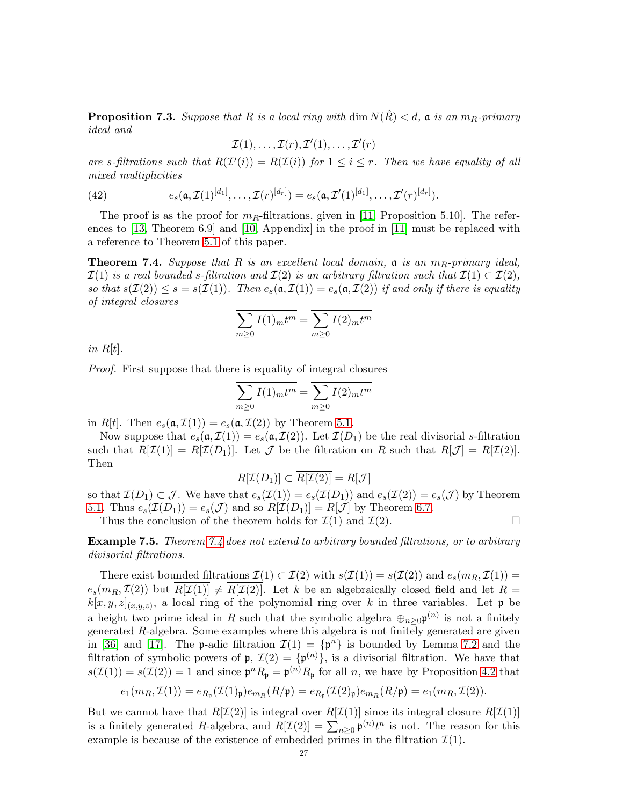<span id="page-26-2"></span>**Proposition 7.3.** Suppose that R is a local ring with dim  $N(\hat{R}) < d$ , a is an  $m_R$ -primary ideal and

$$
\mathcal{I}(1),\ldots,\mathcal{I}(r),\mathcal{I}'(1),\ldots,\mathcal{I}'(r)
$$

are s-filtrations such that  $R(\mathcal{I}'(i)) = R(\mathcal{I}(i))$  for  $1 \leq i \leq r$ . Then we have equality of all mixed multiplicities

(42) 
$$
e_s(\mathfrak{a}, \mathcal{I}(1)^{[d_1]}, \ldots, \mathcal{I}(r)^{[d_r]}) = e_s(\mathfrak{a}, \mathcal{I}'(1)^{[d_1]}, \ldots, \mathcal{I}'(r)^{[d_r]}).
$$

The proof is as the proof for  $m_R$ -filtrations, given in [\[11,](#page-30-5) Proposition 5.10]. The references to [\[13,](#page-30-1) Theorem 6.9] and [\[10,](#page-30-9) Appendix] in the proof in [\[11\]](#page-30-5) must be replaced with a reference to Theorem [5.1](#page-11-1) of this paper.

<span id="page-26-0"></span>**Theorem 7.4.** Suppose that R is an excellent local domain,  $\mathfrak{a}$  is an  $m_R$ -primary ideal,  $\mathcal{I}(1)$  is a real bounded s-filtration and  $\mathcal{I}(2)$  is an arbitrary filtration such that  $\mathcal{I}(1) \subset \mathcal{I}(2)$ , so that  $s(\mathcal{I}(2)) \leq s = s(\mathcal{I}(1))$ . Then  $e_s(\mathfrak{a}, \mathcal{I}(1)) = e_s(\mathfrak{a}, \mathcal{I}(2))$  if and only if there is equality of integral closures

$$
\sum_{m\geq 0} I(1)_m t^m = \sum_{m\geq 0} I(2)_m t^m
$$

in  $R[t]$ .

Proof. First suppose that there is equality of integral closures

$$
\sum_{m\geq 0} I(1)_m t^m = \sum_{m\geq 0} I(2)_m t^m
$$

in R[t]. Then  $e_s(\mathfrak{a}, \mathcal{I}(1)) = e_s(\mathfrak{a}, \mathcal{I}(2))$  by Theorem [5.1.](#page-11-1)

Now suppose that  $e_s(\mathfrak{a}, \mathcal{I}(1)) = e_s(\mathfrak{a}, \mathcal{I}(2))$ . Let  $\mathcal{I}(D_1)$  be the real divisorial s-filtration such that  $\overline{R[\mathcal{I}(1)]} = R[\mathcal{I}(D_1)]$ . Let  $\mathcal J$  be the filtration on R such that  $R[\mathcal{J}] = \overline{R[\mathcal{I}(2)]}$ . Then

$$
R[\mathcal{I}(D_1)] \subset \overline{R[\mathcal{I}(2)]} = R[\mathcal{J}]
$$

so that  $\mathcal{I}(D_1) \subset \mathcal{J}$ . We have that  $e_s(\mathcal{I}(1)) = e_s(\mathcal{I}(D_1))$  and  $e_s(\mathcal{I}(2)) = e_s(\mathcal{J})$  by Theorem [5.1.](#page-11-1) Thus  $e_s(\mathcal{I}(D_1)) = e_s(\mathcal{J})$  and so  $R[\mathcal{I}(D_1)] = R[\mathcal{J}]$  by Theorem [6.7.](#page-20-0)

Thus the conclusion of the theorem holds for  $\mathcal{I}(1)$  and  $\mathcal{I}(2)$ .

<span id="page-26-1"></span>Example 7.5. Theorem [7.4](#page-26-0) does not extend to arbitrary bounded filtrations, or to arbitrary divisorial filtrations.

There exist bounded filtrations  $\mathcal{I}(1) \subset \mathcal{I}(2)$  with  $s(\mathcal{I}(1)) = s(\mathcal{I}(2))$  and  $e_s(m_R, \mathcal{I}(1)) =$  $e_s(m_R, \mathcal{I}(2))$  but  $\overline{R[\mathcal{I}(1)]} \neq \overline{R[\mathcal{I}(2)]}$ . Let k be an algebraically closed field and let  $R =$  $k[x, y, z]_{(x, y, z)}$ , a local ring of the polynomial ring over k in three variables. Let  $\mathfrak p$  be a height two prime ideal in R such that the symbolic algebra  $\bigoplus_{n\geq 0} \mathfrak{p}^{(n)}$  is not a finitely generated R-algebra. Some examples where this algebra is not finitely generated are given in [\[36\]](#page-31-21) and [\[17\]](#page-30-17). The p-adic filtration  $\mathcal{I}(1) = {\mathfrak{p}}^n$  is bounded by Lemma [7.2](#page-25-1) and the filtration of symbolic powers of  $\mathfrak{p}, \mathcal{I}(2) = {\mathfrak{p}}^{(n)}$ , is a divisorial filtration. We have that  $s(\mathcal{I}(1)) = s(\mathcal{I}(2)) = 1$  and since  $\mathfrak{p}^n R_{\mathfrak{p}} = \mathfrak{p}^{(n)} R_{\mathfrak{p}}$  for all *n*, we have by Proposition [4.2](#page-8-0) that

$$
e_1(m_R, \mathcal{I}(1)) = e_{R_{\mathfrak{p}}}(\mathcal{I}(1)_{\mathfrak{p}})e_{m_R}(R/\mathfrak{p}) = e_{R_{\mathfrak{p}}}(\mathcal{I}(2)_{\mathfrak{p}})e_{m_R}(R/\mathfrak{p}) = e_1(m_R, \mathcal{I}(2)).
$$

But we cannot have that  $R[\mathcal{I}(2)]$  is integral over  $R[\mathcal{I}(1)]$  since its integral closure  $R[\mathcal{I}(1)]$ is a finitely generated R-algebra, and  $R[\mathcal{I}(2)] = \sum_{n\geq 0} \mathfrak{p}^{(n)} t^n$  is not. The reason for this example is because of the existence of embedded primes in the filtration  $\mathcal{I}(1)$ .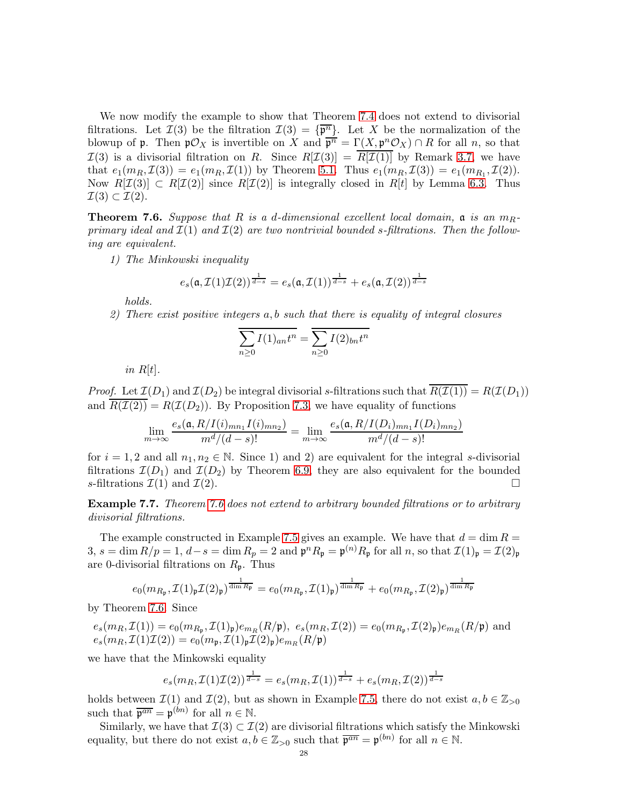We now modify the example to show that Theorem [7.4](#page-26-0) does not extend to divisorial filtrations. Let  $\mathcal{I}(3)$  be the filtration  $\mathcal{I}(3) = {\overline{\mathfrak{p}^n}}$ . Let X be the normalization of the blowup of **p**. Then  $\mathfrak{p} \mathcal{O}_X$  is invertible on X and  $\overline{\mathfrak{p}^n} = \Gamma(X, \mathfrak{p}^n \mathcal{O}_X) \cap R$  for all n, so that  $\mathcal{I}(3)$  is a divisorial filtration on R. Since  $R[\mathcal{I}(3)] = \overline{R[\mathcal{I}(1)]}$  by Remark [3.7,](#page-7-3) we have that  $e_1(m_R, \mathcal{I}(3)) = e_1(m_R, \mathcal{I}(1))$  by Theorem [5.1.](#page-11-1) Thus  $e_1(m_R, \mathcal{I}(3)) = e_1(m_{R_1}, \mathcal{I}(2)).$ Now  $R[\mathcal{I}(3)] \subset R[\mathcal{I}(2)]$  since  $R[\mathcal{I}(2)]$  is integrally closed in  $R[t]$  by Lemma [6.3.](#page-19-0) Thus  $\mathcal{I}(3) \subset \mathcal{I}(2).$ 

<span id="page-27-0"></span>**Theorem 7.6.** Suppose that R is a d-dimensional excellent local domain,  $\alpha$  is an  $m_R$ primary ideal and  $\mathcal{I}(1)$  and  $\mathcal{I}(2)$  are two nontrivial bounded s-filtrations. Then the following are equivalent.

1) The Minkowski inequality

$$
e_s(\mathfrak{a}, \mathcal{I}(1)\mathcal{I}(2))^{\frac{1}{d-s}} = e_s(\mathfrak{a}, \mathcal{I}(1))^{\frac{1}{d-s}} + e_s(\mathfrak{a}, \mathcal{I}(2))^{\frac{1}{d-s}}
$$

holds.

2) There exist positive integers a, b such that there is equality of integral closures

$$
\sum_{n\geq 0} I(1)_{an} t^n = \sum_{n\geq 0} I(2)_{bn} t^n
$$

in  $R[t]$ .

*Proof.* Let  $\mathcal{I}(D_1)$  and  $\mathcal{I}(D_2)$  be integral divisorial s-filtrations such that  $\overline{R(\mathcal{I}(1))} = R(\mathcal{I}(D_1))$ and  $\overline{R(\mathcal{I}(2))} = R(\mathcal{I}(D_2))$ . By Proposition [7.3,](#page-26-2) we have equality of functions

$$
\lim_{m \to \infty} \frac{e_s(\mathfrak{a}, R/I(i)_{mn_1}I(i)_{mn_2})}{m^d/(d-s)!} = \lim_{m \to \infty} \frac{e_s(\mathfrak{a}, R/I(D_i)_{mn_1}I(D_i)_{mn_2})}{m^d/(d-s)!}
$$

for  $i = 1, 2$  and all  $n_1, n_2 \in \mathbb{N}$ . Since 1) and 2) are equivalent for the integral s-divisorial filtrations  $\mathcal{I}(D_1)$  and  $\mathcal{I}(D_2)$  by Theorem [6.9,](#page-22-0) they are also equivalent for the bounded s-filtrations  $\mathcal{I}(1)$  and  $\mathcal{I}(2)$ .

<span id="page-27-1"></span>Example 7.7. Theorem [7.6](#page-27-0) does not extend to arbitrary bounded filtrations or to arbitrary divisorial filtrations.

The example constructed in Example [7.5](#page-26-1) gives an example. We have that  $d = \dim R =$  $3, s = \dim R/p = 1, d-s = \dim R_p = 2 \text{ and } \mathfrak{p}^n R_\mathfrak{p} = \mathfrak{p}^{(n)} R_\mathfrak{p} \text{ for all } n, \text{ so that } \mathcal{I}(1)_\mathfrak{p} = \mathcal{I}(2)_\mathfrak{p}$ are 0-divisorial filtrations on  $R_p$ . Thus

$$
e_0(m_{R_{\mathfrak{p}}}, \mathcal{I}(1)_{\mathfrak{p}}\mathcal{I}(2)_{\mathfrak{p}})^{\frac{1}{\dim R_{\mathfrak{p}}}} = e_0(m_{R_{\mathfrak{p}}}, \mathcal{I}(1)_{\mathfrak{p}})^{\frac{1}{\dim R_{\mathfrak{p}}}} + e_0(m_{R_{\mathfrak{p}}}, \mathcal{I}(2)_{\mathfrak{p}})^{\frac{1}{\dim R_{\mathfrak{p}}}}
$$

by Theorem [7.6.](#page-27-0) Since

$$
e_s(m_R, \mathcal{I}(1)) = e_0(m_{R_{\mathfrak{p}}}, \mathcal{I}(1)_{\mathfrak{p}})e_{m_R}(R/\mathfrak{p}), e_s(m_R, \mathcal{I}(2)) = e_0(m_{R_{\mathfrak{p}}}, \mathcal{I}(2)_{\mathfrak{p}})e_{m_R}(R/\mathfrak{p})
$$
 and 
$$
e_s(m_R, \mathcal{I}(1)\mathcal{I}(2)) = e_0(m_{\mathfrak{p}}, \mathcal{I}(1)_{\mathfrak{p}}\mathcal{I}(2)_{\mathfrak{p}})e_{m_R}(R/\mathfrak{p})
$$

we have that the Minkowski equality

$$
e_s(m_R, \mathcal{I}(1)\mathcal{I}(2))^{\frac{1}{d-s}} = e_s(m_R, \mathcal{I}(1))^{\frac{1}{d-s}} + e_s(m_R, \mathcal{I}(2))^{\frac{1}{d-s}}
$$

holds between  $\mathcal{I}(1)$  and  $\mathcal{I}(2)$ , but as shown in Example [7.5,](#page-26-1) there do not exist  $a, b \in \mathbb{Z}_{>0}$ such that  $\overline{\mathfrak{p}^{an}} = \mathfrak{p}^{(bn)}$  for all  $n \in \mathbb{N}$ .

Similarly, we have that  $\mathcal{I}(3) \subset \mathcal{I}(2)$  are divisorial filtrations which satisfy the Minkowski equality, but there do not exist  $a, b \in \mathbb{Z}_{>0}$  such that  $\overline{\mathfrak{p}^{an}} = \mathfrak{p}^{(bn)}$  for all  $n \in \mathbb{N}$ .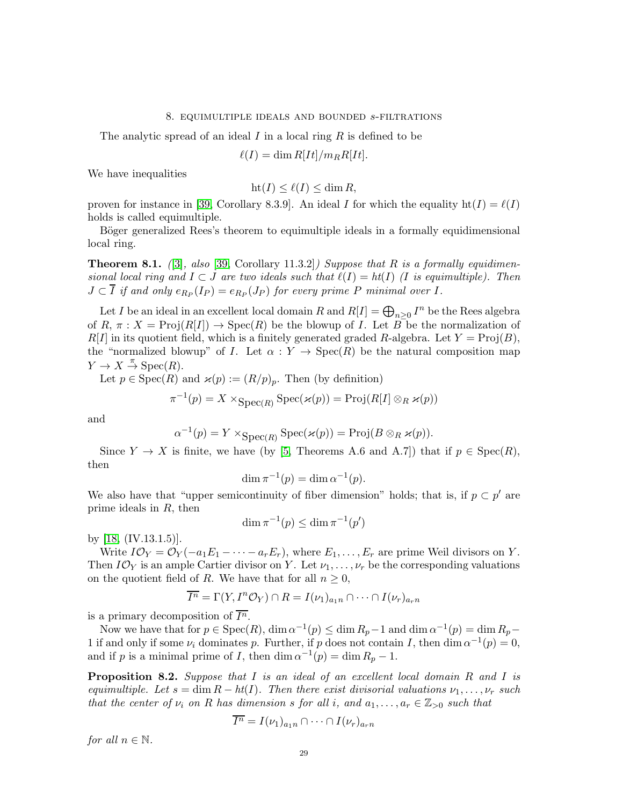#### 8. equimultiple ideals and bounded s-filtrations

The analytic spread of an ideal I in a local ring  $R$  is defined to be

 $\ell(I) = \dim R[It]/m_RR[It].$ 

We have inequalities

$$
ht(I) \le \ell(I) \le \dim R,
$$

proven for instance in [\[39,](#page-31-2) Corollary 8.3.9]. An ideal I for which the equality  $\text{ht}(I) = \ell(I)$ holds is called equimultiple.

Böger generalized Rees's theorem to equimultiple ideals in a formally equidimensional local ring.

**Theorem 8.1.** ([\[3\]](#page-30-10), also [\[39,](#page-31-2) Corollary 11.3.2]) Suppose that R is a formally equidimensional local ring and  $I \subset J$  are two ideals such that  $\ell(I) = ht(I)$  (I is equimultiple). Then  $J \subset I$  if and only  $e_{R_P}(I_P) = e_{R_P}(J_P)$  for every prime P minimal over I.

Let I be an ideal in an excellent local domain R and  $R[I] = \bigoplus_{n \geq 0} I^n$  be the Rees algebra of  $R, \pi : X = \text{Proj}(R[I]) \rightarrow \text{Spec}(R)$  be the blowup of I. Let  $B$  be the normalization of  $R[I]$  in its quotient field, which is a finitely generated graded R-algebra. Let  $Y = \text{Proj}(B)$ , the "normalized blowup" of I. Let  $\alpha: Y \to \text{Spec}(R)$  be the natural composition map  $Y \to X \stackrel{\pi}{\to} \operatorname{Spec}(R)$ .

Let  $p \in \text{Spec}(R)$  and  $\varkappa(p) := (R/p)_p$ . Then (by definition)

$$
\pi^{-1}(p) = X \times_{\text{Spec}(R)} \text{Spec}(\varkappa(p)) = \text{Proj}(R[I] \otimes_R \varkappa(p))
$$

and

$$
\alpha^{-1}(p) = Y \times_{\text{Spec}(R)} \text{Spec}(\varkappa(p)) = \text{Proj}(B \otimes_R \varkappa(p)).
$$

Since  $Y \to X$  is finite, we have (by [\[5,](#page-30-8) Theorems A.6 and A.7]) that if  $p \in \text{Spec}(R)$ , then

$$
\dim \pi^{-1}(p) = \dim \alpha^{-1}(p).
$$

We also have that "upper semicontinuity of fiber dimension" holds; that is, if  $p \subset p'$  are prime ideals in R, then

$$
\dim \pi^{-1}(p) \le \dim \pi^{-1}(p')
$$

by [\[18,](#page-30-11) (IV.13.1.5)].

Write  $I\mathcal{O}_Y = \mathcal{O}_Y(-a_1E_1 - \cdots - a_rE_r)$ , where  $E_1, \ldots, E_r$  are prime Weil divisors on Y. Then  $I\mathcal{O}_Y$  is an ample Cartier divisor on Y. Let  $\nu_1, \ldots, \nu_r$  be the corresponding valuations on the quotient field of R. We have that for all  $n \geq 0$ ,

$$
\overline{I^n} = \Gamma(Y, I^n \mathcal{O}_Y) \cap R = I(\nu_1)_{a_1 n} \cap \dots \cap I(\nu_r)_{a_r n}
$$

is a primary decomposition of  $\overline{I^n}$ .

Now we have that for  $p \in \text{Spec}(R)$ ,  $\dim \alpha^{-1}(p) \le \dim R_p - 1$  and  $\dim \alpha^{-1}(p) = \dim R_p - 1$ 1 if and only if some  $\nu_i$  dominates p. Further, if p does not contain I, then dim  $\alpha^{-1}(p) = 0$ , and if p is a minimal prime of I, then  $\dim \alpha^{-1}(p) = \dim R_p - 1$ .

<span id="page-28-0"></span>Proposition 8.2. Suppose that I is an ideal of an excellent local domain R and I is equimultiple. Let  $s = \dim R - ht(I)$ . Then there exist divisorial valuations  $\nu_1, \ldots, \nu_r$  such that the center of  $\nu_i$  on R has dimension s for all i, and  $a_1, \ldots, a_r \in \mathbb{Z}_{>0}$  such that

$$
\overline{I^n} = I(\nu_1)_{a_1n} \cap \cdots \cap I(\nu_r)_{a_rn}
$$

for all  $n \in \mathbb{N}$ .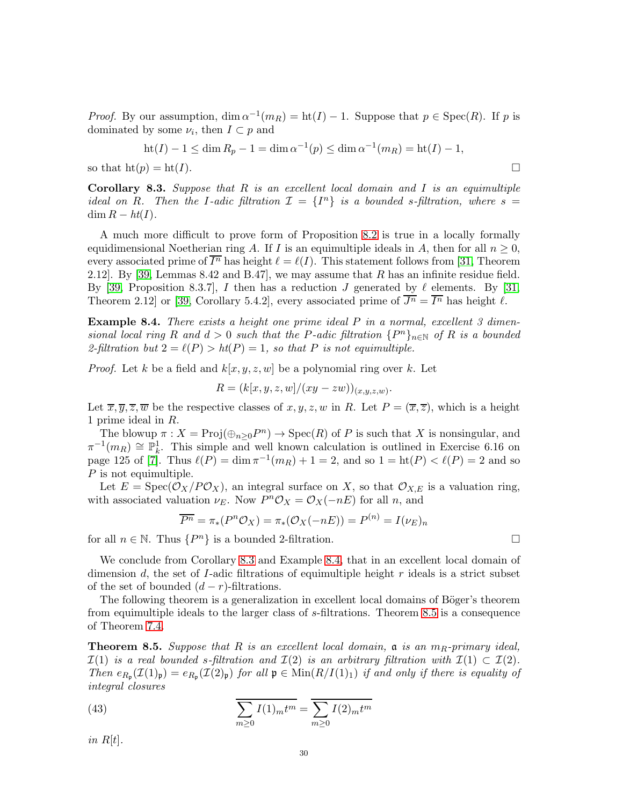*Proof.* By our assumption,  $\dim \alpha^{-1}(m_R) = \text{ht}(I) - 1$ . Suppose that  $p \in \text{Spec}(R)$ . If p is dominated by some  $\nu_i$ , then  $I \subset p$  and

$$
ht(I) - 1 \le \dim R_p - 1 = \dim \alpha^{-1}(p) \le \dim \alpha^{-1}(m_R) = ht(I) - 1,
$$
  
so that  $ht(p) = ht(I)$ .

<span id="page-29-1"></span>**Corollary 8.3.** Suppose that  $R$  is an excellent local domain and  $I$  is an equimultiple ideal on R. Then the I-adic filtration  $\mathcal{I} = \{I^n\}$  is a bounded s-filtration, where  $s =$  $\dim R - ht(I).$ 

A much more difficult to prove form of Proposition [8.2](#page-28-0) is true in a locally formally equidimensional Noetherian ring A. If I is an equimultiple ideals in A, then for all  $n \geq 0$ , every associated prime of  $\overline{I^n}$  has height  $\ell = \ell(I)$ . This statement follows from [\[31,](#page-31-22) Theorem 2.12]. By [\[39,](#page-31-2) Lemmas  $8.42$  and  $B.47$ ], we may assume that R has an infinite residue field. By [\[39,](#page-31-2) Proposition 8.3.7], I then has a reduction J generated by  $\ell$  elements. By [\[31,](#page-31-22) Theorem 2.12 or [\[39,](#page-31-2) Corollary 5.4.2], every associated prime of  $\overline{J^n} = \overline{I^n}$  has height  $\ell$ .

<span id="page-29-2"></span>**Example 8.4.** There exists a height one prime ideal  $P$  in a normal, excellent  $3$  dimensional local ring R and  $d > 0$  such that the P-adic filtration  $\{P^n\}_{n\in\mathbb{N}}$  of R is a bounded 2-filtration but  $2 = \ell(P) > ht(P) = 1$ , so that P is not equimultiple.

*Proof.* Let k be a field and  $k[x, y, z, w]$  be a polynomial ring over k. Let

$$
R = (k[x, y, z, w]/(xy - zw))_{(x, y, z, w)}.
$$

Let  $\overline{x}, \overline{y}, \overline{z}, \overline{w}$  be the respective classes of  $x, y, z, w$  in R. Let  $P = (\overline{x}, \overline{z})$ , which is a height 1 prime ideal in R.

The blowup  $\pi : X = \text{Proj}(\oplus_{n\geq 0} P^n) \to \text{Spec}(R)$  of P is such that X is nonsingular, and  $\pi^{-1}(m_R) \cong \mathbb{P}_k^1$ . This simple and well known calculation is outlined in Exercise 6.16 on page 125 of [\[7\]](#page-30-18). Thus  $\ell(P) = \dim \pi^{-1}(m_R) + 1 = 2$ , and so  $1 = \text{ht}(P) < \ell(P) = 2$  and so P is not equimultiple.

Let  $E = \text{Spec}(\mathcal{O}_X/P\mathcal{O}_X)$ , an integral surface on X, so that  $\mathcal{O}_{X,E}$  is a valuation ring, with associated valuation  $\nu_E$ . Now  $P^n\mathcal{O}_X = \mathcal{O}_X(-nE)$  for all n, and

$$
\overline{P^n} = \pi_*(P^n \mathcal{O}_X) = \pi_*(\mathcal{O}_X(-nE)) = P^{(n)} = I(\nu_E)_n
$$

for all  $n \in \mathbb{N}$ . Thus  $\{P^n\}$  is a bounded 2-filtration.

We conclude from Corollary [8.3](#page-29-1) and Example [8.4,](#page-29-2) that in an excellent local domain of dimension  $d$ , the set of  $I$ -adic filtrations of equimultiple height  $r$  ideals is a strict subset of the set of bounded  $(d - r)$ -filtrations.

The following theorem is a generalization in excellent local domains of Böger's theorem from equimultiple ideals to the larger class of s-filtrations. Theorem [8.5](#page-29-0) is a consequence of Theorem [7.4.](#page-26-0)

<span id="page-29-0"></span>**Theorem 8.5.** Suppose that R is an excellent local domain,  $\mathfrak{a}$  is an  $m_R$ -primary ideal,  $\mathcal{I}(1)$  is a real bounded s-filtration and  $\mathcal{I}(2)$  is an arbitrary filtration with  $\mathcal{I}(1) \subset \mathcal{I}(2)$ . Then  $e_{R_{\mathfrak{p}}}(\mathcal{I}(1)_{\mathfrak{p}})=e_{R_{\mathfrak{p}}}(\mathcal{I}(2)_{\mathfrak{p}})$  for all  $\mathfrak{p} \in \text{Min}(R/I(1)_1)$  if and only if there is equality of integral closures

<span id="page-29-3"></span>(43) 
$$
\overline{\sum_{m\geq 0} I(1)_m t^m} = \overline{\sum_{m\geq 0} I(2)_m t^m}
$$

in  $R[t]$ .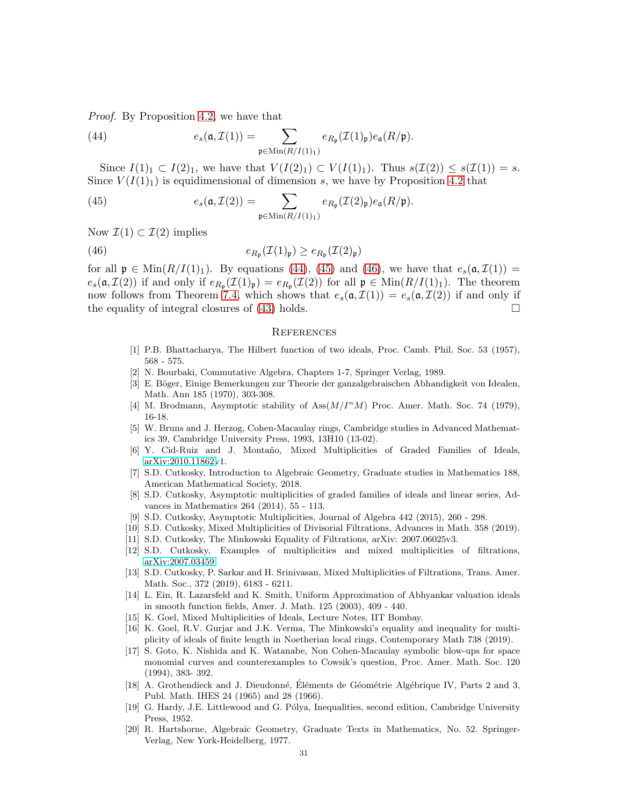Proof. By Proposition [4.2,](#page-8-0) we have that

<span id="page-30-19"></span>(44) 
$$
e_s(\mathfrak{a}, \mathcal{I}(1)) = \sum_{\mathfrak{p} \in \text{Min}(R/I(1)_1)} e_{R_{\mathfrak{p}}}(\mathcal{I}(1)_{\mathfrak{p}}) e_{\mathfrak{a}}(R/\mathfrak{p}).
$$

Since  $I(1)_1 \subset I(2)_1$ , we have that  $V(I(2)_1) \subset V(I(1)_1)$ . Thus  $s(\mathcal{I}(2)) \leq s(\mathcal{I}(1)) = s$ . Since  $V(I(1)<sub>1</sub>)$  is equidimensional of dimension s, we have by Proposition [4.2](#page-8-0) that

<span id="page-30-20"></span>(45) 
$$
e_s(\mathfrak{a}, \mathcal{I}(2)) = \sum_{\mathfrak{p} \in \text{Min}(R/I(1)_1)} e_{R_{\mathfrak{p}}}(\mathcal{I}(2)_{\mathfrak{p}}) e_{\mathfrak{a}}(R/\mathfrak{p}).
$$

Now  $\mathcal{I}(1) \subset \mathcal{I}(2)$  implies

(46) 
$$
e_{R_{\mathfrak{p}}}(\mathcal{I}(1)_{\mathfrak{p}}) \geq e_{R_{\mathfrak{p}}}(\mathcal{I}(2)_{\mathfrak{p}})
$$

for all  $\mathfrak{p} \in \text{Min}(R/I(1)_1)$ . By equations [\(44\)](#page-30-19), [\(45\)](#page-30-20) and [\(46\)](#page-30-21), we have that  $e_s(\mathfrak{a}, \mathcal{I}(1)) =$  $e_s(\mathfrak{a}, \mathcal{I}(2))$  if and only if  $e_{R_{\mathfrak{p}}}(\mathcal{I}(1)_{\mathfrak{p}}) = e_{R_{\mathfrak{p}}}(\mathcal{I}(2))$  for all  $\mathfrak{p} \in \text{Min}(R/I(1)_1)$ . The theorem now follows from Theorem [7.4,](#page-26-0) which shows that  $e_s(\mathfrak{a}, \mathcal{I}(1)) = e_s(\mathfrak{a}, \mathcal{I}(2))$  if and only if the equality of integral closures of [\(43\)](#page-29-3) holds.  $\square$ 

#### <span id="page-30-21"></span>**REFERENCES**

- <span id="page-30-0"></span>[1] P.B. Bhattacharya, The Hilbert function of two ideals, Proc. Camb. Phil. Soc. 53 (1957), 568 - 575.
- <span id="page-30-10"></span>[2] N. Bourbaki, Commutative Algebra, Chapters 1-7, Springer Verlag, 1989.
- [3] E. Böger, Einige Bemerkungen zur Theorie der ganzalgebraischen Abhandigkeit von Idealen, Math. Ann 185 (1970), 303-308.
- <span id="page-30-12"></span><span id="page-30-8"></span>[4] M. Brodmann, Asymptotic stability of  $Ass(M/I^nM)$  Proc. Amer. Math. Soc. 74 (1979), 16-18.
- [5] W. Bruns and J. Herzog, Cohen-Macaulay rings, Cambridge studies in Advanced Mathematics 39, Cambridge University Press, 1993, 13H10 (13-02).
- <span id="page-30-18"></span><span id="page-30-3"></span>[6] Y. Cid-Ruiz and J. Montaño, Mixed Multiplicities of Graded Families of Ideals, [arXiv:2010.11862v](http://arxiv.org/abs/2010.11862)1.
- [7] S.D. Cutkosky, Introduction to Algebraic Geometry, Graduate studies in Mathematics 188, American Mathematical Society, 2018.
- <span id="page-30-4"></span>[8] S.D. Cutkosky, Asymptotic multiplicities of graded families of ideals and linear series, Advances in Mathematics 264 (2014), 55 - 113.
- <span id="page-30-7"></span>[9] S.D. Cutkosky, Asymptotic Multiplicities, Journal of Algebra 442 (2015), 260 - 298.
- <span id="page-30-9"></span><span id="page-30-5"></span>[10] S.D. Cutkosky, Mixed Multiplicities of Divisorial Filtrations, Advances in Math. 358 (2019).
- <span id="page-30-15"></span>[11] S.D. Cutkosky, The Minkowski Equality of Filtrations, arXiv: 2007.06025v3.
- <span id="page-30-1"></span>[12] S.D. Cutkosky, Examples of multiplicities and mixed multiplicities of filtrations, [arXiv:2007.03459.](http://arxiv.org/abs/2007.03459)
- [13] S.D. Cutkosky, P. Sarkar and H. Srinivasan, Mixed Multiplicities of Filtrations, Trans. Amer. Math. Soc., 372 (2019), 6183 - 6211.
- <span id="page-30-6"></span>[14] L. Ein, R. Lazarsfeld and K. Smith, Uniform Approximation of Abhyankar valuation ideals in smooth function fields, Amer. J. Math. 125 (2003), 409 - 440.
- <span id="page-30-14"></span><span id="page-30-2"></span>[15] K. Goel, Mixed Multiplicities of Ideals, Lecture Notes, IIT Bombay.
- [16] K. Goel, R.V. Gurjar and J.K. Verma, The Minkowski's equality and inequality for multiplicity of ideals of finite length in Noetherian local rings, Contemporary Math 738 (2019).
- <span id="page-30-17"></span>[17] S. Goto, K. Nishida and K. Watanabe, Non Cohen-Macaulay symbolic blow-ups for space monomial curves and counterexamples to Cowsik's question, Proc. Amer. Math. Soc. 120 (1994), 383- 392.
- <span id="page-30-13"></span><span id="page-30-11"></span>[18] A. Grothendieck and J. Dieudonné, Eléments de Géométrie Algébrique IV, Parts 2 and 3, Publ. Math. IHES 24 (1965) and 28 (1966).
- [19] G. Hardy, J.E. Littlewood and G. P´olya, Inequalities, second edition, Cambridge University Press, 1952.
- <span id="page-30-16"></span>[20] R. Hartshorne, Algebraic Geometry, Graduate Texts in Mathematics, No. 52. Springer-Verlag, New York-Heidelberg, 1977.